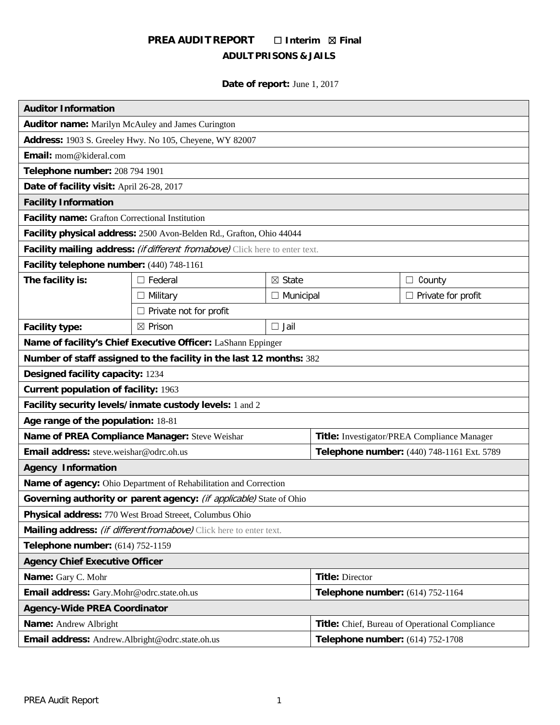# **PREA AUDIT REPORT** ☐ **Interim** ☒ **Final ADULT PRISONS & JAILS**

# **Date of report:** June 1, 2017

| <b>Auditor Information</b>                                                     |                                                                     |                                             |                                            |                           |  |  |
|--------------------------------------------------------------------------------|---------------------------------------------------------------------|---------------------------------------------|--------------------------------------------|---------------------------|--|--|
| <b>Auditor name:</b> Marilyn McAuley and James Curington                       |                                                                     |                                             |                                            |                           |  |  |
| Address: 1903 S. Greeley Hwy. No 105, Cheyene, WY 82007                        |                                                                     |                                             |                                            |                           |  |  |
| Email: mom@kideral.com                                                         |                                                                     |                                             |                                            |                           |  |  |
| Telephone number: 208 794 1901                                                 |                                                                     |                                             |                                            |                           |  |  |
| Date of facility visit: April 26-28, 2017                                      |                                                                     |                                             |                                            |                           |  |  |
| <b>Facility Information</b>                                                    |                                                                     |                                             |                                            |                           |  |  |
| Facility name: Grafton Correctional Institution                                |                                                                     |                                             |                                            |                           |  |  |
| Facility physical address: 2500 Avon-Belden Rd., Grafton, Ohio 44044           |                                                                     |                                             |                                            |                           |  |  |
| Facility mailing address: (if different from above) Click here to enter text.  |                                                                     |                                             |                                            |                           |  |  |
| Facility telephone number: (440) 748-1161                                      |                                                                     |                                             |                                            |                           |  |  |
| The facility is:                                                               | $\Box$ Federal                                                      | $\boxtimes$ State                           |                                            | $\Box$ County             |  |  |
|                                                                                | $\Box$ Military                                                     | $\Box$ Municipal                            |                                            | $\Box$ Private for profit |  |  |
|                                                                                | $\Box$ Private not for profit                                       |                                             |                                            |                           |  |  |
| <b>Facility type:</b>                                                          | ⊠ Prison                                                            | $\Box$ Jail                                 |                                            |                           |  |  |
| Name of facility's Chief Executive Officer: LaShann Eppinger                   |                                                                     |                                             |                                            |                           |  |  |
|                                                                                | Number of staff assigned to the facility in the last 12 months: 382 |                                             |                                            |                           |  |  |
| Designed facility capacity: 1234                                               |                                                                     |                                             |                                            |                           |  |  |
| <b>Current population of facility: 1963</b>                                    |                                                                     |                                             |                                            |                           |  |  |
| Facility security levels/inmate custody levels: 1 and 2                        |                                                                     |                                             |                                            |                           |  |  |
| Age range of the population: 18-81                                             |                                                                     |                                             |                                            |                           |  |  |
|                                                                                | Name of PREA Compliance Manager: Steve Weishar                      | Title: Investigator/PREA Compliance Manager |                                            |                           |  |  |
| Email address: steve.weishar@odrc.oh.us                                        |                                                                     |                                             | Telephone number: (440) 748-1161 Ext. 5789 |                           |  |  |
| <b>Agency Information</b>                                                      |                                                                     |                                             |                                            |                           |  |  |
| Name of agency: Ohio Department of Rehabilitation and Correction               |                                                                     |                                             |                                            |                           |  |  |
| Governing authority or parent agency: (if applicable) State of Ohio            |                                                                     |                                             |                                            |                           |  |  |
| Physical address: 770 West Broad Streeet, Columbus Ohio                        |                                                                     |                                             |                                            |                           |  |  |
| Mailing address: (if different from above) Click here to enter text.           |                                                                     |                                             |                                            |                           |  |  |
| Telephone number: (614) 752-1159                                               |                                                                     |                                             |                                            |                           |  |  |
| <b>Agency Chief Executive Officer</b>                                          |                                                                     |                                             |                                            |                           |  |  |
| Name: Gary C. Mohr                                                             |                                                                     | <b>Title: Director</b>                      |                                            |                           |  |  |
| Email address: Gary.Mohr@odrc.state.oh.us                                      |                                                                     |                                             | Telephone number: (614) 752-1164           |                           |  |  |
| <b>Agency-Wide PREA Coordinator</b>                                            |                                                                     |                                             |                                            |                           |  |  |
| Title: Chief, Bureau of Operational Compliance<br><b>Name:</b> Andrew Albright |                                                                     |                                             |                                            |                           |  |  |
| Email address: Andrew.Albright@odrc.state.oh.us                                |                                                                     |                                             | Telephone number: (614) 752-1708           |                           |  |  |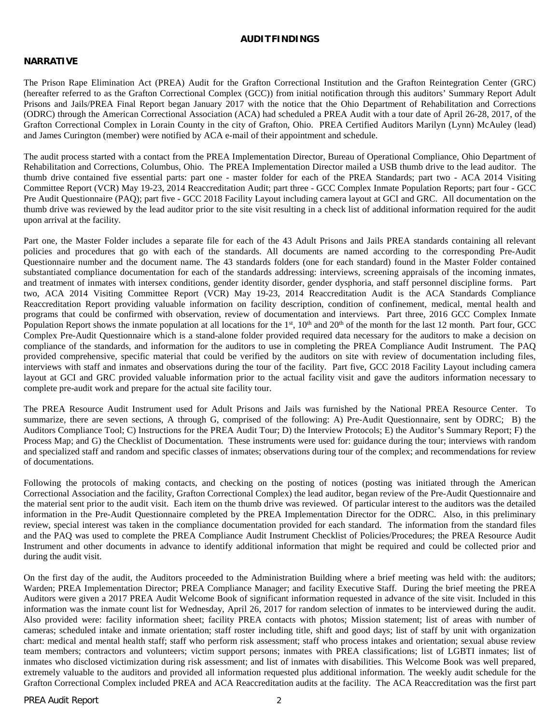#### **AUDITFINDINGS**

#### **NARRATIVE**

The Prison Rape Elimination Act (PREA) Audit for the Grafton Correctional Institution and the Grafton Reintegration Center (GRC) (hereafter referred to as the Grafton Correctional Complex (GCC)) from initial notification through this auditors' Summary Report Adult Prisons and Jails/PREA Final Report began January 2017 with the notice that the Ohio Department of Rehabilitation and Corrections (ODRC) through the American Correctional Association (ACA) had scheduled a PREA Audit with a tour date of April 26-28, 2017, of the Grafton Correctional Complex in Lorain County in the city of Grafton, Ohio. PREA Certified Auditors Marilyn (Lynn) McAuley (lead) and James Curington (member) were notified by ACA e-mail of their appointment and schedule.

The audit process started with a contact from the PREA Implementation Director, Bureau of Operational Compliance, Ohio Department of Rehabilitation and Corrections, Columbus, Ohio. The PREA Implementation Director mailed a USB thumb drive to the lead auditor. The thumb drive contained five essential parts: part one - master folder for each of the PREA Standards; part two - ACA 2014 Visiting Committee Report (VCR) May 19-23, 2014 Reaccreditation Audit; part three - GCC Complex Inmate Population Reports; part four - GCC Pre Audit Questionnaire (PAQ); part five - GCC 2018 Facility Layout including camera layout at GCI and GRC. All documentation on the thumb drive was reviewed by the lead auditor prior to the site visit resulting in a check list of additional information required for the audit upon arrival at the facility.

Part one, the Master Folder includes a separate file for each of the 43 Adult Prisons and Jails PREA standards containing all relevant policies and procedures that go with each of the standards. All documents are named according to the corresponding Pre-Audit Questionnaire number and the document name. The 43 standards folders (one for each standard) found in the Master Folder contained substantiated compliance documentation for each of the standards addressing: interviews, screening appraisals of the incoming inmates, and treatment of inmates with intersex conditions, gender identity disorder, gender dysphoria, and staff personnel discipline forms. Part two, ACA 2014 Visiting Committee Report (VCR) May 19-23, 2014 Reaccreditation Audit is the ACA Standards Compliance Reaccreditation Report providing valuable information on facility description, condition of confinement, medical, mental health and programs that could be confirmed with observation, review of documentation and interviews. Part three, 2016 GCC Complex Inmate Population Report shows the inmate population at all locations for the 1<sup>st</sup>, 10<sup>th</sup> and 20<sup>th</sup> of the month for the last 12 month. Part four, GCC Complex Pre-Audit Questionnaire which is a stand-alone folder provided required data necessary for the auditors to make a decision on compliance of the standards, and information for the auditors to use in completing the PREA Compliance Audit Instrument. The PAQ provided comprehensive, specific material that could be verified by the auditors on site with review of documentation including files, interviews with staff and inmates and observations during the tour of the facility. Part five, GCC 2018 Facility Layout including camera layout at GCI and GRC provided valuable information prior to the actual facility visit and gave the auditors information necessary to complete pre-audit work and prepare for the actual site facility tour.

The PREA Resource Audit Instrument used for Adult Prisons and Jails was furnished by the National PREA Resource Center. To summarize, there are seven sections, A through G, comprised of the following: A) Pre-Audit Questionnaire, sent by ODRC; B) the Auditors Compliance Tool; C) Instructions for the PREA Audit Tour; D) the Interview Protocols; E) the Auditor's Summary Report; F) the Process Map; and G) the Checklist of Documentation. These instruments were used for: guidance during the tour; interviews with random and specialized staff and random and specific classes of inmates; observations during tour of the complex; and recommendations for review of documentations.

Following the protocols of making contacts, and checking on the posting of notices (posting was initiated through the American Correctional Association and the facility, Grafton Correctional Complex) the lead auditor, began review of the Pre-Audit Questionnaire and the material sent prior to the audit visit. Each item on the thumb drive was reviewed. Of particular interest to the auditors was the detailed information in the Pre-Audit Questionnaire completed by the PREA Implementation Director for the ODRC. Also, in this preliminary review, special interest was taken in the compliance documentation provided for each standard. The information from the standard files and the PAQ was used to complete the PREA Compliance Audit Instrument Checklist of Policies/Procedures; the PREA Resource Audit Instrument and other documents in advance to identify additional information that might be required and could be collected prior and during the audit visit.

On the first day of the audit, the Auditors proceeded to the Administration Building where a brief meeting was held with: the auditors; Warden; PREA Implementation Director; PREA Compliance Manager; and facility Executive Staff. During the brief meeting the PREA Auditors were given a 2017 PREA Audit Welcome Book of significant information requested in advance of the site visit. Included in this information was the inmate count list for Wednesday, April 26, 2017 for random selection of inmates to be interviewed during the audit. Also provided were: facility information sheet; facility PREA contacts with photos; Mission statement; list of areas with number of cameras; scheduled intake and inmate orientation; staff roster including title, shift and good days; list of staff by unit with organization chart: medical and mental health staff; staff who perform risk assessment; staff who process intakes and orientation; sexual abuse review team members; contractors and volunteers; victim support persons; inmates with PREA classifications; list of LGBTI inmates; list of inmates who disclosed victimization during risk assessment; and list of inmates with disabilities. This Welcome Book was well prepared, extremely valuable to the auditors and provided all information requested plus additional information. The weekly audit schedule for the Grafton Correctional Complex included PREA and ACA Reaccreditation audits at the facility. The ACA Reaccreditation was the first part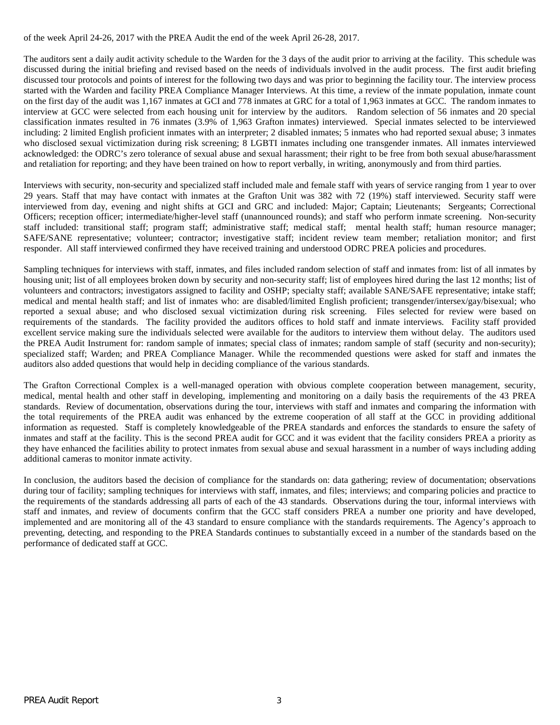of the week April 24-26, 2017 with the PREA Audit the end of the week April 26-28, 2017.

The auditors sent a daily audit activity schedule to the Warden for the 3 days of the audit prior to arriving at the facility. This schedule was discussed during the initial briefing and revised based on the needs of individuals involved in the audit process. The first audit briefing discussed tour protocols and points of interest for the following two days and was prior to beginning the facility tour. The interview process started with the Warden and facility PREA Compliance Manager Interviews. At this time, a review of the inmate population, inmate count on the first day of the audit was 1,167 inmates at GCI and 778 inmates at GRC for a total of 1,963 inmates at GCC. The random inmates to interview at GCC were selected from each housing unit for interview by the auditors. Random selection of 56 inmates and 20 special classification inmates resulted in 76 inmates (3.9% of 1,963 Grafton inmates) interviewed. Special inmates selected to be interviewed including: 2 limited English proficient inmates with an interpreter; 2 disabled inmates; 5 inmates who had reported sexual abuse; 3 inmates who disclosed sexual victimization during risk screening; 8 LGBTI inmates including one transgender inmates. All inmates interviewed acknowledged: the ODRC's zero tolerance of sexual abuse and sexual harassment; their right to be free from both sexual abuse/harassment and retaliation for reporting; and they have been trained on how to report verbally, in writing, anonymously and from third parties.

Interviews with security, non-security and specialized staff included male and female staff with years of service ranging from 1 year to over 29 years. Staff that may have contact with inmates at the Grafton Unit was 382 with 72 (19%) staff interviewed. Security staff were interviewed from day, evening and night shifts at GCI and GRC and included: Major; Captain; Lieutenants; Sergeants; Correctional Officers; reception officer; intermediate/higher-level staff (unannounced rounds); and staff who perform inmate screening. Non-security staff included: transitional staff; program staff; administrative staff; medical staff; mental health staff; human resource manager; SAFE/SANE representative; volunteer; contractor; investigative staff; incident review team member; retaliation monitor; and first responder. All staff interviewed confirmed they have received training and understood ODRC PREA policies and procedures.

Sampling techniques for interviews with staff, inmates, and files included random selection of staff and inmates from: list of all inmates by housing unit; list of all employees broken down by security and non-security staff; list of employees hired during the last 12 months; list of volunteers and contractors; investigators assigned to facility and OSHP; specialty staff; available SANE/SAFE representative; intake staff; medical and mental health staff; and list of inmates who: are disabled/limited English proficient; transgender/intersex/gay/bisexual; who reported a sexual abuse; and who disclosed sexual victimization during risk screening. Files selected for review were based on requirements of the standards. The facility provided the auditors offices to hold staff and inmate interviews. Facility staff provided excellent service making sure the individuals selected were available for the auditors to interview them without delay. The auditors used the PREA Audit Instrument for: random sample of inmates; special class of inmates; random sample of staff (security and non-security); specialized staff; Warden; and PREA Compliance Manager. While the recommended questions were asked for staff and inmates the auditors also added questions that would help in deciding compliance of the various standards.

The Grafton Correctional Complex is a well-managed operation with obvious complete cooperation between management, security, medical, mental health and other staff in developing, implementing and monitoring on a daily basis the requirements of the 43 PREA standards. Review of documentation, observations during the tour, interviews with staff and inmates and comparing the information with the total requirements of the PREA audit was enhanced by the extreme cooperation of all staff at the GCC in providing additional information as requested. Staff is completely knowledgeable of the PREA standards and enforces the standards to ensure the safety of inmates and staff at the facility. This is the second PREA audit for GCC and it was evident that the facility considers PREA a priority as they have enhanced the facilities ability to protect inmates from sexual abuse and sexual harassment in a number of ways including adding additional cameras to monitor inmate activity.

In conclusion, the auditors based the decision of compliance for the standards on: data gathering; review of documentation; observations during tour of facility; sampling techniques for interviews with staff, inmates, and files; interviews; and comparing policies and practice to the requirements of the standards addressing all parts of each of the 43 standards. Observations during the tour, informal interviews with staff and inmates, and review of documents confirm that the GCC staff considers PREA a number one priority and have developed, implemented and are monitoring all of the 43 standard to ensure compliance with the standards requirements. The Agency's approach to preventing, detecting, and responding to the PREA Standards continues to substantially exceed in a number of the standards based on the performance of dedicated staff at GCC.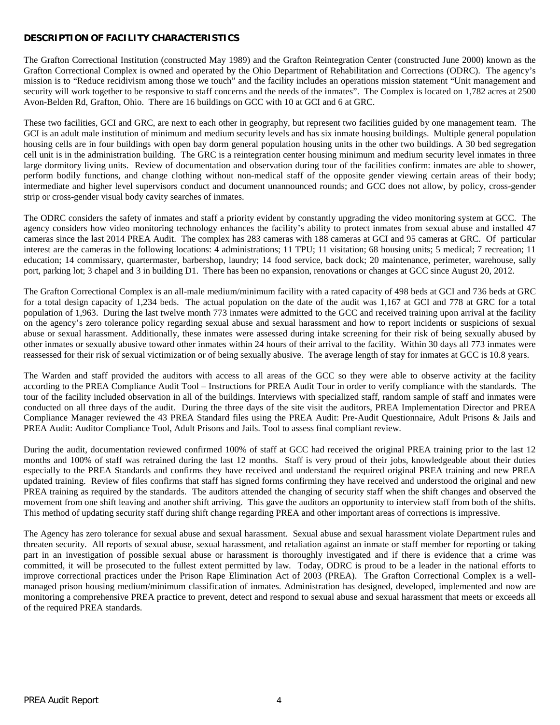# **DESCRIPTION OF FACILITY CHARACTERISTICS**

The Grafton Correctional Institution (constructed May 1989) and the Grafton Reintegration Center (constructed June 2000) known as the Grafton Correctional Complex is owned and operated by the Ohio Department of Rehabilitation and Corrections (ODRC). The agency's mission is to "Reduce recidivism among those we touch" and the facility includes an operations mission statement "Unit management and security will work together to be responsive to staff concerns and the needs of the inmates". The Complex is located on 1,782 acres at 2500 Avon-Belden Rd, Grafton, Ohio. There are 16 buildings on GCC with 10 at GCI and 6 at GRC.

These two facilities, GCI and GRC, are next to each other in geography, but represent two facilities guided by one management team. The GCI is an adult male institution of minimum and medium security levels and has six inmate housing buildings. Multiple general population housing cells are in four buildings with open bay dorm general population housing units in the other two buildings. A 30 bed segregation cell unit is in the administration building. The GRC is a reintegration center housing minimum and medium security level inmates in three large dormitory living units. Review of documentation and observation during tour of the facilities confirm: inmates are able to shower, perform bodily functions, and change clothing without non-medical staff of the opposite gender viewing certain areas of their body; intermediate and higher level supervisors conduct and document unannounced rounds; and GCC does not allow, by policy, cross-gender strip or cross-gender visual body cavity searches of inmates.

The ODRC considers the safety of inmates and staff a priority evident by constantly upgrading the video monitoring system at GCC. The agency considers how video monitoring technology enhances the facility's ability to protect inmates from sexual abuse and installed 47 cameras since the last 2014 PREA Audit. The complex has 283 cameras with 188 cameras at GCI and 95 cameras at GRC. Of particular interest are the cameras in the following locations: 4 administrations; 11 TPU; 11 visitation; 68 housing units; 5 medical; 7 recreation; 11 education; 14 commissary, quartermaster, barbershop, laundry; 14 food service, back dock; 20 maintenance, perimeter, warehouse, sally port, parking lot; 3 chapel and 3 in building D1. There has been no expansion, renovations or changes at GCC since August 20, 2012.

The Grafton Correctional Complex is an all-male medium/minimum facility with a rated capacity of 498 beds at GCI and 736 beds at GRC for a total design capacity of 1,234 beds. The actual population on the date of the audit was 1,167 at GCI and 778 at GRC for a total population of 1,963. During the last twelve month 773 inmates were admitted to the GCC and received training upon arrival at the facility on the agency's zero tolerance policy regarding sexual abuse and sexual harassment and how to report incidents or suspicions of sexual abuse or sexual harassment. Additionally, these inmates were assessed during intake screening for their risk of being sexually abused by other inmates or sexually abusive toward other inmates within 24 hours of their arrival to the facility. Within 30 days all 773 inmates were reassessed for their risk of sexual victimization or of being sexually abusive. The average length of stay for inmates at GCC is 10.8 years.

The Warden and staff provided the auditors with access to all areas of the GCC so they were able to observe activity at the facility according to the PREA Compliance Audit Tool – Instructions for PREA Audit Tour in order to verify compliance with the standards. The tour of the facility included observation in all of the buildings. Interviews with specialized staff, random sample of staff and inmates were conducted on all three days of the audit. During the three days of the site visit the auditors, PREA Implementation Director and PREA Compliance Manager reviewed the 43 PREA Standard files using the PREA Audit: Pre-Audit Questionnaire, Adult Prisons & Jails and PREA Audit: Auditor Compliance Tool, Adult Prisons and Jails. Tool to assess final compliant review.

During the audit, documentation reviewed confirmed 100% of staff at GCC had received the original PREA training prior to the last 12 months and 100% of staff was retrained during the last 12 months. Staff is very proud of their jobs, knowledgeable about their duties especially to the PREA Standards and confirms they have received and understand the required original PREA training and new PREA updated training. Review of files confirms that staff has signed forms confirming they have received and understood the original and new PREA training as required by the standards. The auditors attended the changing of security staff when the shift changes and observed the movement from one shift leaving and another shift arriving. This gave the auditors an opportunity to interview staff from both of the shifts. This method of updating security staff during shift change regarding PREA and other important areas of corrections is impressive.

The Agency has zero tolerance for sexual abuse and sexual harassment. Sexual abuse and sexual harassment violate Department rules and threaten security. All reports of sexual abuse, sexual harassment, and retaliation against an inmate or staff member for reporting or taking part in an investigation of possible sexual abuse or harassment is thoroughly investigated and if there is evidence that a crime was committed, it will be prosecuted to the fullest extent permitted by law. Today, ODRC is proud to be a leader in the national efforts to improve correctional practices under the Prison Rape Elimination Act of 2003 (PREA). The Grafton Correctional Complex is a wellmanaged prison housing medium/minimum classification of inmates. Administration has designed, developed, implemented and now are monitoring a comprehensive PREA practice to prevent, detect and respond to sexual abuse and sexual harassment that meets or exceeds all of the required PREA standards.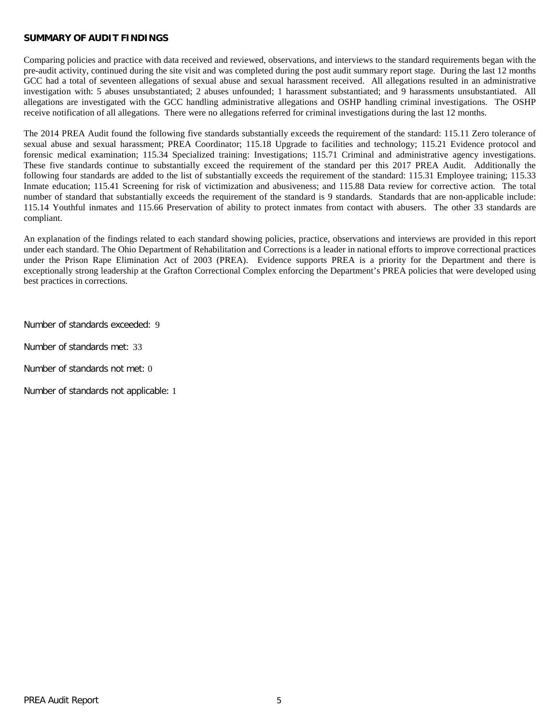#### **SUMMARY OF AUDIT FINDINGS**

Comparing policies and practice with data received and reviewed, observations, and interviews to the standard requirements began with the pre-audit activity, continued during the site visit and was completed during the post audit summary report stage. During the last 12 months GCC had a total of seventeen allegations of sexual abuse and sexual harassment received. All allegations resulted in an administrative investigation with: 5 abuses unsubstantiated; 2 abuses unfounded; 1 harassment substantiated; and 9 harassments unsubstantiated. All allegations are investigated with the GCC handling administrative allegations and OSHP handling criminal investigations. The OSHP receive notification of all allegations. There were no allegations referred for criminal investigations during the last 12 months.

The 2014 PREA Audit found the following five standards substantially exceeds the requirement of the standard: 115.11 Zero tolerance of sexual abuse and sexual harassment; PREA Coordinator; 115.18 Upgrade to facilities and technology; 115.21 Evidence protocol and forensic medical examination; 115.34 Specialized training: Investigations; 115.71 Criminal and administrative agency investigations. These five standards continue to substantially exceed the requirement of the standard per this 2017 PREA Audit. Additionally the following four standards are added to the list of substantially exceeds the requirement of the standard: 115.31 Employee training; 115.33 Inmate education; 115.41 Screening for risk of victimization and abusiveness; and 115.88 Data review for corrective action. The total number of standard that substantially exceeds the requirement of the standard is 9 standards. Standards that are non-applicable include: 115.14 Youthful inmates and 115.66 Preservation of ability to protect inmates from contact with abusers. The other 33 standards are compliant.

An explanation of the findings related to each standard showing policies, practice, observations and interviews are provided in this report under each standard. The Ohio Department of Rehabilitation and Corrections is a leader in national efforts to improve correctional practices under the Prison Rape Elimination Act of 2003 (PREA). Evidence supports PREA is a priority for the Department and there is exceptionally strong leadership at the Grafton Correctional Complex enforcing the Department's PREA policies that were developed using best practices in corrections.

Number of standards exceeded: 9

Number of standards met: 33

Number of standards not met: 0

Number of standards not applicable: 1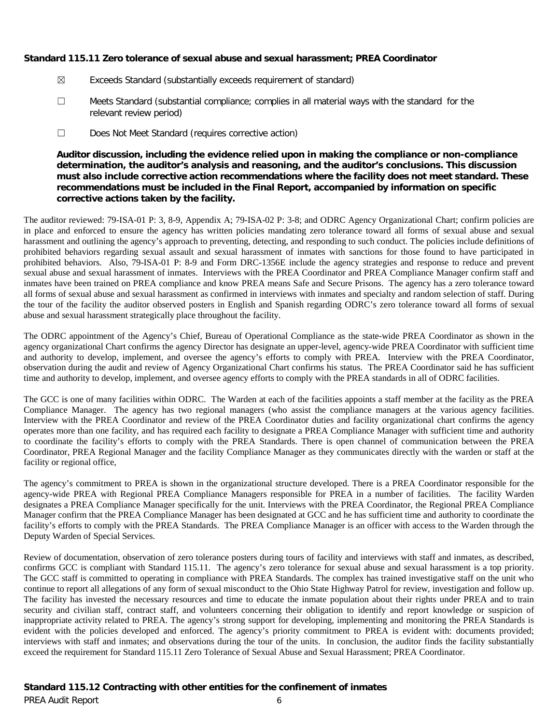# **Standard 115.11 Zero tolerance of sexual abuse and sexual harassment; PREA Coordinator**

- ☒ Exceeds Standard (substantially exceeds requirement of standard)
- ☐ Meets Standard (substantial compliance; complies in all material ways with the standard for the relevant review period)
- ☐ Does Not Meet Standard (requires corrective action)

# **Auditor discussion, including the evidence relied upon in making the compliance or non-compliance determination, the auditor's analysis and reasoning, and the auditor's conclusions. This discussion must also include corrective action recommendations where the facility does not meet standard. These recommendations must be included in the Final Report, accompanied by information on specific corrective actions taken by the facility.**

The auditor reviewed: 79-ISA-01 P: 3, 8-9, Appendix A; 79-ISA-02 P: 3-8; and ODRC Agency Organizational Chart; confirm policies are in place and enforced to ensure the agency has written policies mandating zero tolerance toward all forms of sexual abuse and sexual harassment and outlining the agency's approach to preventing, detecting, and responding to such conduct. The policies include definitions of prohibited behaviors regarding sexual assault and sexual harassment of inmates with sanctions for those found to have participated in prohibited behaviors. Also, 79-ISA-01 P: 8-9 and Form DRC-1356E include the agency strategies and response to reduce and prevent sexual abuse and sexual harassment of inmates. Interviews with the PREA Coordinator and PREA Compliance Manager confirm staff and inmates have been trained on PREA compliance and know PREA means Safe and Secure Prisons. The agency has a zero tolerance toward all forms of sexual abuse and sexual harassment as confirmed in interviews with inmates and specialty and random selection of staff. During the tour of the facility the auditor observed posters in English and Spanish regarding ODRC's zero tolerance toward all forms of sexual abuse and sexual harassment strategically place throughout the facility.

The ODRC appointment of the Agency's Chief, Bureau of Operational Compliance as the state-wide PREA Coordinator as shown in the agency organizational Chart confirms the agency Director has designate an upper-level, agency-wide PREA Coordinator with sufficient time and authority to develop, implement, and oversee the agency's efforts to comply with PREA*.* Interview with the PREA Coordinator, observation during the audit and review of Agency Organizational Chart confirms his status. The PREA Coordinator said he has sufficient time and authority to develop, implement, and oversee agency efforts to comply with the PREA standards in all of ODRC facilities.

The GCC is one of many facilities within ODRC. The Warden at each of the facilities appoints a staff member at the facility as the PREA Compliance Manager. The agency has two regional managers (who assist the compliance managers at the various agency facilities. Interview with the PREA Coordinator and review of the PREA Coordinator duties and facility organizational chart confirms the agency operates more than one facility, and has required each facility to designate a PREA Compliance Manager with sufficient time and authority to coordinate the facility's efforts to comply with the PREA Standards. There is open channel of communication between the PREA Coordinator, PREA Regional Manager and the facility Compliance Manager as they communicates directly with the warden or staff at the facility or regional office,

The agency's commitment to PREA is shown in the organizational structure developed. There is a PREA Coordinator responsible for the agency-wide PREA with Regional PREA Compliance Managers responsible for PREA in a number of facilities. The facility Warden designates a PREA Compliance Manager specifically for the unit. Interviews with the PREA Coordinator, the Regional PREA Compliance Manager confirm that the PREA Compliance Manager has been designated at GCC and he has sufficient time and authority to coordinate the facility's efforts to comply with the PREA Standards. The PREA Compliance Manager is an officer with access to the Warden through the Deputy Warden of Special Services.

Review of documentation, observation of zero tolerance posters during tours of facility and interviews with staff and inmates, as described, confirms GCC is compliant with Standard 115.11. The agency's zero tolerance for sexual abuse and sexual harassment is a top priority. The GCC staff is committed to operating in compliance with PREA Standards. The complex has trained investigative staff on the unit who continue to report all allegations of any form of sexual misconduct to the Ohio State Highway Patrol for review, investigation and follow up. The facility has invested the necessary resources and time to educate the inmate population about their rights under PREA and to train security and civilian staff, contract staff, and volunteers concerning their obligation to identify and report knowledge or suspicion of inappropriate activity related to PREA. The agency's strong support for developing, implementing and monitoring the PREA Standards is evident with the policies developed and enforced. The agency's priority commitment to PREA is evident with: documents provided; interviews with staff and inmates; and observations during the tour of the units. In conclusion, the auditor finds the facility substantially exceed the requirement for Standard 115.11 Zero Tolerance of Sexual Abuse and Sexual Harassment; PREA Coordinator.

# **Standard 115.12 Contracting with other entities for the confinement of inmates**

PREA Audit Report 6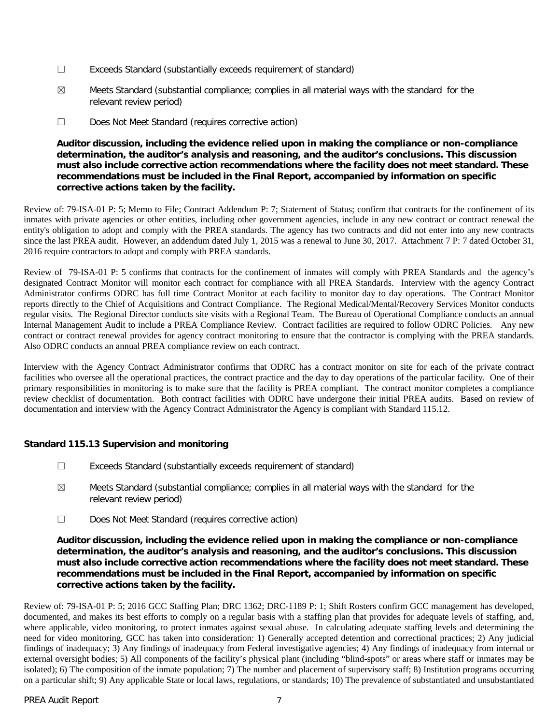- ☐ Exceeds Standard (substantially exceeds requirement of standard)
- ☒ Meets Standard (substantial compliance; complies in all material ways with the standard for the relevant review period)
- ☐ Does Not Meet Standard (requires corrective action)

# **Auditor discussion, including the evidence relied upon in making the compliance or non-compliance determination, the auditor's analysis and reasoning, and the auditor's conclusions. This discussion must also include corrective action recommendations where the facility does not meet standard. These recommendations must be included in the Final Report, accompanied by information on specific corrective actions taken by the facility.**

Review of: 79-ISA-01 P: 5; Memo to File; Contract Addendum P: 7; Statement of Status; confirm that contracts for the confinement of its inmates with private agencies or other entities, including other government agencies, include in any new contract or contract renewal the entity's obligation to adopt and comply with the PREA standards. The agency has two contracts and did not enter into any new contracts since the last PREA audit. However, an addendum dated July 1, 2015 was a renewal to June 30, 2017. Attachment 7 P: 7 dated October 31, 2016 require contractors to adopt and comply with PREA standards.

Review of 79-ISA-01 P: 5 confirms that contracts for the confinement of inmates will comply with PREA Standards and the agency's designated Contract Monitor will monitor each contract for compliance with all PREA Standards. Interview with the agency Contract Administrator confirms ODRC has full time Contract Monitor at each facility to monitor day to day operations. The Contract Monitor reports directly to the Chief of Acquisitions and Contract Compliance. The Regional Medical/Mental/Recovery Services Monitor conducts regular visits. The Regional Director conducts site visits with a Regional Team. The Bureau of Operational Compliance conducts an annual Internal Management Audit to include a PREA Compliance Review. Contract facilities are required to follow ODRC Policies. Any new contract or contract renewal provides for agency contract monitoring to ensure that the contractor is complying with the PREA standards. Also ODRC conducts an annual PREA compliance review on each contract.

Interview with the Agency Contract Administrator confirms that ODRC has a contract monitor on site for each of the private contract facilities who oversee all the operational practices, the contract practice and the day to day operations of the particular facility. One of their primary responsibilities in monitoring is to make sure that the facility is PREA compliant. The contract monitor completes a compliance review checklist of documentation. Both contract facilities with ODRC have undergone their initial PREA audits. Based on review of documentation and interview with the Agency Contract Administrator the Agency is compliant with Standard 115.12.

# **Standard 115.13 Supervision and monitoring**

- ☐ Exceeds Standard (substantially exceeds requirement of standard)
- $\boxtimes$  Meets Standard (substantial compliance; complies in all material ways with the standard for the relevant review period)
- ☐ Does Not Meet Standard (requires corrective action)

## **Auditor discussion, including the evidence relied upon in making the compliance or non-compliance determination, the auditor's analysis and reasoning, and the auditor's conclusions. This discussion must also include corrective action recommendations where the facility does not meet standard. These recommendations must be included in the Final Report, accompanied by information on specific corrective actions taken by the facility.**

Review of: 79-ISA-01 P: 5; 2016 GCC Staffing Plan; DRC 1362; DRC-1189 P: 1; Shift Rosters confirm GCC management has developed, documented, and makes its best efforts to comply on a regular basis with a staffing plan that provides for adequate levels of staffing, and, where applicable, video monitoring, to protect inmates against sexual abuse. In calculating adequate staffing levels and determining the need for video monitoring, GCC has taken into consideration: 1) Generally accepted detention and correctional practices; 2) Any judicial findings of inadequacy; 3) Any findings of inadequacy from Federal investigative agencies; 4) Any findings of inadequacy from internal or external oversight bodies; 5) All components of the facility's physical plant (including "blind-spots" or areas where staff or inmates may be isolated); 6) The composition of the inmate population; 7) The number and placement of supervisory staff; 8) Institution programs occurring on a particular shift; 9) Any applicable State or local laws, regulations, or standards; 10) The prevalence of substantiated and unsubstantiated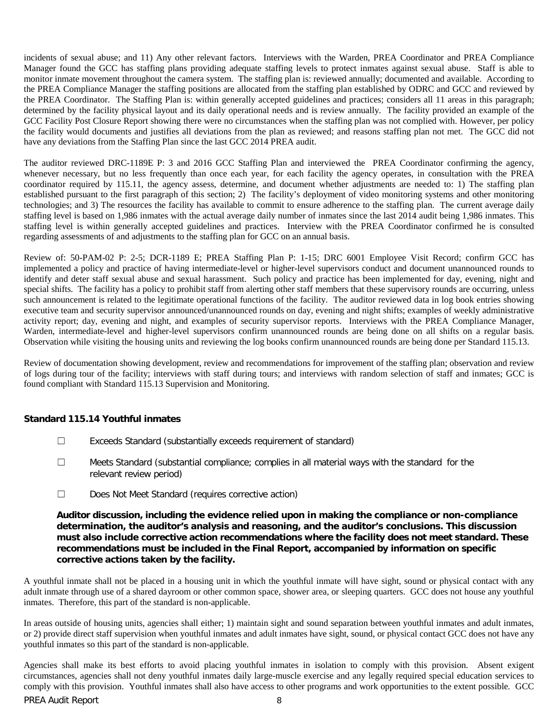incidents of sexual abuse; and 11) Any other relevant factors. Interviews with the Warden, PREA Coordinator and PREA Compliance Manager found the GCC has staffing plans providing adequate staffing levels to protect inmates against sexual abuse. Staff is able to monitor inmate movement throughout the camera system. The staffing plan is: reviewed annually; documented and available. According to the PREA Compliance Manager the staffing positions are allocated from the staffing plan established by ODRC and GCC and reviewed by the PREA Coordinator. The Staffing Plan is: within generally accepted guidelines and practices; considers all 11 areas in this paragraph; determined by the facility physical layout and its daily operational needs and is review annually. The facility provided an example of the GCC Facility Post Closure Report showing there were no circumstances when the staffing plan was not complied with. However, per policy the facility would documents and justifies all deviations from the plan as reviewed; and reasons staffing plan not met. The GCC did not have any deviations from the Staffing Plan since the last GCC 2014 PREA audit.

The auditor reviewed DRC-1189E P: 3 and 2016 GCC Staffing Plan and interviewed the PREA Coordinator confirming the agency, whenever necessary, but no less frequently than once each year, for each facility the agency operates, in consultation with the PREA coordinator required by 115.11, the agency assess, determine, and document whether adjustments are needed to: 1) The staffing plan established pursuant to the first paragraph of this section; 2) The facility's deployment of video monitoring systems and other monitoring technologies; and 3) The resources the facility has available to commit to ensure adherence to the staffing plan. The current average daily staffing level is based on 1,986 inmates with the actual average daily number of inmates since the last 2014 audit being 1,986 inmates. This staffing level is within generally accepted guidelines and practices. Interview with the PREA Coordinator confirmed he is consulted regarding assessments of and adjustments to the staffing plan for GCC on an annual basis.

Review of: 50-PAM-02 P: 2-5; DCR-1189 E; PREA Staffing Plan P: 1-15; DRC 6001 Employee Visit Record; confirm GCC has implemented a policy and practice of having intermediate-level or higher-level supervisors conduct and document unannounced rounds to identify and deter staff sexual abuse and sexual harassment. Such policy and practice has been implemented for day, evening, night and special shifts. The facility has a policy to prohibit staff from alerting other staff members that these supervisory rounds are occurring, unless such announcement is related to the legitimate operational functions of the facility. The auditor reviewed data in log book entries showing executive team and security supervisor announced/unannounced rounds on day, evening and night shifts; examples of weekly administrative activity report; day, evening and night, and examples of security supervisor reports. Interviews with the PREA Compliance Manager, Warden, intermediate-level and higher-level supervisors confirm unannounced rounds are being done on all shifts on a regular basis. Observation while visiting the housing units and reviewing the log books confirm unannounced rounds are being done per Standard 115.13.

Review of documentation showing development, review and recommendations for improvement of the staffing plan; observation and review of logs during tour of the facility; interviews with staff during tours; and interviews with random selection of staff and inmates; GCC is found compliant with Standard 115.13 Supervision and Monitoring.

#### **Standard 115.14 Youthful inmates**

- ☐ Exceeds Standard (substantially exceeds requirement of standard)
- ☐ Meets Standard (substantial compliance; complies in all material ways with the standard for the relevant review period)
- ☐ Does Not Meet Standard (requires corrective action)

**Auditor discussion, including the evidence relied upon in making the compliance or non-compliance determination, the auditor's analysis and reasoning, and the auditor's conclusions. This discussion must also include corrective action recommendations where the facility does not meet standard. These recommendations must be included in the Final Report, accompanied by information on specific corrective actions taken by the facility.**

A youthful inmate shall not be placed in a housing unit in which the youthful inmate will have sight, sound or physical contact with any adult inmate through use of a shared dayroom or other common space, shower area, or sleeping quarters. GCC does not house any youthful inmates. Therefore, this part of the standard is non-applicable.

In areas outside of housing units, agencies shall either; 1) maintain sight and sound separation between youthful inmates and adult inmates, or 2) provide direct staff supervision when youthful inmates and adult inmates have sight, sound, or physical contact GCC does not have any youthful inmates so this part of the standard is non-applicable.

Agencies shall make its best efforts to avoid placing youthful inmates in isolation to comply with this provision. Absent exigent circumstances, agencies shall not deny youthful inmates daily large-muscle exercise and any legally required special education services to comply with this provision. Youthful inmates shall also have access to other programs and work opportunities to the extent possible. GCC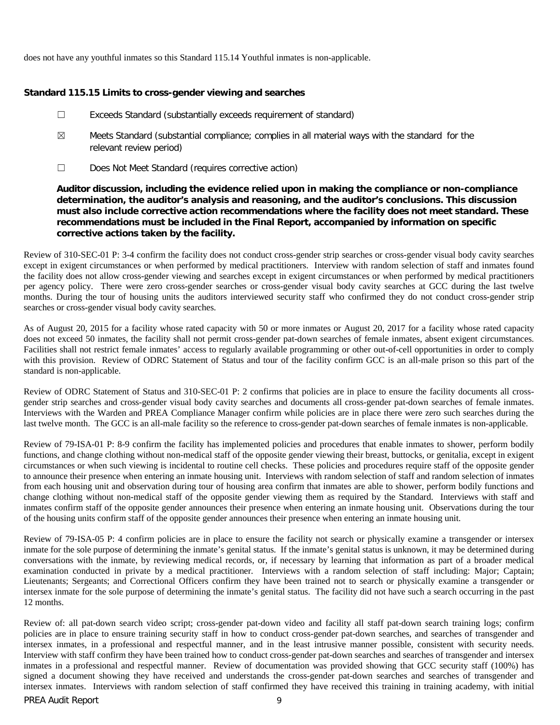does not have any youthful inmates so this Standard 115.14 Youthful inmates is non-applicable.

#### **Standard 115.15 Limits to cross-gender viewing and searches**

- ☐ Exceeds Standard (substantially exceeds requirement of standard)
- ☒ Meets Standard (substantial compliance; complies in all material ways with the standard for the relevant review period)
- ☐ Does Not Meet Standard (requires corrective action)

## **Auditor discussion, including the evidence relied upon in making the compliance or non-compliance determination, the auditor's analysis and reasoning, and the auditor's conclusions. This discussion must also include corrective action recommendations where the facility does not meet standard. These recommendations must be included in the Final Report, accompanied by information on specific corrective actions taken by the facility.**

Review of 310-SEC-01 P: 3-4 confirm the facility does not conduct cross-gender strip searches or cross-gender visual body cavity searches except in exigent circumstances or when performed by medical practitioners. Interview with random selection of staff and inmates found the facility does not allow cross-gender viewing and searches except in exigent circumstances or when performed by medical practitioners per agency policy. There were zero cross-gender searches or cross-gender visual body cavity searches at GCC during the last twelve months. During the tour of housing units the auditors interviewed security staff who confirmed they do not conduct cross-gender strip searches or cross-gender visual body cavity searches.

As of August 20, 2015 for a facility whose rated capacity with 50 or more inmates or August 20, 2017 for a facility whose rated capacity does not exceed 50 inmates, the facility shall not permit cross-gender pat-down searches of female inmates, absent exigent circumstances. Facilities shall not restrict female inmates' access to regularly available programming or other out-of-cell opportunities in order to comply with this provision. Review of ODRC Statement of Status and tour of the facility confirm GCC is an all-male prison so this part of the standard is non-applicable.

Review of ODRC Statement of Status and 310-SEC-01 P: 2 confirms that policies are in place to ensure the facility documents all crossgender strip searches and cross-gender visual body cavity searches and documents all cross-gender pat-down searches of female inmates. Interviews with the Warden and PREA Compliance Manager confirm while policies are in place there were zero such searches during the last twelve month. The GCC is an all-male facility so the reference to cross-gender pat-down searches of female inmates is non-applicable.

Review of 79-ISA-01 P: 8-9 confirm the facility has implemented policies and procedures that enable inmates to shower, perform bodily functions, and change clothing without non-medical staff of the opposite gender viewing their breast, buttocks, or genitalia, except in exigent circumstances or when such viewing is incidental to routine cell checks. These policies and procedures require staff of the opposite gender to announce their presence when entering an inmate housing unit. Interviews with random selection of staff and random selection of inmates from each housing unit and observation during tour of housing area confirm that inmates are able to shower, perform bodily functions and change clothing without non-medical staff of the opposite gender viewing them as required by the Standard. Interviews with staff and inmates confirm staff of the opposite gender announces their presence when entering an inmate housing unit. Observations during the tour of the housing units confirm staff of the opposite gender announces their presence when entering an inmate housing unit.

Review of 79-ISA-05 P: 4 confirm policies are in place to ensure the facility not search or physically examine a transgender or intersex inmate for the sole purpose of determining the inmate's genital status. If the inmate's genital status is unknown, it may be determined during conversations with the inmate, by reviewing medical records, or, if necessary by learning that information as part of a broader medical examination conducted in private by a medical practitioner. Interviews with a random selection of staff including: Major; Captain; Lieutenants; Sergeants; and Correctional Officers confirm they have been trained not to search or physically examine a transgender or intersex inmate for the sole purpose of determining the inmate's genital status. The facility did not have such a search occurring in the past 12 months.

Review of: all pat-down search video script; cross-gender pat-down video and facility all staff pat-down search training logs; confirm policies are in place to ensure training security staff in how to conduct cross-gender pat-down searches, and searches of transgender and intersex inmates, in a professional and respectful manner, and in the least intrusive manner possible, consistent with security needs. Interview with staff confirm they have been trained how to conduct cross-gender pat-down searches and searches of transgender and intersex inmates in a professional and respectful manner. Review of documentation was provided showing that GCC security staff (100%) has signed a document showing they have received and understands the cross-gender pat-down searches and searches of transgender and intersex inmates. Interviews with random selection of staff confirmed they have received this training in training academy, with initial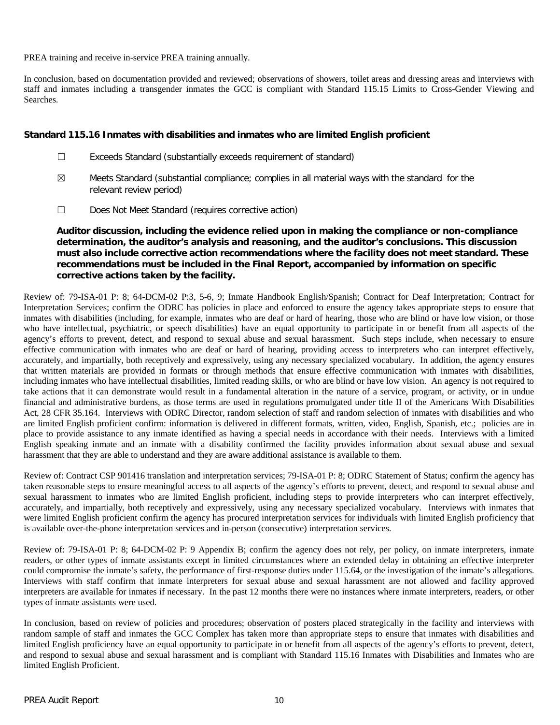PREA training and receive in-service PREA training annually.

In conclusion, based on documentation provided and reviewed; observations of showers, toilet areas and dressing areas and interviews with staff and inmates including a transgender inmates the GCC is compliant with Standard 115.15 Limits to Cross-Gender Viewing and Searches.

#### **Standard 115.16 Inmates with disabilities and inmates who are limited English proficient**

- ☐ Exceeds Standard (substantially exceeds requirement of standard)
- $\boxtimes$  Meets Standard (substantial compliance; complies in all material ways with the standard for the relevant review period)
- ☐ Does Not Meet Standard (requires corrective action)

# **Auditor discussion, including the evidence relied upon in making the compliance or non-compliance determination, the auditor's analysis and reasoning, and the auditor's conclusions. This discussion must also include corrective action recommendations where the facility does not meet standard. These recommendations must be included in the Final Report, accompanied by information on specific corrective actions taken by the facility.**

Review of: 79-ISA-01 P: 8; 64-DCM-02 P:3, 5-6, 9; Inmate Handbook English/Spanish; Contract for Deaf Interpretation; Contract for Interpretation Services; confirm the ODRC has policies in place and enforced to ensure the agency takes appropriate steps to ensure that inmates with disabilities (including, for example, inmates who are deaf or hard of hearing, those who are blind or have low vision, or those who have intellectual, psychiatric, or speech disabilities) have an equal opportunity to participate in or benefit from all aspects of the agency's efforts to prevent, detect, and respond to sexual abuse and sexual harassment. Such steps include, when necessary to ensure effective communication with inmates who are deaf or hard of hearing, providing access to interpreters who can interpret effectively, accurately, and impartially, both receptively and expressively, using any necessary specialized vocabulary. In addition, the agency ensures that written materials are provided in formats or through methods that ensure effective communication with inmates with disabilities, including inmates who have intellectual disabilities, limited reading skills, or who are blind or have low vision. An agency is not required to take actions that it can demonstrate would result in a fundamental alteration in the nature of a service, program, or activity, or in undue financial and administrative burdens, as those terms are used in regulations promulgated under title II of the Americans With Disabilities Act, 28 CFR 35.164. Interviews with ODRC Director, random selection of staff and random selection of inmates with disabilities and who are limited English proficient confirm: information is delivered in different formats, written, video, English, Spanish, etc.; policies are in place to provide assistance to any inmate identified as having a special needs in accordance with their needs. Interviews with a limited English speaking inmate and an inmate with a disability confirmed the facility provides information about sexual abuse and sexual harassment that they are able to understand and they are aware additional assistance is available to them.

Review of: Contract CSP 901416 translation and interpretation services; 79-ISA-01 P: 8; ODRC Statement of Status; confirm the agency has taken reasonable steps to ensure meaningful access to all aspects of the agency's efforts to prevent, detect, and respond to sexual abuse and sexual harassment to inmates who are limited English proficient, including steps to provide interpreters who can interpret effectively, accurately, and impartially, both receptively and expressively, using any necessary specialized vocabulary. Interviews with inmates that were limited English proficient confirm the agency has procured interpretation services for individuals with limited English proficiency that is available over-the-phone interpretation services and in-person (consecutive) interpretation services.

Review of: 79-ISA-01 P: 8; 64-DCM-02 P: 9 Appendix B; confirm the agency does not rely, per policy, on inmate interpreters, inmate readers, or other types of inmate assistants except in limited circumstances where an extended delay in obtaining an effective interpreter could compromise the inmate's safety, the performance of first-response duties under 115.64, or the investigation of the inmate's allegations. Interviews with staff confirm that inmate interpreters for sexual abuse and sexual harassment are not allowed and facility approved interpreters are available for inmates if necessary. In the past 12 months there were no instances where inmate interpreters, readers, or other types of inmate assistants were used.

In conclusion, based on review of policies and procedures; observation of posters placed strategically in the facility and interviews with random sample of staff and inmates the GCC Complex has taken more than appropriate steps to ensure that inmates with disabilities and limited English proficiency have an equal opportunity to participate in or benefit from all aspects of the agency's efforts to prevent, detect, and respond to sexual abuse and sexual harassment and is compliant with Standard 115.16 Inmates with Disabilities and Inmates who are limited English Proficient.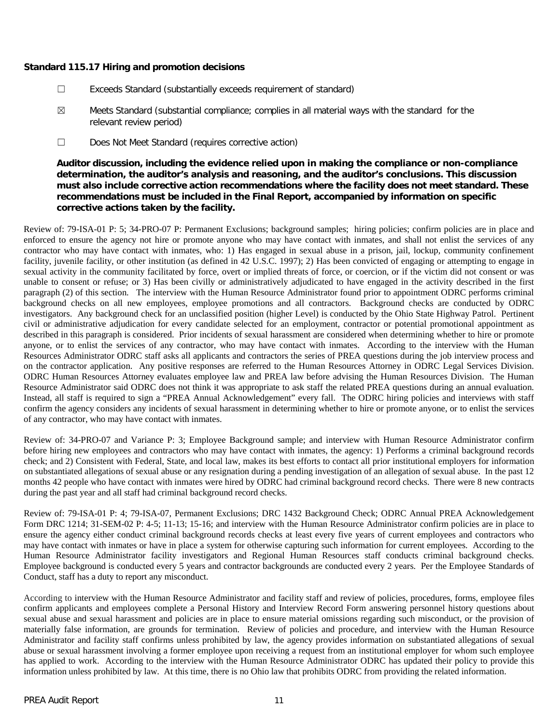## **Standard 115.17 Hiring and promotion decisions**

- ☐ Exceeds Standard (substantially exceeds requirement of standard)
- ☒ Meets Standard (substantial compliance; complies in all material ways with the standard for the relevant review period)
- ☐ Does Not Meet Standard (requires corrective action)

# **Auditor discussion, including the evidence relied upon in making the compliance or non-compliance determination, the auditor's analysis and reasoning, and the auditor's conclusions. This discussion must also include corrective action recommendations where the facility does not meet standard. These recommendations must be included in the Final Report, accompanied by information on specific corrective actions taken by the facility.**

Review of: 79-ISA-01 P: 5; 34-PRO-07 P: Permanent Exclusions; background samples; hiring policies; confirm policies are in place and enforced to ensure the agency not hire or promote anyone who may have contact with inmates, and shall not enlist the services of any contractor who may have contact with inmates, who: 1) Has engaged in sexual abuse in a prison, jail, lockup, community confinement facility, juvenile facility, or other institution (as defined in 42 U.S.C. 1997); 2) Has been convicted of engaging or attempting to engage in sexual activity in the community facilitated by force, overt or implied threats of force, or coercion, or if the victim did not consent or was unable to consent or refuse; or 3) Has been civilly or administratively adjudicated to have engaged in the activity described in the first paragraph (2) of this section. The interview with the Human Resource Administrator found prior to appointment ODRC performs criminal background checks on all new employees, employee promotions and all contractors. Background checks are conducted by ODRC investigators. Any background check for an unclassified position (higher Level) is conducted by the Ohio State Highway Patrol. Pertinent civil or administrative adjudication for every candidate selected for an employment, contractor or potential promotional appointment as described in this paragraph is considered. Prior incidents of sexual harassment are considered when determining whether to hire or promote anyone, or to enlist the services of any contractor, who may have contact with inmates. According to the interview with the Human Resources Administrator ODRC staff asks all applicants and contractors the series of PREA questions during the job interview process and on the contractor application. Any positive responses are referred to the Human Resources Attorney in ODRC Legal Services Division. ODRC Human Resources Attorney evaluates employee law and PREA law before advising the Human Resources Division. The Human Resource Administrator said ODRC does not think it was appropriate to ask staff the related PREA questions during an annual evaluation. Instead, all staff is required to sign a "PREA Annual Acknowledgement" every fall. The ODRC hiring policies and interviews with staff confirm the agency considers any incidents of sexual harassment in determining whether to hire or promote anyone, or to enlist the services of any contractor, who may have contact with inmates.

Review of: 34-PRO-07 and Variance P: 3; Employee Background sample; and interview with Human Resource Administrator confirm before hiring new employees and contractors who may have contact with inmates, the agency: 1) Performs a criminal background records check; and 2) Consistent with Federal, State, and local law, makes its best efforts to contact all prior institutional employers for information on substantiated allegations of sexual abuse or any resignation during a pending investigation of an allegation of sexual abuse. In the past 12 months 42 people who have contact with inmates were hired by ODRC had criminal background record checks. There were 8 new contracts during the past year and all staff had criminal background record checks.

Review of: 79-ISA-01 P: 4; 79-ISA-07, Permanent Exclusions; DRC 1432 Background Check; ODRC Annual PREA Acknowledgement Form DRC 1214; 31-SEM-02 P: 4-5; 11-13; 15-16; and interview with the Human Resource Administrator confirm policies are in place to ensure the agency either conduct criminal background records checks at least every five years of current employees and contractors who may have contact with inmates or have in place a system for otherwise capturing such information for current employees. According to the Human Resource Administrator facility investigators and Regional Human Resources staff conducts criminal background checks. Employee background is conducted every 5 years and contractor backgrounds are conducted every 2 years. Per the Employee Standards of Conduct, staff has a duty to report any misconduct.

According to interview with the Human Resource Administrator and facility staff and review of policies, procedures, forms, employee files confirm applicants and employees complete a Personal History and Interview Record Form answering personnel history questions about sexual abuse and sexual harassment and policies are in place to ensure material omissions regarding such misconduct, or the provision of materially false information, are grounds for termination. Review of policies and procedure, and interview with the Human Resource Administrator and facility staff confirms unless prohibited by law, the agency provides information on substantiated allegations of sexual abuse or sexual harassment involving a former employee upon receiving a request from an institutional employer for whom such employee has applied to work. According to the interview with the Human Resource Administrator ODRC has updated their policy to provide this information unless prohibited by law. At this time, there is no Ohio law that prohibits ODRC from providing the related information.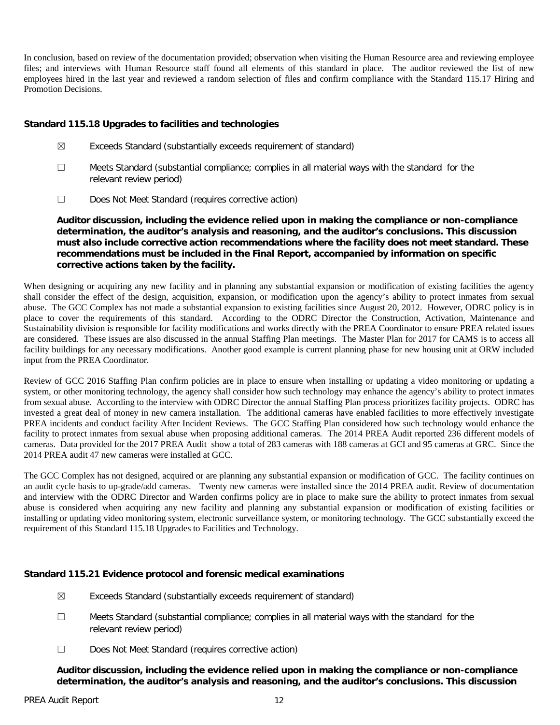In conclusion, based on review of the documentation provided; observation when visiting the Human Resource area and reviewing employee files; and interviews with Human Resource staff found all elements of this standard in place. The auditor reviewed the list of new employees hired in the last year and reviewed a random selection of files and confirm compliance with the Standard 115.17 Hiring and Promotion Decisions.

# **Standard 115.18 Upgrades to facilities and technologies**

- ☒ Exceeds Standard (substantially exceeds requirement of standard)
- ☐ Meets Standard (substantial compliance; complies in all material ways with the standard for the relevant review period)
- ☐ Does Not Meet Standard (requires corrective action)

**Auditor discussion, including the evidence relied upon in making the compliance or non-compliance determination, the auditor's analysis and reasoning, and the auditor's conclusions. This discussion must also include corrective action recommendations where the facility does not meet standard. These recommendations must be included in the Final Report, accompanied by information on specific corrective actions taken by the facility.**

When designing or acquiring any new facility and in planning any substantial expansion or modification of existing facilities the agency shall consider the effect of the design, acquisition, expansion, or modification upon the agency's ability to protect inmates from sexual abuse. The GCC Complex has not made a substantial expansion to existing facilities since August 20, 2012. However, ODRC policy is in place to cover the requirements of this standard. According to the ODRC Director the Construction, Activation, Maintenance and Sustainability division is responsible for facility modifications and works directly with the PREA Coordinator to ensure PREA related issues are considered. These issues are also discussed in the annual Staffing Plan meetings. The Master Plan for 2017 for CAMS is to access all facility buildings for any necessary modifications. Another good example is current planning phase for new housing unit at ORW included input from the PREA Coordinator.

Review of GCC 2016 Staffing Plan confirm policies are in place to ensure when installing or updating a video monitoring or updating a system, or other monitoring technology, the agency shall consider how such technology may enhance the agency's ability to protect inmates from sexual abuse. According to the interview with ODRC Director the annual Staffing Plan process prioritizes facility projects. ODRC has invested a great deal of money in new camera installation. The additional cameras have enabled facilities to more effectively investigate PREA incidents and conduct facility After Incident Reviews. The GCC Staffing Plan considered how such technology would enhance the facility to protect inmates from sexual abuse when proposing additional cameras. The 2014 PREA Audit reported 236 different models of cameras. Data provided for the 2017 PREA Audit show a total of 283 cameras with 188 cameras at GCI and 95 cameras at GRC. Since the 2014 PREA audit 47 new cameras were installed at GCC.

The GCC Complex has not designed, acquired or are planning any substantial expansion or modification of GCC. The facility continues on an audit cycle basis to up-grade/add cameras. Twenty new cameras were installed since the 2014 PREA audit. Review of documentation and interview with the ODRC Director and Warden confirms policy are in place to make sure the ability to protect inmates from sexual abuse is considered when acquiring any new facility and planning any substantial expansion or modification of existing facilities or installing or updating video monitoring system, electronic surveillance system, or monitoring technology. The GCC substantially exceed the requirement of this Standard 115.18 Upgrades to Facilities and Technology.

# **Standard 115.21 Evidence protocol and forensic medical examinations**

- $\boxtimes$  Exceeds Standard (substantially exceeds requirement of standard)
- ☐ Meets Standard (substantial compliance; complies in all material ways with the standard for the relevant review period)
- ☐ Does Not Meet Standard (requires corrective action)

**Auditor discussion, including the evidence relied upon in making the compliance or non-compliance determination, the auditor's analysis and reasoning, and the auditor's conclusions. This discussion**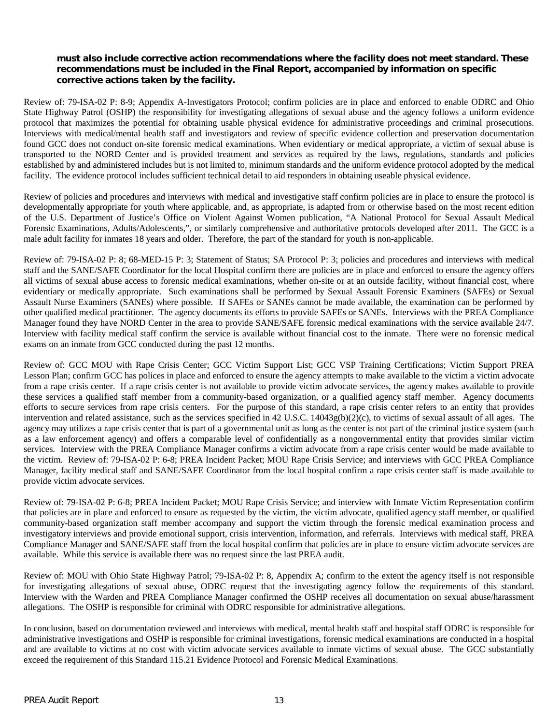# **must also include corrective action recommendations where the facility does not meet standard. These recommendations must be included in the Final Report, accompanied by information on specific corrective actions taken by the facility.**

Review of: 79-ISA-02 P: 8-9; Appendix A-Investigators Protocol; confirm policies are in place and enforced to enable ODRC and Ohio State Highway Patrol (OSHP) the responsibility for investigating allegations of sexual abuse and the agency follows a uniform evidence protocol that maximizes the potential for obtaining usable physical evidence for administrative proceedings and criminal prosecutions. Interviews with medical/mental health staff and investigators and review of specific evidence collection and preservation documentation found GCC does not conduct on-site forensic medical examinations. When evidentiary or medical appropriate, a victim of sexual abuse is transported to the NORD Center and is provided treatment and services as required by the laws, regulations, standards and policies established by and administered includes but is not limited to, minimum standards and the uniform evidence protocol adopted by the medical facility. The evidence protocol includes sufficient technical detail to aid responders in obtaining useable physical evidence.

Review of policies and procedures and interviews with medical and investigative staff confirm policies are in place to ensure the protocol is developmentally appropriate for youth where applicable, and, as appropriate, is adapted from or otherwise based on the most recent edition of the U.S. Department of Justice's Office on Violent Against Women publication, "A National Protocol for Sexual Assault Medical Forensic Examinations, Adults/Adolescents,", or similarly comprehensive and authoritative protocols developed after 2011. The GCC is a male adult facility for inmates 18 years and older. Therefore, the part of the standard for youth is non-applicable.

Review of: 79-ISA-02 P: 8; 68-MED-15 P: 3; Statement of Status; SA Protocol P: 3; policies and procedures and interviews with medical staff and the SANE/SAFE Coordinator for the local Hospital confirm there are policies are in place and enforced to ensure the agency offers all victims of sexual abuse access to forensic medical examinations, whether on-site or at an outside facility, without financial cost, where evidentiary or medically appropriate. Such examinations shall be performed by Sexual Assault Forensic Examiners (SAFEs) or Sexual Assault Nurse Examiners (SANEs) where possible. If SAFEs or SANEs cannot be made available, the examination can be performed by other qualified medical practitioner. The agency documents its efforts to provide SAFEs or SANEs. Interviews with the PREA Compliance Manager found they have NORD Center in the area to provide SANE/SAFE forensic medical examinations with the service available 24/7. Interview with facility medical staff confirm the service is available without financial cost to the inmate. There were no forensic medical exams on an inmate from GCC conducted during the past 12 months.

Review of: GCC MOU with Rape Crisis Center; GCC Victim Support List; GCC VSP Training Certifications; Victim Support PREA Lesson Plan; confirm GCC has polices in place and enforced to ensure the agency attempts to make available to the victim a victim advocate from a rape crisis center. If a rape crisis center is not available to provide victim advocate services, the agency makes available to provide these services a qualified staff member from a community-based organization, or a qualified agency staff member. Agency documents efforts to secure services from rape crisis centers. For the purpose of this standard, a rape crisis center refers to an entity that provides intervention and related assistance, such as the services specified in 42 U.S.C. 14043g(b)(2)(c), to victims of sexual assault of all ages. The agency may utilizes a rape crisis center that is part of a governmental unit as long as the center is not part of the criminal justice system (such as a law enforcement agency) and offers a comparable level of confidentially as a nongovernmental entity that provides similar victim services. Interview with the PREA Compliance Manager confirms a victim advocate from a rape crisis center would be made available to the victim. Review of: 79-ISA-02 P: 6-8; PREA Incident Packet; MOU Rape Crisis Service; and interviews with GCC PREA Compliance Manager, facility medical staff and SANE/SAFE Coordinator from the local hospital confirm a rape crisis center staff is made available to provide victim advocate services.

Review of: 79-ISA-02 P: 6-8; PREA Incident Packet; MOU Rape Crisis Service; and interview with Inmate Victim Representation confirm that policies are in place and enforced to ensure as requested by the victim, the victim advocate, qualified agency staff member, or qualified community-based organization staff member accompany and support the victim through the forensic medical examination process and investigatory interviews and provide emotional support, crisis intervention, information, and referrals. Interviews with medical staff, PREA Compliance Manager and SANE/SAFE staff from the local hospital confirm that policies are in place to ensure victim advocate services are available. While this service is available there was no request since the last PREA audit.

Review of: MOU with Ohio State Highway Patrol; 79-ISA-02 P: 8, Appendix A; confirm to the extent the agency itself is not responsible for investigating allegations of sexual abuse, ODRC request that the investigating agency follow the requirements of this standard. Interview with the Warden and PREA Compliance Manager confirmed the OSHP receives all documentation on sexual abuse/harassment allegations. The OSHP is responsible for criminal with ODRC responsible for administrative allegations.

In conclusion, based on documentation reviewed and interviews with medical, mental health staff and hospital staff ODRC is responsible for administrative investigations and OSHP is responsible for criminal investigations, forensic medical examinations are conducted in a hospital and are available to victims at no cost with victim advocate services available to inmate victims of sexual abuse. The GCC substantially exceed the requirement of this Standard 115.21 Evidence Protocol and Forensic Medical Examinations.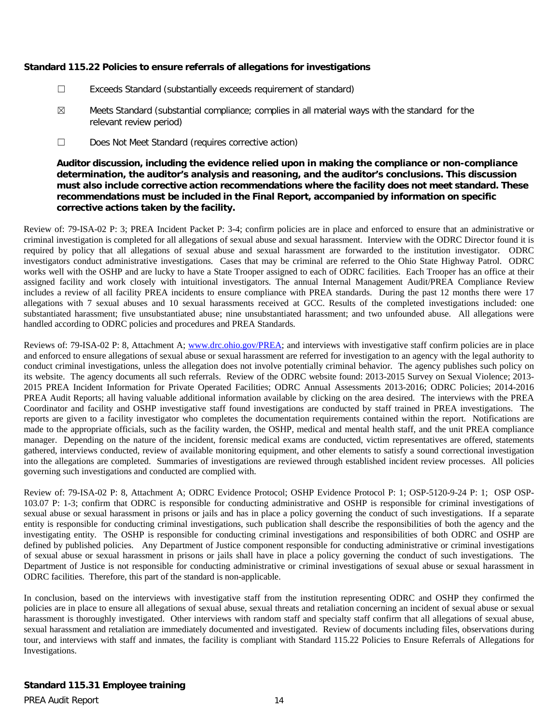# **Standard 115.22 Policies to ensure referrals of allegations for investigations**

- ☐ Exceeds Standard (substantially exceeds requirement of standard)
- ☒ Meets Standard (substantial compliance; complies in all material ways with the standard for the relevant review period)
- ☐ Does Not Meet Standard (requires corrective action)

**Auditor discussion, including the evidence relied upon in making the compliance or non-compliance determination, the auditor's analysis and reasoning, and the auditor's conclusions. This discussion must also include corrective action recommendations where the facility does not meet standard. These recommendations must be included in the Final Report, accompanied by information on specific corrective actions taken by the facility.**

Review of: 79-ISA-02 P: 3; PREA Incident Packet P: 3-4; confirm policies are in place and enforced to ensure that an administrative or criminal investigation is completed for all allegations of sexual abuse and sexual harassment. Interview with the ODRC Director found it is required by policy that all allegations of sexual abuse and sexual harassment are forwarded to the institution investigator. ODRC investigators conduct administrative investigations. Cases that may be criminal are referred to the Ohio State Highway Patrol. ODRC works well with the OSHP and are lucky to have a State Trooper assigned to each of ODRC facilities. Each Trooper has an office at their assigned facility and work closely with intuitional investigators. The annual Internal Management Audit/PREA Compliance Review includes a review of all facility PREA incidents to ensure compliance with PREA standards. During the past 12 months there were 17 allegations with 7 sexual abuses and 10 sexual harassments received at GCC. Results of the completed investigations included: one substantiated harassment; five unsubstantiated abuse; nine unsubstantiated harassment; and two unfounded abuse. All allegations were handled according to ODRC policies and procedures and PREA Standards.

Reviews of: 79-ISA-02 P: 8, Attachment A; [www.drc.ohio.gov/PREA;](http://www.drc.ohio.gov/PREA) and interviews with investigative staff confirm policies are in place and enforced to ensure allegations of sexual abuse or sexual harassment are referred for investigation to an agency with the legal authority to conduct criminal investigations, unless the allegation does not involve potentially criminal behavior. The agency publishes such policy on its website. The agency documents all such referrals. Review of the ODRC website found: 2013-2015 Survey on Sexual Violence; 2013- 2015 PREA Incident Information for Private Operated Facilities; ODRC Annual Assessments 2013-2016; ODRC Policies; 2014-2016 PREA Audit Reports; all having valuable additional information available by clicking on the area desired. The interviews with the PREA Coordinator and facility and OSHP investigative staff found investigations are conducted by staff trained in PREA investigations. The reports are given to a facility investigator who completes the documentation requirements contained within the report. Notifications are made to the appropriate officials, such as the facility warden, the OSHP, medical and mental health staff, and the unit PREA compliance manager. Depending on the nature of the incident, forensic medical exams are conducted, victim representatives are offered, statements gathered, interviews conducted, review of available monitoring equipment, and other elements to satisfy a sound correctional investigation into the allegations are completed. Summaries of investigations are reviewed through established incident review processes. All policies governing such investigations and conducted are complied with.

Review of: 79-ISA-02 P: 8, Attachment A; ODRC Evidence Protocol; OSHP Evidence Protocol P: 1; OSP-5120-9-24 P: 1; OSP OSP-103.07 P: 1-3; confirm that ODRC is responsible for conducting administrative and OSHP is responsible for criminal investigations of sexual abuse or sexual harassment in prisons or jails and has in place a policy governing the conduct of such investigations. If a separate entity is responsible for conducting criminal investigations, such publication shall describe the responsibilities of both the agency and the investigating entity. The OSHP is responsible for conducting criminal investigations and responsibilities of both ODRC and OSHP are defined by published policies. Any Department of Justice component responsible for conducting administrative or criminal investigations of sexual abuse or sexual harassment in prisons or jails shall have in place a policy governing the conduct of such investigations. The Department of Justice is not responsible for conducting administrative or criminal investigations of sexual abuse or sexual harassment in ODRC facilities. Therefore, this part of the standard is non-applicable.

In conclusion, based on the interviews with investigative staff from the institution representing ODRC and OSHP they confirmed the policies are in place to ensure all allegations of sexual abuse, sexual threats and retaliation concerning an incident of sexual abuse or sexual harassment is thoroughly investigated. Other interviews with random staff and specialty staff confirm that all allegations of sexual abuse, sexual harassment and retaliation are immediately documented and investigated. Review of documents including files, observations during tour, and interviews with staff and inmates, the facility is compliant with Standard 115.22 Policies to Ensure Referrals of Allegations for Investigations.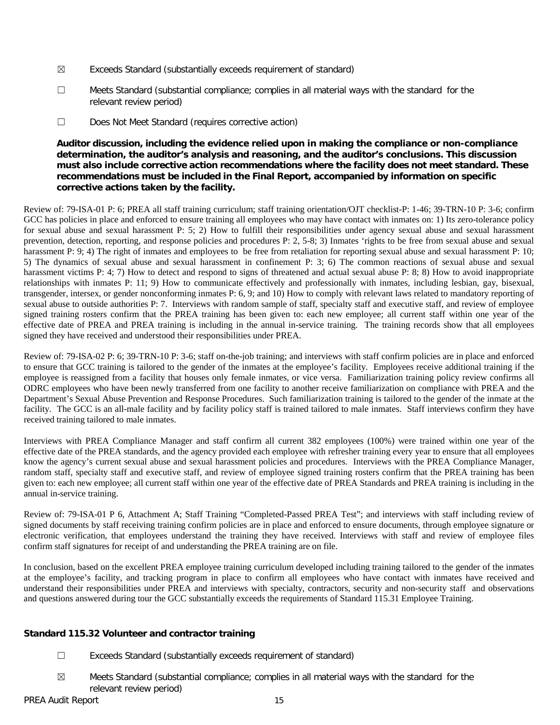- $\boxtimes$  Exceeds Standard (substantially exceeds requirement of standard)
- ☐ Meets Standard (substantial compliance; complies in all material ways with the standard for the relevant review period)
- ☐ Does Not Meet Standard (requires corrective action)

# **Auditor discussion, including the evidence relied upon in making the compliance or non-compliance determination, the auditor's analysis and reasoning, and the auditor's conclusions. This discussion must also include corrective action recommendations where the facility does not meet standard. These recommendations must be included in the Final Report, accompanied by information on specific corrective actions taken by the facility.**

Review of: 79-ISA-01 P: 6; PREA all staff training curriculum; staff training orientation/OJT checklist-P: 1-46; 39-TRN-10 P: 3-6; confirm GCC has policies in place and enforced to ensure training all employees who may have contact with inmates on: 1) Its zero-tolerance policy for sexual abuse and sexual harassment P: 5; 2) How to fulfill their responsibilities under agency sexual abuse and sexual harassment prevention, detection, reporting, and response policies and procedures P: 2, 5-8; 3) Inmates 'rights to be free from sexual abuse and sexual harassment P: 9; 4) The right of inmates and employees to be free from retaliation for reporting sexual abuse and sexual harassment P: 10; 5) The dynamics of sexual abuse and sexual harassment in confinement P: 3; 6) The common reactions of sexual abuse and sexual harassment victims P: 4; 7) How to detect and respond to signs of threatened and actual sexual abuse P: 8; 8) How to avoid inappropriate relationships with inmates P: 11; 9) How to communicate effectively and professionally with inmates, including lesbian, gay, bisexual, transgender, intersex, or gender nonconforming inmates P: 6, 9; and 10) How to comply with relevant laws related to mandatory reporting of sexual abuse to outside authorities P: 7. Interviews with random sample of staff, specialty staff and executive staff, and review of employee signed training rosters confirm that the PREA training has been given to: each new employee; all current staff within one year of the effective date of PREA and PREA training is including in the annual in-service training. The training records show that all employees signed they have received and understood their responsibilities under PREA.

Review of: 79-ISA-02 P: 6; 39-TRN-10 P: 3-6; staff on-the-job training; and interviews with staff confirm policies are in place and enforced to ensure that GCC training is tailored to the gender of the inmates at the employee's facility. Employees receive additional training if the employee is reassigned from a facility that houses only female inmates, or vice versa. Familiarization training policy review confirms all ODRC employees who have been newly transferred from one facility to another receive familiarization on compliance with PREA and the Department's Sexual Abuse Prevention and Response Procedures. Such familiarization training is tailored to the gender of the inmate at the facility. The GCC is an all-male facility and by facility policy staff is trained tailored to male inmates. Staff interviews confirm they have received training tailored to male inmates.

Interviews with PREA Compliance Manager and staff confirm all current 382 employees (100%) were trained within one year of the effective date of the PREA standards, and the agency provided each employee with refresher training every year to ensure that all employees know the agency's current sexual abuse and sexual harassment policies and procedures. Interviews with the PREA Compliance Manager, random staff, specialty staff and executive staff, and review of employee signed training rosters confirm that the PREA training has been given to: each new employee; all current staff within one year of the effective date of PREA Standards and PREA training is including in the annual in-service training.

Review of: 79-ISA-01 P 6, Attachment A; Staff Training "Completed-Passed PREA Test"; and interviews with staff including review of signed documents by staff receiving training confirm policies are in place and enforced to ensure documents, through employee signature or electronic verification, that employees understand the training they have received. Interviews with staff and review of employee files confirm staff signatures for receipt of and understanding the PREA training are on file.

In conclusion, based on the excellent PREA employee training curriculum developed including training tailored to the gender of the inmates at the employee's facility, and tracking program in place to confirm all employees who have contact with inmates have received and understand their responsibilities under PREA and interviews with specialty, contractors, security and non-security staff and observations and questions answered during tour the GCC substantially exceeds the requirements of Standard 115.31 Employee Training.

# **Standard 115.32 Volunteer and contractor training**

- ☐ Exceeds Standard (substantially exceeds requirement of standard)
- $\boxtimes$  Meets Standard (substantial compliance; complies in all material ways with the standard for the relevant review period)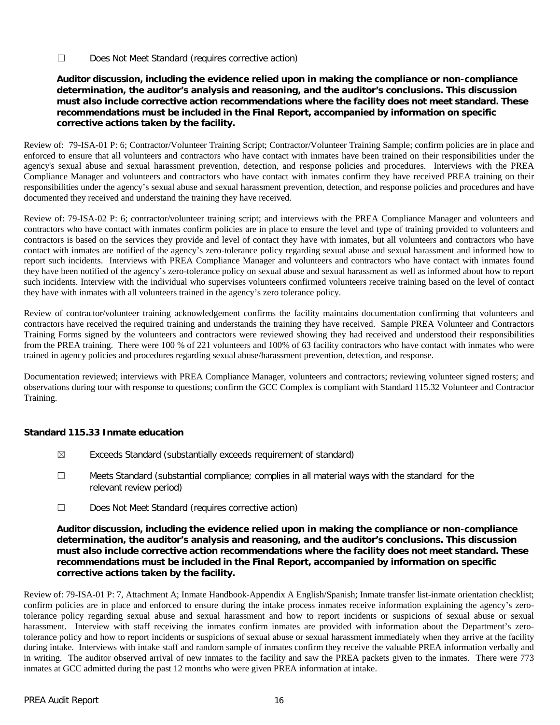☐ Does Not Meet Standard (requires corrective action)

# **Auditor discussion, including the evidence relied upon in making the compliance or non-compliance determination, the auditor's analysis and reasoning, and the auditor's conclusions. This discussion must also include corrective action recommendations where the facility does not meet standard. These recommendations must be included in the Final Report, accompanied by information on specific corrective actions taken by the facility.**

Review of: 79-ISA-01 P: 6; Contractor/Volunteer Training Script; Contractor/Volunteer Training Sample; confirm policies are in place and enforced to ensure that all volunteers and contractors who have contact with inmates have been trained on their responsibilities under the agency's sexual abuse and sexual harassment prevention, detection, and response policies and procedures. Interviews with the PREA Compliance Manager and volunteers and contractors who have contact with inmates confirm they have received PREA training on their responsibilities under the agency's sexual abuse and sexual harassment prevention, detection, and response policies and procedures and have documented they received and understand the training they have received.

Review of: 79-ISA-02 P: 6; contractor/volunteer training script; and interviews with the PREA Compliance Manager and volunteers and contractors who have contact with inmates confirm policies are in place to ensure the level and type of training provided to volunteers and contractors is based on the services they provide and level of contact they have with inmates, but all volunteers and contractors who have contact with inmates are notified of the agency's zero-tolerance policy regarding sexual abuse and sexual harassment and informed how to report such incidents. Interviews with PREA Compliance Manager and volunteers and contractors who have contact with inmates found they have been notified of the agency's zero-tolerance policy on sexual abuse and sexual harassment as well as informed about how to report such incidents. Interview with the individual who supervises volunteers confirmed volunteers receive training based on the level of contact they have with inmates with all volunteers trained in the agency's zero tolerance policy.

Review of contractor/volunteer training acknowledgement confirms the facility maintains documentation confirming that volunteers and contractors have received the required training and understands the training they have received. Sample PREA Volunteer and Contractors Training Forms signed by the volunteers and contractors were reviewed showing they had received and understood their responsibilities from the PREA training. There were 100 % of 221 volunteers and 100% of 63 facility contractors who have contact with inmates who were trained in agency policies and procedures regarding sexual abuse/harassment prevention, detection, and response.

Documentation reviewed; interviews with PREA Compliance Manager, volunteers and contractors; reviewing volunteer signed rosters; and observations during tour with response to questions; confirm the GCC Complex is compliant with Standard 115.32 Volunteer and Contractor Training.

# **Standard 115.33 Inmate education**

- ☒ Exceeds Standard (substantially exceeds requirement of standard)
- ☐ Meets Standard (substantial compliance; complies in all material ways with the standard for the relevant review period)
- ☐ Does Not Meet Standard (requires corrective action)

# **Auditor discussion, including the evidence relied upon in making the compliance or non-compliance determination, the auditor's analysis and reasoning, and the auditor's conclusions. This discussion must also include corrective action recommendations where the facility does not meet standard. These recommendations must be included in the Final Report, accompanied by information on specific corrective actions taken by the facility.**

Review of: 79-ISA-01 P: 7, Attachment A; Inmate Handbook-Appendix A English/Spanish; Inmate transfer list-inmate orientation checklist; confirm policies are in place and enforced to ensure during the intake process inmates receive information explaining the agency's zerotolerance policy regarding sexual abuse and sexual harassment and how to report incidents or suspicions of sexual abuse or sexual harassment. Interview with staff receiving the inmates confirm inmates are provided with information about the Department's zerotolerance policy and how to report incidents or suspicions of sexual abuse or sexual harassment immediately when they arrive at the facility during intake. Interviews with intake staff and random sample of inmates confirm they receive the valuable PREA information verbally and in writing. The auditor observed arrival of new inmates to the facility and saw the PREA packets given to the inmates. There were 773 inmates at GCC admitted during the past 12 months who were given PREA information at intake.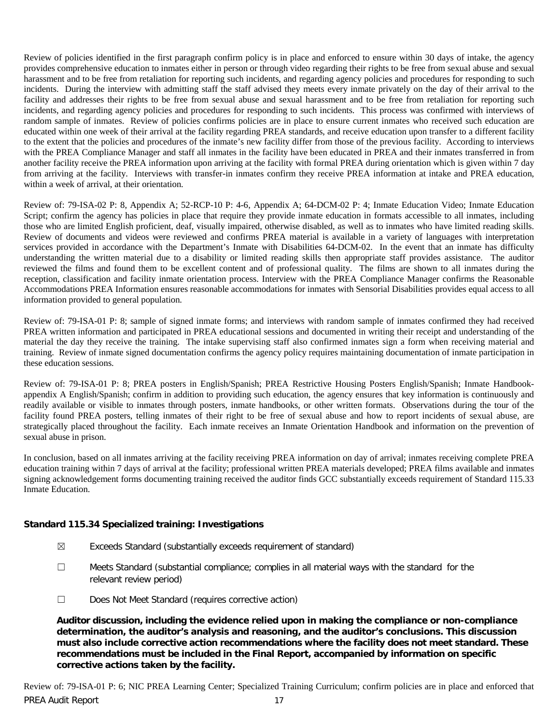Review of policies identified in the first paragraph confirm policy is in place and enforced to ensure within 30 days of intake, the agency provides comprehensive education to inmates either in person or through video regarding their rights to be free from sexual abuse and sexual harassment and to be free from retaliation for reporting such incidents, and regarding agency policies and procedures for responding to such incidents. During the interview with admitting staff the staff advised they meets every inmate privately on the day of their arrival to the facility and addresses their rights to be free from sexual abuse and sexual harassment and to be free from retaliation for reporting such incidents, and regarding agency policies and procedures for responding to such incidents. This process was confirmed with interviews of random sample of inmates. Review of policies confirms policies are in place to ensure current inmates who received such education are educated within one week of their arrival at the facility regarding PREA standards, and receive education upon transfer to a different facility to the extent that the policies and procedures of the inmate's new facility differ from those of the previous facility. According to interviews with the PREA Compliance Manager and staff all inmates in the facility have been educated in PREA and their inmates transferred in from another facility receive the PREA information upon arriving at the facility with formal PREA during orientation which is given within 7 day from arriving at the facility. Interviews with transfer-in inmates confirm they receive PREA information at intake and PREA education, within a week of arrival, at their orientation.

Review of: 79-ISA-02 P: 8, Appendix A; 52-RCP-10 P: 4-6, Appendix A; 64-DCM-02 P: 4; Inmate Education Video; Inmate Education Script; confirm the agency has policies in place that require they provide inmate education in formats accessible to all inmates, including those who are limited English proficient, deaf, visually impaired, otherwise disabled, as well as to inmates who have limited reading skills. Review of documents and videos were reviewed and confirms PREA material is available in a variety of languages with interpretation services provided in accordance with the Department's Inmate with Disabilities 64-DCM-02. In the event that an inmate has difficulty understanding the written material due to a disability or limited reading skills then appropriate staff provides assistance. The auditor reviewed the films and found them to be excellent content and of professional quality. The films are shown to all inmates during the reception, classification and facility inmate orientation process. Interview with the PREA Compliance Manager confirms the Reasonable Accommodations PREA Information ensures reasonable accommodations for inmates with Sensorial Disabilities provides equal access to all information provided to general population.

Review of: 79-ISA-01 P: 8; sample of signed inmate forms; and interviews with random sample of inmates confirmed they had received PREA written information and participated in PREA educational sessions and documented in writing their receipt and understanding of the material the day they receive the training. The intake supervising staff also confirmed inmates sign a form when receiving material and training. Review of inmate signed documentation confirms the agency policy requires maintaining documentation of inmate participation in these education sessions.

Review of: 79-ISA-01 P: 8; PREA posters in English/Spanish; PREA Restrictive Housing Posters English/Spanish; Inmate Handbookappendix A English/Spanish; confirm in addition to providing such education, the agency ensures that key information is continuously and readily available or visible to inmates through posters, inmate handbooks, or other written formats. Observations during the tour of the facility found PREA posters, telling inmates of their right to be free of sexual abuse and how to report incidents of sexual abuse, are strategically placed throughout the facility. Each inmate receives an Inmate Orientation Handbook and information on the prevention of sexual abuse in prison.

In conclusion, based on all inmates arriving at the facility receiving PREA information on day of arrival; inmates receiving complete PREA education training within 7 days of arrival at the facility; professional written PREA materials developed; PREA films available and inmates signing acknowledgement forms documenting training received the auditor finds GCC substantially exceeds requirement of Standard 115.33 Inmate Education.

# **Standard 115.34 Specialized training: Investigations**

- $\boxtimes$  Exceeds Standard (substantially exceeds requirement of standard)
- $\Box$  Meets Standard (substantial compliance; complies in all material ways with the standard for the relevant review period)
- ☐ Does Not Meet Standard (requires corrective action)

**Auditor discussion, including the evidence relied upon in making the compliance or non-compliance determination, the auditor's analysis and reasoning, and the auditor's conclusions. This discussion must also include corrective action recommendations where the facility does not meet standard. These recommendations must be included in the Final Report, accompanied by information on specific corrective actions taken by the facility.**

PREA Audit Report 17 Review of: 79-ISA-01 P: 6; NIC PREA Learning Center; Specialized Training Curriculum; confirm policies are in place and enforced that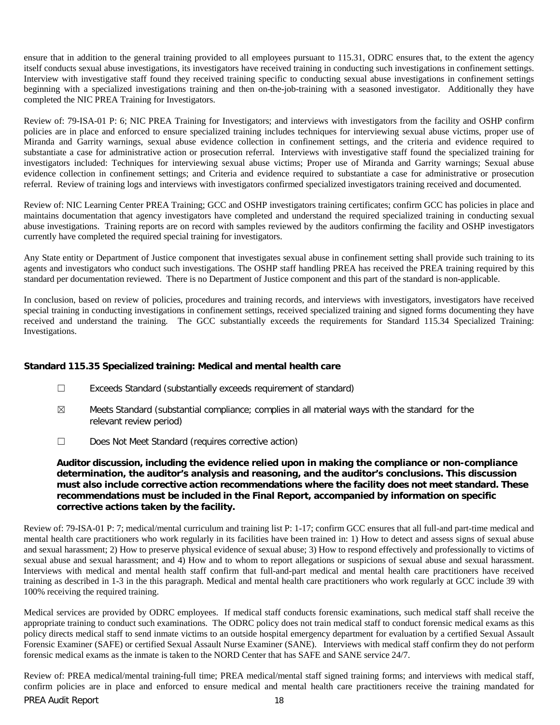ensure that in addition to the general training provided to all employees pursuant to 115.31, ODRC ensures that, to the extent the agency itself conducts sexual abuse investigations, its investigators have received training in conducting such investigations in confinement settings. Interview with investigative staff found they received training specific to conducting sexual abuse investigations in confinement settings beginning with a specialized investigations training and then on-the-job-training with a seasoned investigator. Additionally they have completed the NIC PREA Training for Investigators.

Review of: 79-ISA-01 P: 6; NIC PREA Training for Investigators; and interviews with investigators from the facility and OSHP confirm policies are in place and enforced to ensure specialized training includes techniques for interviewing sexual abuse victims, proper use of Miranda and Garrity warnings, sexual abuse evidence collection in confinement settings, and the criteria and evidence required to substantiate a case for administrative action or prosecution referral. Interviews with investigative staff found the specialized training for investigators included: Techniques for interviewing sexual abuse victims; Proper use of Miranda and Garrity warnings; Sexual abuse evidence collection in confinement settings; and Criteria and evidence required to substantiate a case for administrative or prosecution referral. Review of training logs and interviews with investigators confirmed specialized investigators training received and documented.

Review of: NIC Learning Center PREA Training; GCC and OSHP investigators training certificates; confirm GCC has policies in place and maintains documentation that agency investigators have completed and understand the required specialized training in conducting sexual abuse investigations. Training reports are on record with samples reviewed by the auditors confirming the facility and OSHP investigators currently have completed the required special training for investigators.

Any State entity or Department of Justice component that investigates sexual abuse in confinement setting shall provide such training to its agents and investigators who conduct such investigations. The OSHP staff handling PREA has received the PREA training required by this standard per documentation reviewed. There is no Department of Justice component and this part of the standard is non-applicable.

In conclusion, based on review of policies, procedures and training records, and interviews with investigators, investigators have received special training in conducting investigations in confinement settings, received specialized training and signed forms documenting they have received and understand the training. The GCC substantially exceeds the requirements for Standard 115.34 Specialized Training: Investigations.

#### **Standard 115.35 Specialized training: Medical and mental health care**

- ☐ Exceeds Standard (substantially exceeds requirement of standard)
- $\boxtimes$  Meets Standard (substantial compliance; complies in all material ways with the standard for the relevant review period)
- ☐ Does Not Meet Standard (requires corrective action)

**Auditor discussion, including the evidence relied upon in making the compliance or non-compliance determination, the auditor's analysis and reasoning, and the auditor's conclusions. This discussion must also include corrective action recommendations where the facility does not meet standard. These recommendations must be included in the Final Report, accompanied by information on specific corrective actions taken by the facility.**

Review of: 79-ISA-01 P: 7; medical/mental curriculum and training list P: 1-17; confirm GCC ensures that all full-and part-time medical and mental health care practitioners who work regularly in its facilities have been trained in: 1) How to detect and assess signs of sexual abuse and sexual harassment; 2) How to preserve physical evidence of sexual abuse; 3) How to respond effectively and professionally to victims of sexual abuse and sexual harassment; and 4) How and to whom to report allegations or suspicions of sexual abuse and sexual harassment. Interviews with medical and mental health staff confirm that full-and-part medical and mental health care practitioners have received training as described in 1-3 in the this paragraph. Medical and mental health care practitioners who work regularly at GCC include 39 with 100% receiving the required training.

Medical services are provided by ODRC employees. If medical staff conducts forensic examinations, such medical staff shall receive the appropriate training to conduct such examinations. The ODRC policy does not train medical staff to conduct forensic medical exams as this policy directs medical staff to send inmate victims to an outside hospital emergency department for evaluation by a certified Sexual Assault Forensic Examiner (SAFE) or certified Sexual Assault Nurse Examiner (SANE). Interviews with medical staff confirm they do not perform forensic medical exams as the inmate is taken to the NORD Center that has SAFE and SANE service 24/7.

PREA Audit Report 18 Review of: PREA medical/mental training-full time; PREA medical/mental staff signed training forms; and interviews with medical staff, confirm policies are in place and enforced to ensure medical and mental health care practitioners receive the training mandated for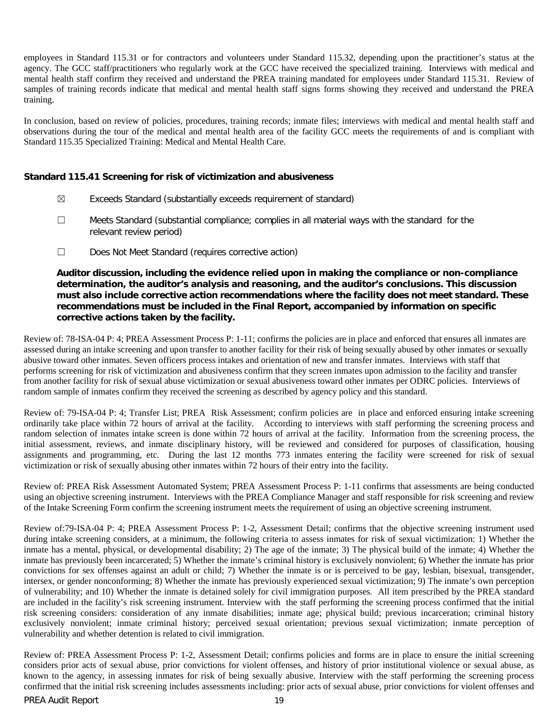employees in Standard 115.31 or for contractors and volunteers under Standard 115.32, depending upon the practitioner's status at the agency. The GCC staff/practitioners who regularly work at the GCC have received the specialized training. Interviews with medical and mental health staff confirm they received and understand the PREA training mandated for employees under Standard 115.31. Review of samples of training records indicate that medical and mental health staff signs forms showing they received and understand the PREA training.

In conclusion, based on review of policies, procedures, training records; inmate files; interviews with medical and mental health staff and observations during the tour of the medical and mental health area of the facility GCC meets the requirements of and is compliant with Standard 115.35 Specialized Training: Medical and Mental Health Care.

#### **Standard 115.41 Screening for risk of victimization and abusiveness**

- $\boxtimes$  Exceeds Standard (substantially exceeds requirement of standard)
- ☐ Meets Standard (substantial compliance; complies in all material ways with the standard for the relevant review period)
- ☐ Does Not Meet Standard (requires corrective action)

**Auditor discussion, including the evidence relied upon in making the compliance or non-compliance determination, the auditor's analysis and reasoning, and the auditor's conclusions. This discussion must also include corrective action recommendations where the facility does not meet standard. These recommendations must be included in the Final Report, accompanied by information on specific corrective actions taken by the facility.**

Review of: 78-ISA-04 P: 4; PREA Assessment Process P: 1-11; confirms the policies are in place and enforced that ensures all inmates are assessed during an intake screening and upon transfer to another facility for their risk of being sexually abused by other inmates or sexually abusive toward other inmates. Seven officers process intakes and orientation of new and transfer inmates. Interviews with staff that performs screening for risk of victimization and abusiveness confirm that they screen inmates upon admission to the facility and transfer from another facility for risk of sexual abuse victimization or sexual abusiveness toward other inmates per ODRC policies. Interviews of random sample of inmates confirm they received the screening as described by agency policy and this standard.

Review of: 79-ISA-04 P: 4; Transfer List; PREA Risk Assessment; confirm policies are in place and enforced ensuring intake screening ordinarily take place within 72 hours of arrival at the facility. According to interviews with staff performing the screening process and random selection of inmates intake screen is done within 72 hours of arrival at the facility. Information from the screening process, the initial assessment, reviews, and inmate disciplinary history, will be reviewed and considered for purposes of classification, housing assignments and programming, etc. During the last 12 months 773 inmates entering the facility were screened for risk of sexual victimization or risk of sexually abusing other inmates within 72 hours of their entry into the facility.

Review of: PREA Risk Assessment Automated System; PREA Assessment Process P: 1-11 confirms that assessments are being conducted using an objective screening instrument. Interviews with the PREA Compliance Manager and staff responsible for risk screening and review of the Intake Screening Form confirm the screening instrument meets the requirement of using an objective screening instrument.

Review of:79-ISA-04 P: 4; PREA Assessment Process P: 1-2, Assessment Detail; confirms that the objective screening instrument used during intake screening considers, at a minimum, the following criteria to assess inmates for risk of sexual victimization: 1) Whether the inmate has a mental, physical, or developmental disability; 2) The age of the inmate; 3) The physical build of the inmate; 4) Whether the inmate has previously been incarcerated; 5) Whether the inmate's criminal history is exclusively nonviolent; 6) Whether the inmate has prior convictions for sex offenses against an adult or child; 7) Whether the inmate is or is perceived to be gay, lesbian, bisexual, transgender, intersex, or gender nonconforming; 8) Whether the inmate has previously experienced sexual victimization; 9) The inmate's own perception of vulnerability; and 10) Whether the inmate is detained solely for civil immigration purposes. All item prescribed by the PREA standard are included in the facility's risk screening instrument. Interview with the staff performing the screening process confirmed that the initial risk screening considers: consideration of any inmate disabilities; inmate age; physical build; previous incarceration; criminal history exclusively nonviolent; inmate criminal history; perceived sexual orientation; previous sexual victimization; inmate perception of vulnerability and whether detention is related to civil immigration.

Review of: PREA Assessment Process P: 1-2, Assessment Detail; confirms policies and forms are in place to ensure the initial screening considers prior acts of sexual abuse, prior convictions for violent offenses, and history of prior institutional violence or sexual abuse, as known to the agency, in assessing inmates for risk of being sexually abusive. Interview with the staff performing the screening process confirmed that the initial risk screening includes assessments including: prior acts of sexual abuse, prior convictions for violent offenses and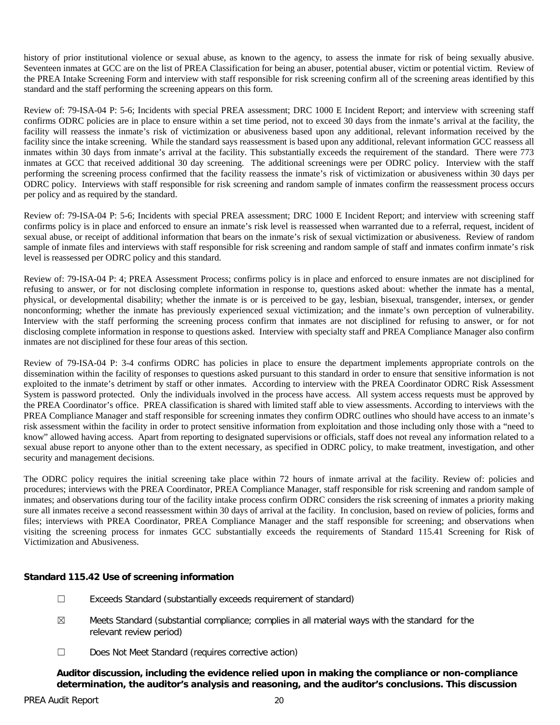history of prior institutional violence or sexual abuse, as known to the agency, to assess the inmate for risk of being sexually abusive. Seventeen inmates at GCC are on the list of PREA Classification for being an abuser, potential abuser, victim or potential victim. Review of the PREA Intake Screening Form and interview with staff responsible for risk screening confirm all of the screening areas identified by this standard and the staff performing the screening appears on this form.

Review of: 79-ISA-04 P: 5-6; Incidents with special PREA assessment; DRC 1000 E Incident Report; and interview with screening staff confirms ODRC policies are in place to ensure within a set time period, not to exceed 30 days from the inmate's arrival at the facility, the facility will reassess the inmate's risk of victimization or abusiveness based upon any additional, relevant information received by the facility since the intake screening. While the standard says reassessment is based upon any additional, relevant information GCC reassess all inmates within 30 days from inmate's arrival at the facility. This substantially exceeds the requirement of the standard. There were 773 inmates at GCC that received additional 30 day screening. The additional screenings were per ODRC policy. Interview with the staff performing the screening process confirmed that the facility reassess the inmate's risk of victimization or abusiveness within 30 days per ODRC policy. Interviews with staff responsible for risk screening and random sample of inmates confirm the reassessment process occurs per policy and as required by the standard.

Review of: 79-ISA-04 P: 5-6; Incidents with special PREA assessment; DRC 1000 E Incident Report; and interview with screening staff confirms policy is in place and enforced to ensure an inmate's risk level is reassessed when warranted due to a referral, request, incident of sexual abuse, or receipt of additional information that bears on the inmate's risk of sexual victimization or abusiveness. Review of random sample of inmate files and interviews with staff responsible for risk screening and random sample of staff and inmates confirm inmate's risk level is reassessed per ODRC policy and this standard.

Review of: 79-ISA-04 P: 4; PREA Assessment Process; confirms policy is in place and enforced to ensure inmates are not disciplined for refusing to answer, or for not disclosing complete information in response to, questions asked about: whether the inmate has a mental, physical, or developmental disability; whether the inmate is or is perceived to be gay, lesbian, bisexual, transgender, intersex, or gender nonconforming; whether the inmate has previously experienced sexual victimization; and the inmate's own perception of vulnerability. Interview with the staff performing the screening process confirm that inmates are not disciplined for refusing to answer, or for not disclosing complete information in response to questions asked. Interview with specialty staff and PREA Compliance Manager also confirm inmates are not disciplined for these four areas of this section.

Review of 79-ISA-04 P: 3-4 confirms ODRC has policies in place to ensure the department implements appropriate controls on the dissemination within the facility of responses to questions asked pursuant to this standard in order to ensure that sensitive information is not exploited to the inmate's detriment by staff or other inmates. According to interview with the PREA Coordinator ODRC Risk Assessment System is password protected. Only the individuals involved in the process have access. All system access requests must be approved by the PREA Coordinator's office. PREA classification is shared with limited staff able to view assessments. According to interviews with the PREA Compliance Manager and staff responsible for screening inmates they confirm ODRC outlines who should have access to an inmate's risk assessment within the facility in order to protect sensitive information from exploitation and those including only those with a "need to know" allowed having access. Apart from reporting to designated supervisions or officials, staff does not reveal any information related to a sexual abuse report to anyone other than to the extent necessary, as specified in ODRC policy, to make treatment, investigation, and other security and management decisions.

The ODRC policy requires the initial screening take place within 72 hours of inmate arrival at the facility. Review of: policies and procedures; interviews with the PREA Coordinator, PREA Compliance Manager, staff responsible for risk screening and random sample of inmates; and observations during tour of the facility intake process confirm ODRC considers the risk screening of inmates a priority making sure all inmates receive a second reassessment within 30 days of arrival at the facility. In conclusion, based on review of policies, forms and files; interviews with PREA Coordinator, PREA Compliance Manager and the staff responsible for screening; and observations when visiting the screening process for inmates GCC substantially exceeds the requirements of Standard 115.41 Screening for Risk of Victimization and Abusiveness.

# **Standard 115.42 Use of screening information**

- ☐ Exceeds Standard (substantially exceeds requirement of standard)
- $\boxtimes$  Meets Standard (substantial compliance; complies in all material ways with the standard for the relevant review period)
- ☐ Does Not Meet Standard (requires corrective action)

**Auditor discussion, including the evidence relied upon in making the compliance or non-compliance determination, the auditor's analysis and reasoning, and the auditor's conclusions. This discussion**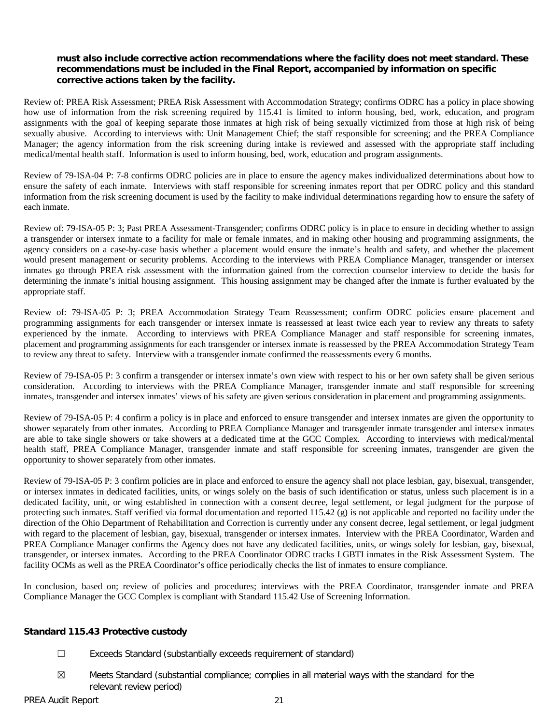# **must also include corrective action recommendations where the facility does not meet standard. These recommendations must be included in the Final Report, accompanied by information on specific corrective actions taken by the facility.**

Review of: PREA Risk Assessment; PREA Risk Assessment with Accommodation Strategy; confirms ODRC has a policy in place showing how use of information from the risk screening required by 115.41 is limited to inform housing, bed, work, education, and program assignments with the goal of keeping separate those inmates at high risk of being sexually victimized from those at high risk of being sexually abusive. According to interviews with: Unit Management Chief; the staff responsible for screening; and the PREA Compliance Manager; the agency information from the risk screening during intake is reviewed and assessed with the appropriate staff including medical/mental health staff. Information is used to inform housing, bed, work, education and program assignments.

Review of 79-ISA-04 P: 7-8 confirms ODRC policies are in place to ensure the agency makes individualized determinations about how to ensure the safety of each inmate. Interviews with staff responsible for screening inmates report that per ODRC policy and this standard information from the risk screening document is used by the facility to make individual determinations regarding how to ensure the safety of each inmate.

Review of: 79-ISA-05 P: 3; Past PREA Assessment-Transgender; confirms ODRC policy is in place to ensure in deciding whether to assign a transgender or intersex inmate to a facility for male or female inmates, and in making other housing and programming assignments, the agency considers on a case-by-case basis whether a placement would ensure the inmate's health and safety, and whether the placement would present management or security problems. According to the interviews with PREA Compliance Manager, transgender or intersex inmates go through PREA risk assessment with the information gained from the correction counselor interview to decide the basis for determining the inmate's initial housing assignment. This housing assignment may be changed after the inmate is further evaluated by the appropriate staff.

Review of: 79-ISA-05 P: 3; PREA Accommodation Strategy Team Reassessment; confirm ODRC policies ensure placement and programming assignments for each transgender or intersex inmate is reassessed at least twice each year to review any threats to safety experienced by the inmate. According to interviews with PREA Compliance Manager and staff responsible for screening inmates, placement and programming assignments for each transgender or intersex inmate is reassessed by the PREA Accommodation Strategy Team to review any threat to safety. Interview with a transgender inmate confirmed the reassessments every 6 months.

Review of 79-ISA-05 P: 3 confirm a transgender or intersex inmate's own view with respect to his or her own safety shall be given serious consideration. According to interviews with the PREA Compliance Manager, transgender inmate and staff responsible for screening inmates, transgender and intersex inmates' views of his safety are given serious consideration in placement and programming assignments.

Review of 79-ISA-05 P: 4 confirm a policy is in place and enforced to ensure transgender and intersex inmates are given the opportunity to shower separately from other inmates. According to PREA Compliance Manager and transgender inmate transgender and intersex inmates are able to take single showers or take showers at a dedicated time at the GCC Complex. According to interviews with medical/mental health staff, PREA Compliance Manager, transgender inmate and staff responsible for screening inmates, transgender are given the opportunity to shower separately from other inmates.

Review of 79-ISA-05 P: 3 confirm policies are in place and enforced to ensure the agency shall not place lesbian, gay, bisexual, transgender, or intersex inmates in dedicated facilities, units, or wings solely on the basis of such identification or status, unless such placement is in a dedicated facility, unit, or wing established in connection with a consent decree, legal settlement, or legal judgment for the purpose of protecting such inmates. Staff verified via formal documentation and reported 115.42 (g) is not applicable and reported no facility under the direction of the Ohio Department of Rehabilitation and Correction is currently under any consent decree, legal settlement, or legal judgment with regard to the placement of lesbian, gay, bisexual, transgender or intersex inmates. Interview with the PREA Coordinator, Warden and PREA Compliance Manager confirms the Agency does not have any dedicated facilities, units, or wings solely for lesbian, gay, bisexual, transgender, or intersex inmates. According to the PREA Coordinator ODRC tracks LGBTI inmates in the Risk Assessment System. The facility OCMs as well as the PREA Coordinator's office periodically checks the list of inmates to ensure compliance.

In conclusion, based on; review of policies and procedures; interviews with the PREA Coordinator, transgender inmate and PREA Compliance Manager the GCC Complex is compliant with Standard 115.42 Use of Screening Information.

#### **Standard 115.43 Protective custody**

- ☐ Exceeds Standard (substantially exceeds requirement of standard)
- $\boxtimes$  Meets Standard (substantial compliance; complies in all material ways with the standard for the relevant review period)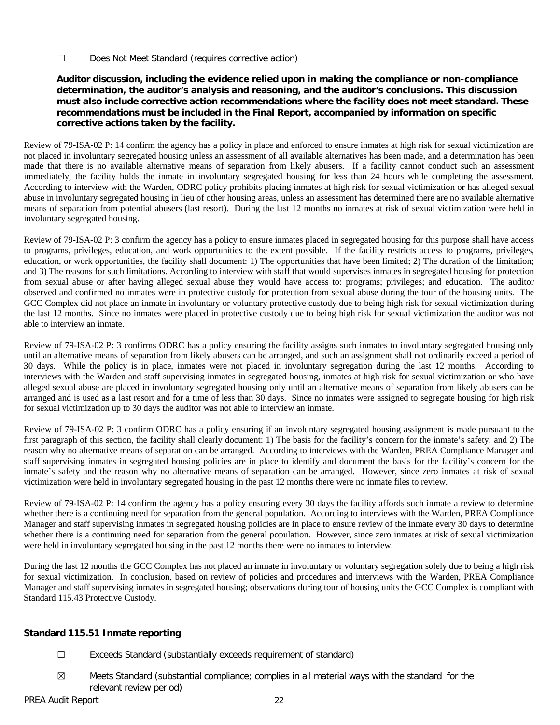☐ Does Not Meet Standard (requires corrective action)

# **Auditor discussion, including the evidence relied upon in making the compliance or non-compliance determination, the auditor's analysis and reasoning, and the auditor's conclusions. This discussion must also include corrective action recommendations where the facility does not meet standard. These recommendations must be included in the Final Report, accompanied by information on specific corrective actions taken by the facility.**

Review of 79-ISA-02 P: 14 confirm the agency has a policy in place and enforced to ensure inmates at high risk for sexual victimization are not placed in involuntary segregated housing unless an assessment of all available alternatives has been made, and a determination has been made that there is no available alternative means of separation from likely abusers. If a facility cannot conduct such an assessment immediately, the facility holds the inmate in involuntary segregated housing for less than 24 hours while completing the assessment. According to interview with the Warden, ODRC policy prohibits placing inmates at high risk for sexual victimization or has alleged sexual abuse in involuntary segregated housing in lieu of other housing areas, unless an assessment has determined there are no available alternative means of separation from potential abusers (last resort). During the last 12 months no inmates at risk of sexual victimization were held in involuntary segregated housing.

Review of 79-ISA-02 P: 3 confirm the agency has a policy to ensure inmates placed in segregated housing for this purpose shall have access to programs, privileges, education, and work opportunities to the extent possible. If the facility restricts access to programs, privileges, education, or work opportunities, the facility shall document: 1) The opportunities that have been limited; 2) The duration of the limitation; and 3) The reasons for such limitations. According to interview with staff that would supervises inmates in segregated housing for protection from sexual abuse or after having alleged sexual abuse they would have access to: programs; privileges; and education. The auditor observed and confirmed no inmates were in protective custody for protection from sexual abuse during the tour of the housing units. The GCC Complex did not place an inmate in involuntary or voluntary protective custody due to being high risk for sexual victimization during the last 12 months. Since no inmates were placed in protective custody due to being high risk for sexual victimization the auditor was not able to interview an inmate.

Review of 79-ISA-02 P: 3 confirms ODRC has a policy ensuring the facility assigns such inmates to involuntary segregated housing only until an alternative means of separation from likely abusers can be arranged, and such an assignment shall not ordinarily exceed a period of 30 days. While the policy is in place, inmates were not placed in involuntary segregation during the last 12 months. According to interviews with the Warden and staff supervising inmates in segregated housing, inmates at high risk for sexual victimization or who have alleged sexual abuse are placed in involuntary segregated housing only until an alternative means of separation from likely abusers can be arranged and is used as a last resort and for a time of less than 30 days. Since no inmates were assigned to segregate housing for high risk for sexual victimization up to 30 days the auditor was not able to interview an inmate.

Review of 79-ISA-02 P: 3 confirm ODRC has a policy ensuring if an involuntary segregated housing assignment is made pursuant to the first paragraph of this section, the facility shall clearly document: 1) The basis for the facility's concern for the inmate's safety; and 2) The reason why no alternative means of separation can be arranged. According to interviews with the Warden, PREA Compliance Manager and staff supervising inmates in segregated housing policies are in place to identify and document the basis for the facility's concern for the inmate's safety and the reason why no alternative means of separation can be arranged. However, since zero inmates at risk of sexual victimization were held in involuntary segregated housing in the past 12 months there were no inmate files to review.

Review of 79-ISA-02 P: 14 confirm the agency has a policy ensuring every 30 days the facility affords such inmate a review to determine whether there is a continuing need for separation from the general population. According to interviews with the Warden, PREA Compliance Manager and staff supervising inmates in segregated housing policies are in place to ensure review of the inmate every 30 days to determine whether there is a continuing need for separation from the general population. However, since zero inmates at risk of sexual victimization were held in involuntary segregated housing in the past 12 months there were no inmates to interview.

During the last 12 months the GCC Complex has not placed an inmate in involuntary or voluntary segregation solely due to being a high risk for sexual victimization. In conclusion, based on review of policies and procedures and interviews with the Warden, PREA Compliance Manager and staff supervising inmates in segregated housing; observations during tour of housing units the GCC Complex is compliant with Standard 115.43 Protective Custody.

# **Standard 115.51 Inmate reporting**

- ☐ Exceeds Standard (substantially exceeds requirement of standard)
- $\boxtimes$  Meets Standard (substantial compliance; complies in all material ways with the standard for the relevant review period)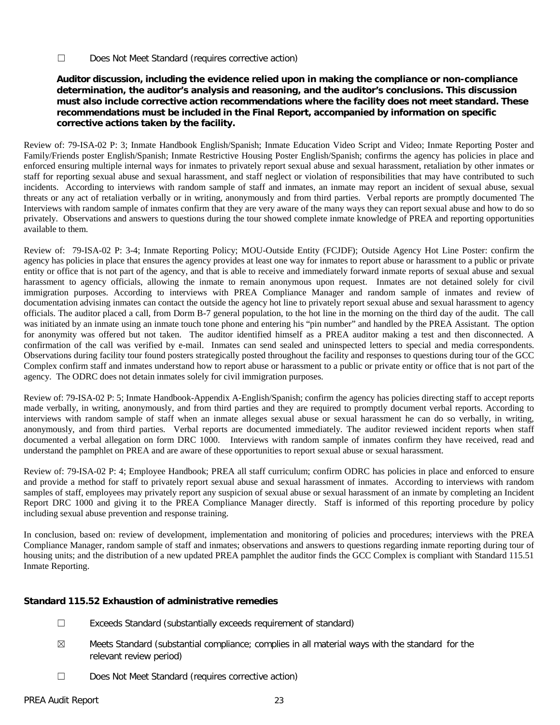☐ Does Not Meet Standard (requires corrective action)

# **Auditor discussion, including the evidence relied upon in making the compliance or non-compliance determination, the auditor's analysis and reasoning, and the auditor's conclusions. This discussion must also include corrective action recommendations where the facility does not meet standard. These recommendations must be included in the Final Report, accompanied by information on specific corrective actions taken by the facility.**

Review of: 79-ISA-02 P: 3; Inmate Handbook English/Spanish; Inmate Education Video Script and Video; Inmate Reporting Poster and Family/Friends poster English/Spanish; Inmate Restrictive Housing Poster English/Spanish; confirms the agency has policies in place and enforced ensuring multiple internal ways for inmates to privately report sexual abuse and sexual harassment, retaliation by other inmates or staff for reporting sexual abuse and sexual harassment, and staff neglect or violation of responsibilities that may have contributed to such incidents. According to interviews with random sample of staff and inmates, an inmate may report an incident of sexual abuse, sexual threats or any act of retaliation verbally or in writing, anonymously and from third parties. Verbal reports are promptly documented The Interviews with random sample of inmates confirm that they are very aware of the many ways they can report sexual abuse and how to do so privately. Observations and answers to questions during the tour showed complete inmate knowledge of PREA and reporting opportunities available to them.

Review of: 79-ISA-02 P: 3-4; Inmate Reporting Policy; MOU-Outside Entity (FCJDF); Outside Agency Hot Line Poster: confirm the agency has policies in place that ensures the agency provides at least one way for inmates to report abuse or harassment to a public or private entity or office that is not part of the agency, and that is able to receive and immediately forward inmate reports of sexual abuse and sexual harassment to agency officials, allowing the inmate to remain anonymous upon request. Inmates are not detained solely for civil immigration purposes. According to interviews with PREA Compliance Manager and random sample of inmates and review of documentation advising inmates can contact the outside the agency hot line to privately report sexual abuse and sexual harassment to agency officials. The auditor placed a call, from Dorm B-7 general population, to the hot line in the morning on the third day of the audit. The call was initiated by an inmate using an inmate touch tone phone and entering his "pin number" and handled by the PREA Assistant. The option for anonymity was offered but not taken. The auditor identified himself as a PREA auditor making a test and then disconnected. A confirmation of the call was verified by e-mail. Inmates can send sealed and uninspected letters to special and media correspondents. Observations during facility tour found posters strategically posted throughout the facility and responses to questions during tour of the GCC Complex confirm staff and inmates understand how to report abuse or harassment to a public or private entity or office that is not part of the agency. The ODRC does not detain inmates solely for civil immigration purposes.

Review of: 79-ISA-02 P: 5; Inmate Handbook-Appendix A-English/Spanish; confirm the agency has policies directing staff to accept reports made verbally, in writing, anonymously, and from third parties and they are required to promptly document verbal reports. According to interviews with random sample of staff when an inmate alleges sexual abuse or sexual harassment he can do so verbally, in writing, anonymously, and from third parties. Verbal reports are documented immediately. The auditor reviewed incident reports when staff documented a verbal allegation on form DRC 1000. Interviews with random sample of inmates confirm they have received, read and understand the pamphlet on PREA and are aware of these opportunities to report sexual abuse or sexual harassment.

Review of: 79-ISA-02 P: 4; Employee Handbook; PREA all staff curriculum; confirm ODRC has policies in place and enforced to ensure and provide a method for staff to privately report sexual abuse and sexual harassment of inmates. According to interviews with random samples of staff, employees may privately report any suspicion of sexual abuse or sexual harassment of an inmate by completing an Incident Report DRC 1000 and giving it to the PREA Compliance Manager directly. Staff is informed of this reporting procedure by policy including sexual abuse prevention and response training.

In conclusion, based on: review of development, implementation and monitoring of policies and procedures; interviews with the PREA Compliance Manager, random sample of staff and inmates; observations and answers to questions regarding inmate reporting during tour of housing units; and the distribution of a new updated PREA pamphlet the auditor finds the GCC Complex is compliant with Standard 115.51 Inmate Reporting.

# **Standard 115.52 Exhaustion of administrative remedies**

- ☐ Exceeds Standard (substantially exceeds requirement of standard)
- $\boxtimes$  Meets Standard (substantial compliance; complies in all material ways with the standard for the relevant review period)
- ☐ Does Not Meet Standard (requires corrective action)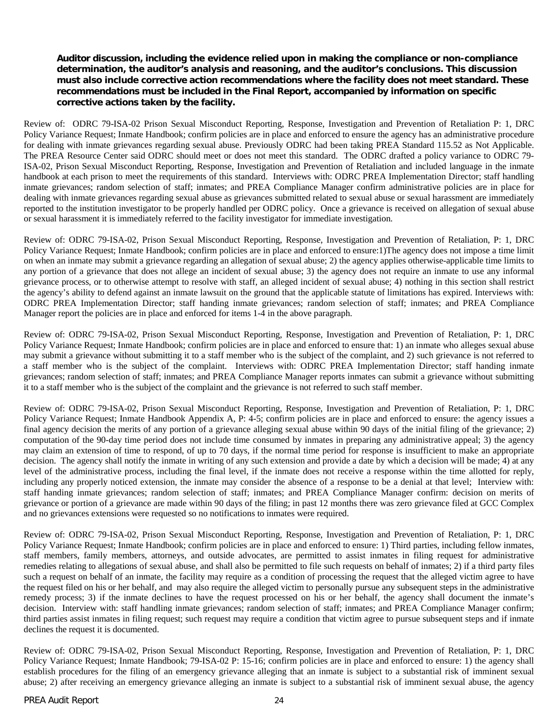### **Auditor discussion, including the evidence relied upon in making the compliance or non-compliance determination, the auditor's analysis and reasoning, and the auditor's conclusions. This discussion must also include corrective action recommendations where the facility does not meet standard. These recommendations must be included in the Final Report, accompanied by information on specific corrective actions taken by the facility.**

Review of: ODRC 79-ISA-02 Prison Sexual Misconduct Reporting, Response, Investigation and Prevention of Retaliation P: 1, DRC Policy Variance Request; Inmate Handbook; confirm policies are in place and enforced to ensure the agency has an administrative procedure for dealing with inmate grievances regarding sexual abuse. Previously ODRC had been taking PREA Standard 115.52 as Not Applicable. The PREA Resource Center said ODRC should meet or does not meet this standard. The ODRC drafted a policy variance to ODRC 79- ISA-02, Prison Sexual Misconduct Reporting, Response, Investigation and Prevention of Retaliation and included language in the inmate handbook at each prison to meet the requirements of this standard. Interviews with: ODRC PREA Implementation Director; staff handling inmate grievances; random selection of staff; inmates; and PREA Compliance Manager confirm administrative policies are in place for dealing with inmate grievances regarding sexual abuse as grievances submitted related to sexual abuse or sexual harassment are immediately reported to the institution investigator to be properly handled per ODRC policy. Once a grievance is received on allegation of sexual abuse or sexual harassment it is immediately referred to the facility investigator for immediate investigation.

Review of: ODRC 79-ISA-02, Prison Sexual Misconduct Reporting, Response, Investigation and Prevention of Retaliation, P: 1, DRC Policy Variance Request; Inmate Handbook; confirm policies are in place and enforced to ensure:1)The agency does not impose a time limit on when an inmate may submit a grievance regarding an allegation of sexual abuse; 2) the agency applies otherwise-applicable time limits to any portion of a grievance that does not allege an incident of sexual abuse; 3) the agency does not require an inmate to use any informal grievance process, or to otherwise attempt to resolve with staff, an alleged incident of sexual abuse; 4) nothing in this section shall restrict the agency's ability to defend against an inmate lawsuit on the ground that the applicable statute of limitations has expired. Interviews with: ODRC PREA Implementation Director; staff handing inmate grievances; random selection of staff; inmates; and PREA Compliance Manager report the policies are in place and enforced for items 1-4 in the above paragraph.

Review of: ODRC 79-ISA-02, Prison Sexual Misconduct Reporting, Response, Investigation and Prevention of Retaliation, P: 1, DRC Policy Variance Request; Inmate Handbook; confirm policies are in place and enforced to ensure that: 1) an inmate who alleges sexual abuse may submit a grievance without submitting it to a staff member who is the subject of the complaint, and 2) such grievance is not referred to a staff member who is the subject of the complaint. Interviews with: ODRC PREA Implementation Director; staff handing inmate grievances; random selection of staff; inmates; and PREA Compliance Manager reports inmates can submit a grievance without submitting it to a staff member who is the subject of the complaint and the grievance is not referred to such staff member.

Review of: ODRC 79-ISA-02, Prison Sexual Misconduct Reporting, Response, Investigation and Prevention of Retaliation, P: 1, DRC Policy Variance Request; Inmate Handbook Appendix A, P: 4-5; confirm policies are in place and enforced to ensure: the agency issues a final agency decision the merits of any portion of a grievance alleging sexual abuse within 90 days of the initial filing of the grievance; 2) computation of the 90-day time period does not include time consumed by inmates in preparing any administrative appeal; 3) the agency may claim an extension of time to respond, of up to 70 days, if the normal time period for response is insufficient to make an appropriate decision. The agency shall notify the inmate in writing of any such extension and provide a date by which a decision will be made; 4) at any level of the administrative process, including the final level, if the inmate does not receive a response within the time allotted for reply, including any properly noticed extension, the inmate may consider the absence of a response to be a denial at that level; Interview with: staff handing inmate grievances; random selection of staff; inmates; and PREA Compliance Manager confirm: decision on merits of grievance or portion of a grievance are made within 90 days of the filing; in past 12 months there was zero grievance filed at GCC Complex and no grievances extensions were requested so no notifications to inmates were required.

Review of: ODRC 79-ISA-02, Prison Sexual Misconduct Reporting, Response, Investigation and Prevention of Retaliation, P: 1, DRC Policy Variance Request; Inmate Handbook; confirm policies are in place and enforced to ensure: 1) Third parties, including fellow inmates, staff members, family members, attorneys, and outside advocates, are permitted to assist inmates in filing request for administrative remedies relating to allegations of sexual abuse, and shall also be permitted to file such requests on behalf of inmates; 2) if a third party files such a request on behalf of an inmate, the facility may require as a condition of processing the request that the alleged victim agree to have the request filed on his or her behalf, and may also require the alleged victim to personally pursue any subsequent steps in the administrative remedy process; 3) if the inmate declines to have the request processed on his or her behalf, the agency shall document the inmate's decision. Interview with: staff handling inmate grievances; random selection of staff; inmates; and PREA Compliance Manager confirm; third parties assist inmates in filing request; such request may require a condition that victim agree to pursue subsequent steps and if inmate declines the request it is documented.

Review of: ODRC 79-ISA-02, Prison Sexual Misconduct Reporting, Response, Investigation and Prevention of Retaliation, P: 1, DRC Policy Variance Request; Inmate Handbook; 79-ISA-02 P: 15-16; confirm policies are in place and enforced to ensure: 1) the agency shall establish procedures for the filing of an emergency grievance alleging that an inmate is subject to a substantial risk of imminent sexual abuse; 2) after receiving an emergency grievance alleging an inmate is subject to a substantial risk of imminent sexual abuse, the agency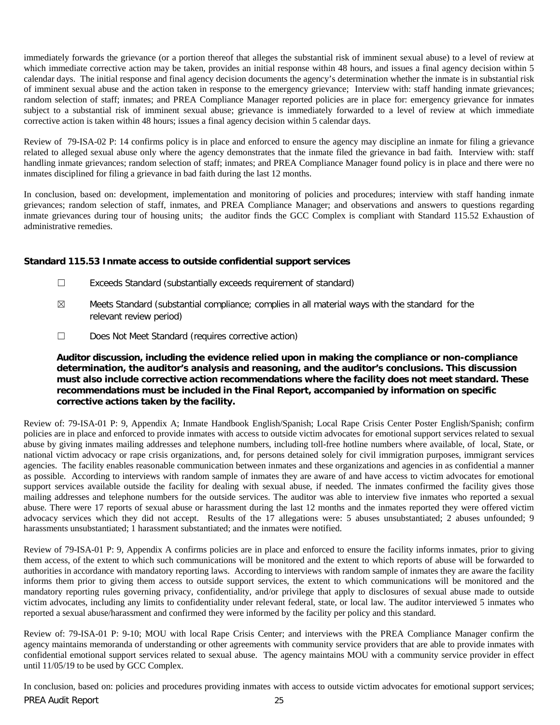immediately forwards the grievance (or a portion thereof that alleges the substantial risk of imminent sexual abuse) to a level of review at which immediate corrective action may be taken, provides an initial response within 48 hours, and issues a final agency decision within 5 calendar days. The initial response and final agency decision documents the agency's determination whether the inmate is in substantial risk of imminent sexual abuse and the action taken in response to the emergency grievance; Interview with: staff handing inmate grievances; random selection of staff; inmates; and PREA Compliance Manager reported policies are in place for: emergency grievance for inmates subject to a substantial risk of imminent sexual abuse; grievance is immediately forwarded to a level of review at which immediate corrective action is taken within 48 hours; issues a final agency decision within 5 calendar days.

Review of 79-ISA-02 P: 14 confirms policy is in place and enforced to ensure the agency may discipline an inmate for filing a grievance related to alleged sexual abuse only where the agency demonstrates that the inmate filed the grievance in bad faith. Interview with: staff handling inmate grievances; random selection of staff; inmates; and PREA Compliance Manager found policy is in place and there were no inmates disciplined for filing a grievance in bad faith during the last 12 months.

In conclusion, based on: development, implementation and monitoring of policies and procedures; interview with staff handing inmate grievances; random selection of staff, inmates, and PREA Compliance Manager; and observations and answers to questions regarding inmate grievances during tour of housing units; the auditor finds the GCC Complex is compliant with Standard 115.52 Exhaustion of administrative remedies.

# **Standard 115.53 Inmate access to outside confidential support services**

- ☐ Exceeds Standard (substantially exceeds requirement of standard)
- $\boxtimes$  Meets Standard (substantial compliance; complies in all material ways with the standard for the relevant review period)
- ☐ Does Not Meet Standard (requires corrective action)

# **Auditor discussion, including the evidence relied upon in making the compliance or non-compliance determination, the auditor's analysis and reasoning, and the auditor's conclusions. This discussion must also include corrective action recommendations where the facility does not meet standard. These recommendations must be included in the Final Report, accompanied by information on specific corrective actions taken by the facility.**

Review of: 79-ISA-01 P: 9, Appendix A; Inmate Handbook English/Spanish; Local Rape Crisis Center Poster English/Spanish; confirm policies are in place and enforced to provide inmates with access to outside victim advocates for emotional support services related to sexual abuse by giving inmates mailing addresses and telephone numbers, including toll-free hotline numbers where available, of local, State, or national victim advocacy or rape crisis organizations, and, for persons detained solely for civil immigration purposes, immigrant services agencies. The facility enables reasonable communication between inmates and these organizations and agencies in as confidential a manner as possible. According to interviews with random sample of inmates they are aware of and have access to victim advocates for emotional support services available outside the facility for dealing with sexual abuse, if needed. The inmates confirmed the facility gives those mailing addresses and telephone numbers for the outside services. The auditor was able to interview five inmates who reported a sexual abuse. There were 17 reports of sexual abuse or harassment during the last 12 months and the inmates reported they were offered victim advocacy services which they did not accept. Results of the 17 allegations were: 5 abuses unsubstantiated; 2 abuses unfounded; 9 harassments unsubstantiated; 1 harassment substantiated; and the inmates were notified.

Review of 79-ISA-01 P: 9, Appendix A confirms policies are in place and enforced to ensure the facility informs inmates, prior to giving them access, of the extent to which such communications will be monitored and the extent to which reports of abuse will be forwarded to authorities in accordance with mandatory reporting laws. According to interviews with random sample of inmates they are aware the facility informs them prior to giving them access to outside support services, the extent to which communications will be monitored and the mandatory reporting rules governing privacy, confidentiality, and/or privilege that apply to disclosures of sexual abuse made to outside victim advocates, including any limits to confidentiality under relevant federal, state, or local law. The auditor interviewed 5 inmates who reported a sexual abuse/harassment and confirmed they were informed by the facility per policy and this standard.

Review of: 79-ISA-01 P: 9-10; MOU with local Rape Crisis Center; and interviews with the PREA Compliance Manager confirm the agency maintains memoranda of understanding or other agreements with community service providers that are able to provide inmates with confidential emotional support services related to sexual abuse. The agency maintains MOU with a community service provider in effect until 11/05/19 to be used by GCC Complex.

PREA Audit Report 25 In conclusion, based on: policies and procedures providing inmates with access to outside victim advocates for emotional support services;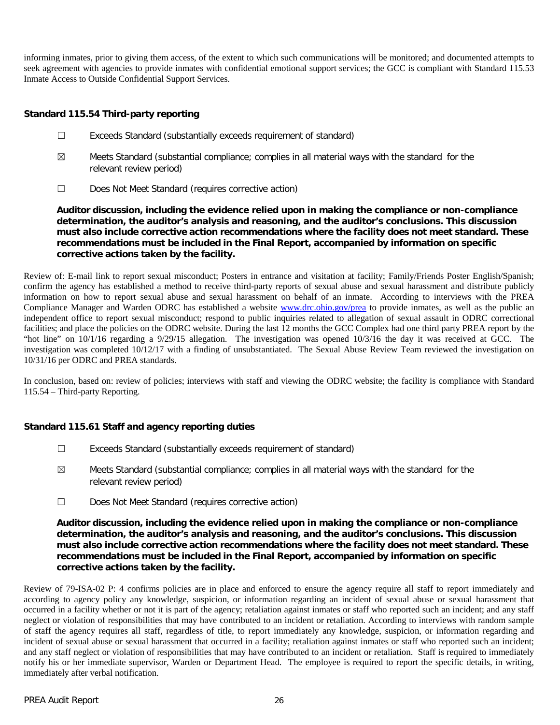informing inmates, prior to giving them access, of the extent to which such communications will be monitored; and documented attempts to seek agreement with agencies to provide inmates with confidential emotional support services; the GCC is compliant with Standard 115.53 Inmate Access to Outside Confidential Support Services.

# **Standard 115.54 Third-party reporting**

- ☐ Exceeds Standard (substantially exceeds requirement of standard)
- $\boxtimes$  Meets Standard (substantial compliance; complies in all material ways with the standard for the relevant review period)
- ☐ Does Not Meet Standard (requires corrective action)

**Auditor discussion, including the evidence relied upon in making the compliance or non-compliance determination, the auditor's analysis and reasoning, and the auditor's conclusions. This discussion must also include corrective action recommendations where the facility does not meet standard. These recommendations must be included in the Final Report, accompanied by information on specific corrective actions taken by the facility.**

Review of: E-mail link to report sexual misconduct; Posters in entrance and visitation at facility; Family/Friends Poster English/Spanish; confirm the agency has established a method to receive third-party reports of sexual abuse and sexual harassment and distribute publicly information on how to report sexual abuse and sexual harassment on behalf of an inmate. According to interviews with the PREA Compliance Manager and Warden ODRC has established a website [www.drc.ohio.gov/prea](http://www.drc.ohio.gov/prea) to provide inmates, as well as the public an independent office to report sexual misconduct; respond to public inquiries related to allegation of sexual assault in ODRC correctional facilities; and place the policies on the ODRC website. During the last 12 months the GCC Complex had one third party PREA report by the "hot line" on 10/1/16 regarding a 9/29/15 allegation. The investigation was opened 10/3/16 the day it was received at GCC. The investigation was completed 10/12/17 with a finding of unsubstantiated. The Sexual Abuse Review Team reviewed the investigation on 10/31/16 per ODRC and PREA standards.

In conclusion, based on: review of policies; interviews with staff and viewing the ODRC website; the facility is compliance with Standard 115.54 – Third-party Reporting.

#### **Standard 115.61 Staff and agency reporting duties**

- ☐ Exceeds Standard (substantially exceeds requirement of standard)
- $\boxtimes$  Meets Standard (substantial compliance; complies in all material ways with the standard for the relevant review period)
- ☐ Does Not Meet Standard (requires corrective action)

## **Auditor discussion, including the evidence relied upon in making the compliance or non-compliance determination, the auditor's analysis and reasoning, and the auditor's conclusions. This discussion must also include corrective action recommendations where the facility does not meet standard. These recommendations must be included in the Final Report, accompanied by information on specific corrective actions taken by the facility.**

Review of 79-ISA-02 P: 4 confirms policies are in place and enforced to ensure the agency require all staff to report immediately and according to agency policy any knowledge, suspicion, or information regarding an incident of sexual abuse or sexual harassment that occurred in a facility whether or not it is part of the agency; retaliation against inmates or staff who reported such an incident; and any staff neglect or violation of responsibilities that may have contributed to an incident or retaliation. According to interviews with random sample of staff the agency requires all staff, regardless of title, to report immediately any knowledge, suspicion, or information regarding and incident of sexual abuse or sexual harassment that occurred in a facility; retaliation against inmates or staff who reported such an incident; and any staff neglect or violation of responsibilities that may have contributed to an incident or retaliation. Staff is required to immediately notify his or her immediate supervisor, Warden or Department Head. The employee is required to report the specific details, in writing, immediately after verbal notification.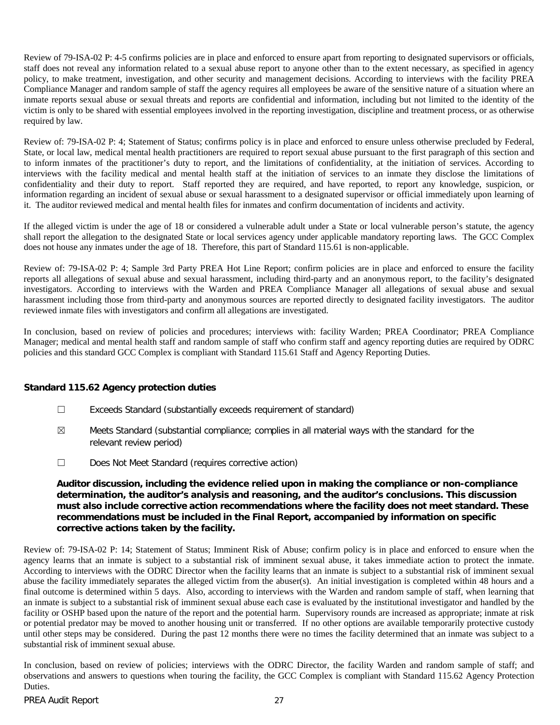Review of 79-ISA-02 P: 4-5 confirms policies are in place and enforced to ensure apart from reporting to designated supervisors or officials, staff does not reveal any information related to a sexual abuse report to anyone other than to the extent necessary, as specified in agency policy, to make treatment, investigation, and other security and management decisions. According to interviews with the facility PREA Compliance Manager and random sample of staff the agency requires all employees be aware of the sensitive nature of a situation where an inmate reports sexual abuse or sexual threats and reports are confidential and information, including but not limited to the identity of the victim is only to be shared with essential employees involved in the reporting investigation, discipline and treatment process, or as otherwise required by law.

Review of: 79-ISA-02 P: 4; Statement of Status; confirms policy is in place and enforced to ensure unless otherwise precluded by Federal, State, or local law, medical mental health practitioners are required to report sexual abuse pursuant to the first paragraph of this section and to inform inmates of the practitioner's duty to report, and the limitations of confidentiality, at the initiation of services. According to interviews with the facility medical and mental health staff at the initiation of services to an inmate they disclose the limitations of confidentiality and their duty to report. Staff reported they are required, and have reported, to report any knowledge, suspicion, or information regarding an incident of sexual abuse or sexual harassment to a designated supervisor or official immediately upon learning of it. The auditor reviewed medical and mental health files for inmates and confirm documentation of incidents and activity.

If the alleged victim is under the age of 18 or considered a vulnerable adult under a State or local vulnerable person's statute, the agency shall report the allegation to the designated State or local services agency under applicable mandatory reporting laws. The GCC Complex does not house any inmates under the age of 18. Therefore, this part of Standard 115.61 is non-applicable.

Review of: 79-ISA-02 P: 4; Sample 3rd Party PREA Hot Line Report; confirm policies are in place and enforced to ensure the facility reports all allegations of sexual abuse and sexual harassment, including third-party and an anonymous report, to the facility's designated investigators. According to interviews with the Warden and PREA Compliance Manager all allegations of sexual abuse and sexual harassment including those from third-party and anonymous sources are reported directly to designated facility investigators. The auditor reviewed inmate files with investigators and confirm all allegations are investigated.

In conclusion, based on review of policies and procedures; interviews with: facility Warden; PREA Coordinator; PREA Compliance Manager; medical and mental health staff and random sample of staff who confirm staff and agency reporting duties are required by ODRC policies and this standard GCC Complex is compliant with Standard 115.61 Staff and Agency Reporting Duties.

# **Standard 115.62 Agency protection duties**

- ☐ Exceeds Standard (substantially exceeds requirement of standard)
- $\boxtimes$  Meets Standard (substantial compliance; complies in all material ways with the standard for the relevant review period)
- ☐ Does Not Meet Standard (requires corrective action)

# **Auditor discussion, including the evidence relied upon in making the compliance or non-compliance determination, the auditor's analysis and reasoning, and the auditor's conclusions. This discussion must also include corrective action recommendations where the facility does not meet standard. These recommendations must be included in the Final Report, accompanied by information on specific corrective actions taken by the facility.**

Review of: 79-ISA-02 P: 14; Statement of Status; Imminent Risk of Abuse; confirm policy is in place and enforced to ensure when the agency learns that an inmate is subject to a substantial risk of imminent sexual abuse, it takes immediate action to protect the inmate. According to interviews with the ODRC Director when the facility learns that an inmate is subject to a substantial risk of imminent sexual abuse the facility immediately separates the alleged victim from the abuser(s). An initial investigation is completed within 48 hours and a final outcome is determined within 5 days. Also, according to interviews with the Warden and random sample of staff, when learning that an inmate is subject to a substantial risk of imminent sexual abuse each case is evaluated by the institutional investigator and handled by the facility or OSHP based upon the nature of the report and the potential harm. Supervisory rounds are increased as appropriate; inmate at risk or potential predator may be moved to another housing unit or transferred. If no other options are available temporarily protective custody until other steps may be considered. During the past 12 months there were no times the facility determined that an inmate was subject to a substantial risk of imminent sexual abuse.

In conclusion, based on review of policies; interviews with the ODRC Director, the facility Warden and random sample of staff; and observations and answers to questions when touring the facility, the GCC Complex is compliant with Standard 115.62 Agency Protection Duties.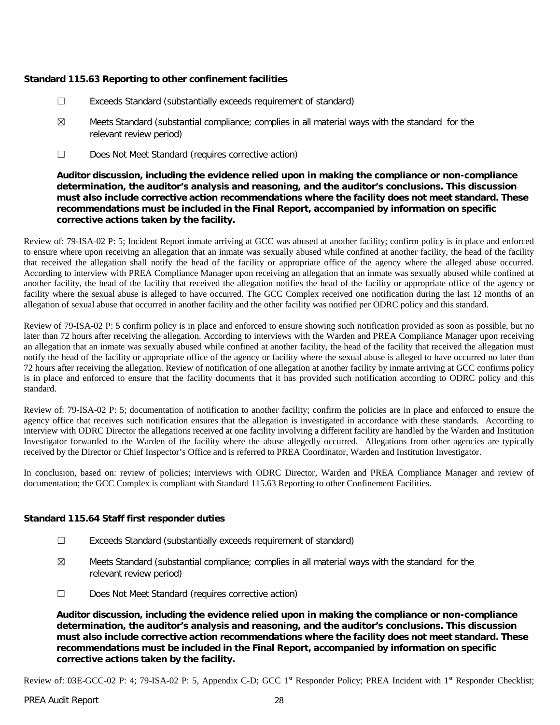# **Standard 115.63 Reporting to other confinement facilities**

- ☐ Exceeds Standard (substantially exceeds requirement of standard)
- $\boxtimes$  Meets Standard (substantial compliance; complies in all material ways with the standard for the relevant review period)
- ☐ Does Not Meet Standard (requires corrective action)

# **Auditor discussion, including the evidence relied upon in making the compliance or non-compliance determination, the auditor's analysis and reasoning, and the auditor's conclusions. This discussion must also include corrective action recommendations where the facility does not meet standard. These recommendations must be included in the Final Report, accompanied by information on specific corrective actions taken by the facility.**

Review of: 79-ISA-02 P: 5; Incident Report inmate arriving at GCC was abused at another facility; confirm policy is in place and enforced to ensure where upon receiving an allegation that an inmate was sexually abused while confined at another facility, the head of the facility that received the allegation shall notify the head of the facility or appropriate office of the agency where the alleged abuse occurred. According to interview with PREA Compliance Manager upon receiving an allegation that an inmate was sexually abused while confined at another facility, the head of the facility that received the allegation notifies the head of the facility or appropriate office of the agency or facility where the sexual abuse is alleged to have occurred. The GCC Complex received one notification during the last 12 months of an allegation of sexual abuse that occurred in another facility and the other facility was notified per ODRC policy and this standard.

Review of 79-ISA-02 P: 5 confirm policy is in place and enforced to ensure showing such notification provided as soon as possible, but no later than 72 hours after receiving the allegation. According to interviews with the Warden and PREA Compliance Manager upon receiving an allegation that an inmate was sexually abused while confined at another facility, the head of the facility that received the allegation must notify the head of the facility or appropriate office of the agency or facility where the sexual abuse is alleged to have occurred no later than 72 hours after receiving the allegation. Review of notification of one allegation at another facility by inmate arriving at GCC confirms policy is in place and enforced to ensure that the facility documents that it has provided such notification according to ODRC policy and this standard.

Review of: 79-ISA-02 P: 5; documentation of notification to another facility; confirm the policies are in place and enforced to ensure the agency office that receives such notification ensures that the allegation is investigated in accordance with these standards. According to interview with ODRC Director the allegations received at one facility involving a different facility are handled by the Warden and Institution Investigator forwarded to the Warden of the facility where the abuse allegedly occurred. Allegations from other agencies are typically received by the Director or Chief Inspector's Office and is referred to PREA Coordinator, Warden and Institution Investigator.

In conclusion, based on: review of policies; interviews with ODRC Director, Warden and PREA Compliance Manager and review of documentation; the GCC Complex is compliant with Standard 115.63 Reporting to other Confinement Facilities.

# **Standard 115.64 Staff first responder duties**

- ☐ Exceeds Standard (substantially exceeds requirement of standard)
- $\boxtimes$  Meets Standard (substantial compliance; complies in all material ways with the standard for the relevant review period)
- ☐ Does Not Meet Standard (requires corrective action)

**Auditor discussion, including the evidence relied upon in making the compliance or non-compliance determination, the auditor's analysis and reasoning, and the auditor's conclusions. This discussion must also include corrective action recommendations where the facility does not meet standard. These recommendations must be included in the Final Report, accompanied by information on specific corrective actions taken by the facility.**

Review of: 03E-GCC-02 P: 4; 79-ISA-02 P: 5, Appendix C-D; GCC 1<sup>st</sup> Responder Policy; PREA Incident with 1<sup>st</sup> Responder Checklist;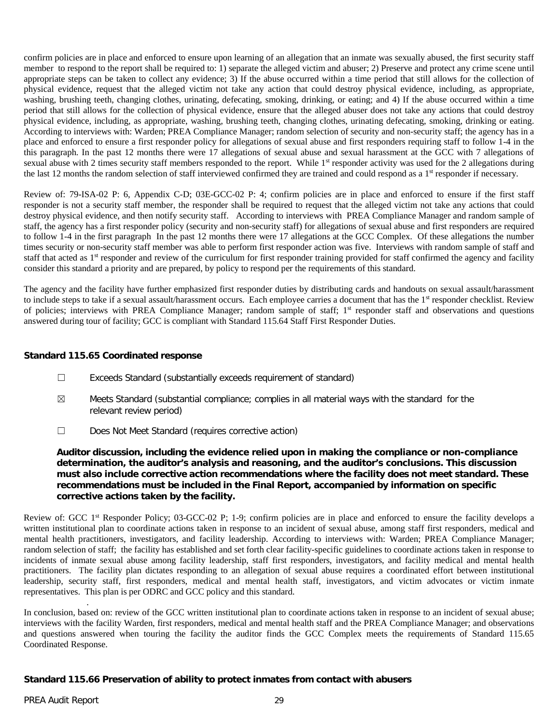confirm policies are in place and enforced to ensure upon learning of an allegation that an inmate was sexually abused, the first security staff member to respond to the report shall be required to: 1) separate the alleged victim and abuser; 2) Preserve and protect any crime scene until appropriate steps can be taken to collect any evidence; 3) If the abuse occurred within a time period that still allows for the collection of physical evidence, request that the alleged victim not take any action that could destroy physical evidence, including, as appropriate, washing, brushing teeth, changing clothes, urinating, defecating, smoking, drinking, or eating; and 4) If the abuse occurred within a time period that still allows for the collection of physical evidence, ensure that the alleged abuser does not take any actions that could destroy physical evidence, including, as appropriate, washing, brushing teeth, changing clothes, urinating defecating, smoking, drinking or eating. According to interviews with: Warden; PREA Compliance Manager; random selection of security and non-security staff; the agency has in a place and enforced to ensure a first responder policy for allegations of sexual abuse and first responders requiring staff to follow 1-4 in the this paragraph. In the past 12 months there were 17 allegations of sexual abuse and sexual harassment at the GCC with 7 allegations of sexual abuse with 2 times security staff members responded to the report. While 1<sup>st</sup> responder activity was used for the 2 allegations during the last 12 months the random selection of staff interviewed confirmed they are trained and could respond as a 1<sup>st</sup> responder if necessary.

Review of: 79-ISA-02 P: 6, Appendix C-D; 03E-GCC-02 P: 4; confirm policies are in place and enforced to ensure if the first staff responder is not a security staff member, the responder shall be required to request that the alleged victim not take any actions that could destroy physical evidence, and then notify security staff. According to interviews with PREA Compliance Manager and random sample of staff, the agency has a first responder policy (security and non-security staff) for allegations of sexual abuse and first responders are required to follow 1-4 in the first paragraph In the past 12 months there were 17 allegations at the GCC Complex. Of these allegations the number times security or non-security staff member was able to perform first responder action was five. Interviews with random sample of staff and staff that acted as 1<sup>st</sup> responder and review of the curriculum for first responder training provided for staff confirmed the agency and facility consider this standard a priority and are prepared, by policy to respond per the requirements of this standard.

The agency and the facility have further emphasized first responder duties by distributing cards and handouts on sexual assault/harassment to include steps to take if a sexual assault/harassment occurs. Each employee carries a document that has the 1<sup>st</sup> responder checklist. Review of policies; interviews with PREA Compliance Manager; random sample of staff; 1<sup>st</sup> responder staff and observations and questions answered during tour of facility; GCC is compliant with Standard 115.64 Staff First Responder Duties.

# **Standard 115.65 Coordinated response**

- ☐ Exceeds Standard (substantially exceeds requirement of standard)
- $\boxtimes$  Meets Standard (substantial compliance; complies in all material ways with the standard for the relevant review period)
- ☐ Does Not Meet Standard (requires corrective action)

# **Auditor discussion, including the evidence relied upon in making the compliance or non-compliance determination, the auditor's analysis and reasoning, and the auditor's conclusions. This discussion must also include corrective action recommendations where the facility does not meet standard. These recommendations must be included in the Final Report, accompanied by information on specific corrective actions taken by the facility.**

Review of: GCC 1st Responder Policy; 03-GCC-02 P; 1-9; confirm policies are in place and enforced to ensure the facility develops a written institutional plan to coordinate actions taken in response to an incident of sexual abuse, among staff first responders, medical and mental health practitioners, investigators, and facility leadership. According to interviews with: Warden; PREA Compliance Manager; random selection of staff; the facility has established and set forth clear facility-specific guidelines to coordinate actions taken in response to incidents of inmate sexual abuse among facility leadership, staff first responders, investigators, and facility medical and mental health practitioners. The facility plan dictates responding to an allegation of sexual abuse requires a coordinated effort between institutional leadership, security staff, first responders, medical and mental health staff, investigators, and victim advocates or victim inmate representatives. This plan is per ODRC and GCC policy and this standard.

In conclusion, based on: review of the GCC written institutional plan to coordinate actions taken in response to an incident of sexual abuse; interviews with the facility Warden, first responders, medical and mental health staff and the PREA Compliance Manager; and observations and questions answered when touring the facility the auditor finds the GCC Complex meets the requirements of Standard 115.65 Coordinated Response.

# **Standard 115.66 Preservation of ability to protect inmates from contact with abusers**

.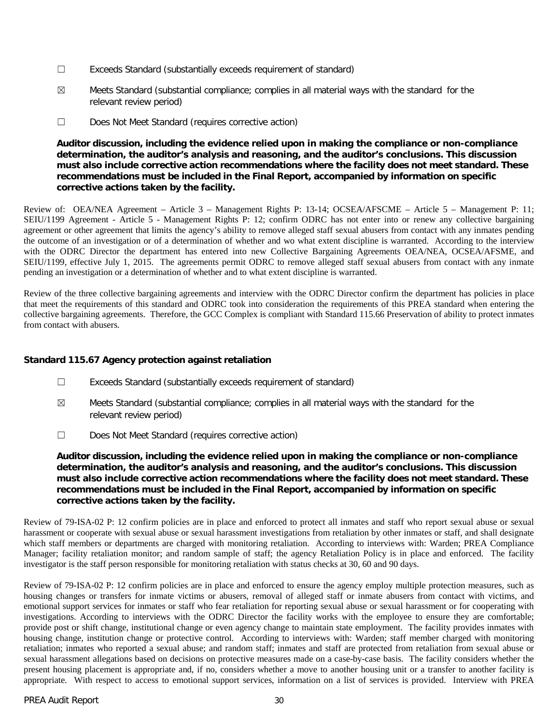- ☐ Exceeds Standard (substantially exceeds requirement of standard)
- ☒ Meets Standard (substantial compliance; complies in all material ways with the standard for the relevant review period)
- ☐ Does Not Meet Standard (requires corrective action)

# **Auditor discussion, including the evidence relied upon in making the compliance or non-compliance determination, the auditor's analysis and reasoning, and the auditor's conclusions. This discussion must also include corrective action recommendations where the facility does not meet standard. These recommendations must be included in the Final Report, accompanied by information on specific corrective actions taken by the facility.**

Review of: OEA/NEA Agreement – Article 3 – Management Rights P: 13-14; OCSEA/AFSCME – Article 5 – Management P: 11; SEIU/1199 Agreement - Article 5 - Management Rights P: 12; confirm ODRC has not enter into or renew any collective bargaining agreement or other agreement that limits the agency's ability to remove alleged staff sexual abusers from contact with any inmates pending the outcome of an investigation or of a determination of whether and wo what extent discipline is warranted. According to the interview with the ODRC Director the department has entered into new Collective Bargaining Agreements OEA/NEA, OCSEA/AFSME, and SEIU/1199, effective July 1, 2015. The agreements permit ODRC to remove alleged staff sexual abusers from contact with any inmate pending an investigation or a determination of whether and to what extent discipline is warranted.

Review of the three collective bargaining agreements and interview with the ODRC Director confirm the department has policies in place that meet the requirements of this standard and ODRC took into consideration the requirements of this PREA standard when entering the collective bargaining agreements. Therefore, the GCC Complex is compliant with Standard 115.66 Preservation of ability to protect inmates from contact with abusers.

# **Standard 115.67 Agency protection against retaliation**

- ☐ Exceeds Standard (substantially exceeds requirement of standard)
- $\boxtimes$  Meets Standard (substantial compliance; complies in all material ways with the standard for the relevant review period)
- ☐ Does Not Meet Standard (requires corrective action)

**Auditor discussion, including the evidence relied upon in making the compliance or non-compliance determination, the auditor's analysis and reasoning, and the auditor's conclusions. This discussion must also include corrective action recommendations where the facility does not meet standard. These recommendations must be included in the Final Report, accompanied by information on specific corrective actions taken by the facility.**

Review of 79-ISA-02 P: 12 confirm policies are in place and enforced to protect all inmates and staff who report sexual abuse or sexual harassment or cooperate with sexual abuse or sexual harassment investigations from retaliation by other inmates or staff, and shall designate which staff members or departments are charged with monitoring retaliation. According to interviews with: Warden; PREA Compliance Manager; facility retaliation monitor; and random sample of staff; the agency Retaliation Policy is in place and enforced. The facility investigator is the staff person responsible for monitoring retaliation with status checks at 30, 60 and 90 days.

Review of 79-ISA-02 P: 12 confirm policies are in place and enforced to ensure the agency employ multiple protection measures, such as housing changes or transfers for inmate victims or abusers, removal of alleged staff or inmate abusers from contact with victims, and emotional support services for inmates or staff who fear retaliation for reporting sexual abuse or sexual harassment or for cooperating with investigations. According to interviews with the ODRC Director the facility works with the employee to ensure they are comfortable; provide post or shift change, institutional change or even agency change to maintain state employment. The facility provides inmates with housing change, institution change or protective control. According to interviews with: Warden; staff member charged with monitoring retaliation; inmates who reported a sexual abuse; and random staff; inmates and staff are protected from retaliation from sexual abuse or sexual harassment allegations based on decisions on protective measures made on a case-by-case basis. The facility considers whether the present housing placement is appropriate and, if no, considers whether a move to another housing unit or a transfer to another facility is appropriate. With respect to access to emotional support services, information on a list of services is provided. Interview with PREA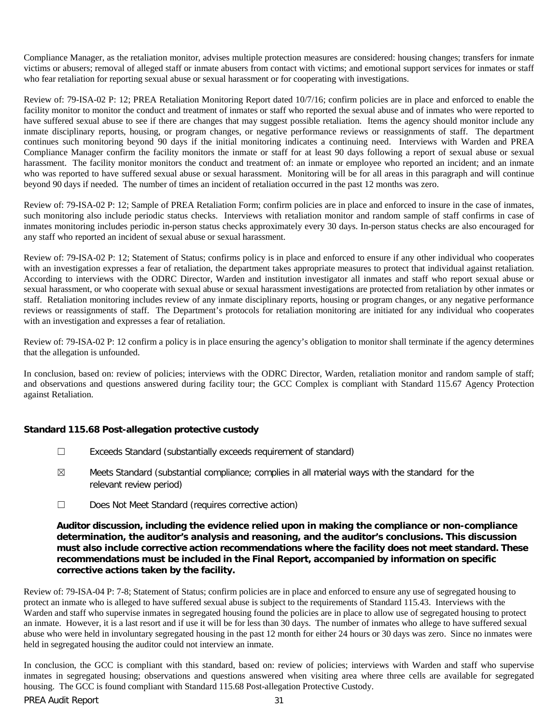Compliance Manager, as the retaliation monitor, advises multiple protection measures are considered: housing changes; transfers for inmate victims or abusers; removal of alleged staff or inmate abusers from contact with victims; and emotional support services for inmates or staff who fear retaliation for reporting sexual abuse or sexual harassment or for cooperating with investigations.

Review of: 79-ISA-02 P: 12; PREA Retaliation Monitoring Report dated 10/7/16; confirm policies are in place and enforced to enable the facility monitor to monitor the conduct and treatment of inmates or staff who reported the sexual abuse and of inmates who were reported to have suffered sexual abuse to see if there are changes that may suggest possible retaliation. Items the agency should monitor include any inmate disciplinary reports, housing, or program changes, or negative performance reviews or reassignments of staff. The department continues such monitoring beyond 90 days if the initial monitoring indicates a continuing need. Interviews with Warden and PREA Compliance Manager confirm the facility monitors the inmate or staff for at least 90 days following a report of sexual abuse or sexual harassment. The facility monitor monitors the conduct and treatment of: an inmate or employee who reported an incident; and an inmate who was reported to have suffered sexual abuse or sexual harassment. Monitoring will be for all areas in this paragraph and will continue beyond 90 days if needed. The number of times an incident of retaliation occurred in the past 12 months was zero.

Review of: 79-ISA-02 P: 12; Sample of PREA Retaliation Form; confirm policies are in place and enforced to insure in the case of inmates, such monitoring also include periodic status checks. Interviews with retaliation monitor and random sample of staff confirms in case of inmates monitoring includes periodic in-person status checks approximately every 30 days. In-person status checks are also encouraged for any staff who reported an incident of sexual abuse or sexual harassment.

Review of: 79-ISA-02 P: 12; Statement of Status; confirms policy is in place and enforced to ensure if any other individual who cooperates with an investigation expresses a fear of retaliation, the department takes appropriate measures to protect that individual against retaliation. According to interviews with the ODRC Director, Warden and institution investigator all inmates and staff who report sexual abuse or sexual harassment, or who cooperate with sexual abuse or sexual harassment investigations are protected from retaliation by other inmates or staff. Retaliation monitoring includes review of any inmate disciplinary reports, housing or program changes, or any negative performance reviews or reassignments of staff. The Department's protocols for retaliation monitoring are initiated for any individual who cooperates with an investigation and expresses a fear of retaliation.

Review of: 79-ISA-02 P: 12 confirm a policy is in place ensuring the agency's obligation to monitor shall terminate if the agency determines that the allegation is unfounded.

In conclusion, based on: review of policies; interviews with the ODRC Director, Warden, retaliation monitor and random sample of staff; and observations and questions answered during facility tour; the GCC Complex is compliant with Standard 115.67 Agency Protection against Retaliation.

#### **Standard 115.68 Post-allegation protective custody**

- ☐ Exceeds Standard (substantially exceeds requirement of standard)
- $\boxtimes$  Meets Standard (substantial compliance; complies in all material ways with the standard for the relevant review period)
- ☐ Does Not Meet Standard (requires corrective action)

## **Auditor discussion, including the evidence relied upon in making the compliance or non-compliance determination, the auditor's analysis and reasoning, and the auditor's conclusions. This discussion must also include corrective action recommendations where the facility does not meet standard. These recommendations must be included in the Final Report, accompanied by information on specific corrective actions taken by the facility.**

Review of: 79-ISA-04 P: 7-8; Statement of Status; confirm policies are in place and enforced to ensure any use of segregated housing to protect an inmate who is alleged to have suffered sexual abuse is subject to the requirements of Standard 115.43. Interviews with the Warden and staff who supervise inmates in segregated housing found the policies are in place to allow use of segregated housing to protect an inmate. However, it is a last resort and if use it will be for less than 30 days. The number of inmates who allege to have suffered sexual abuse who were held in involuntary segregated housing in the past 12 month for either 24 hours or 30 days was zero. Since no inmates were held in segregated housing the auditor could not interview an inmate.

In conclusion, the GCC is compliant with this standard, based on: review of policies; interviews with Warden and staff who supervise inmates in segregated housing; observations and questions answered when visiting area where three cells are available for segregated housing. The GCC is found compliant with Standard 115.68 Post-allegation Protective Custody.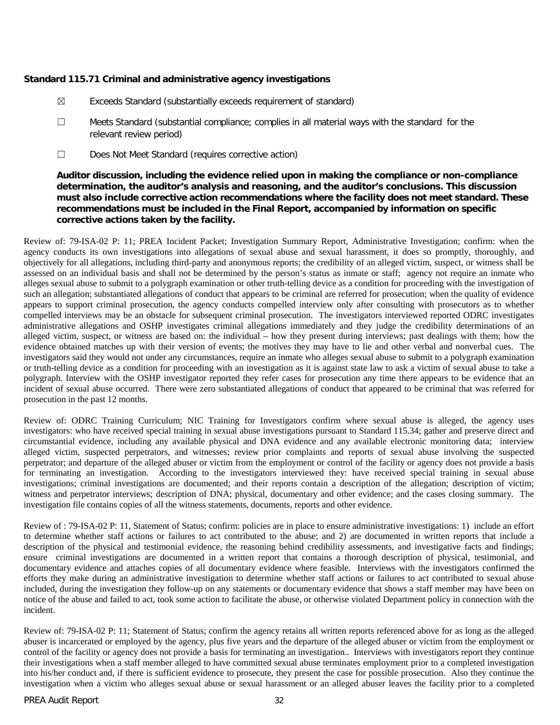#### **Standard 115.71 Criminal and administrative agency investigations**

- ☒ Exceeds Standard (substantially exceeds requirement of standard)
- ☐ Meets Standard (substantial compliance; complies in all material ways with the standard for the relevant review period)
- ☐ Does Not Meet Standard (requires corrective action)

**Auditor discussion, including the evidence relied upon in making the compliance or non-compliance determination, the auditor's analysis and reasoning, and the auditor's conclusions. This discussion must also include corrective action recommendations where the facility does not meet standard. These recommendations must be included in the Final Report, accompanied by information on specific corrective actions taken by the facility.**

Review of: 79-ISA-02 P: 11; PREA Incident Packet; Investigation Summary Report, Administrative Investigation; confirm: when the agency conducts its own investigations into allegations of sexual abuse and sexual harassment, it does so promptly, thoroughly, and objectively for all allegations, including third-party and anonymous reports; the credibility of an alleged victim, suspect, or witness shall be assessed on an individual basis and shall not be determined by the person's status as inmate or staff; agency not require an inmate who alleges sexual abuse to submit to a polygraph examination or other truth-telling device as a condition for proceeding with the investigation of such an allegation; substantiated allegations of conduct that appears to be criminal are referred for prosecution; when the quality of evidence appears to support criminal prosecution, the agency conducts compelled interview only after consulting with prosecutors as to whether compelled interviews may be an obstacle for subsequent criminal prosecution. The investigators interviewed reported ODRC investigates administrative allegations and OSHP investigates criminal allegations immediately and they judge the credibility determinations of an alleged victim, suspect, or witness are based on: the individual – how they present during interviews; past dealings with them; how the evidence obtained matches up with their version of events; the motives they may have to lie and other verbal and nonverbal cues. The investigators said they would not under any circumstances, require an inmate who alleges sexual abuse to submit to a polygraph examination or truth-telling device as a condition for proceeding with an investigation as it is against state law to ask a victim of sexual abuse to take a polygraph. Interview with the OSHP investigator reported they refer cases for prosecution any time there appears to be evidence that an incident of sexual abuse occurred. There were zero substantiated allegations of conduct that appeared to be criminal that was referred for prosecution in the past 12 months.

Review of: ODRC Training Curriculum; NIC Training for Investigators confirm where sexual abuse is alleged, the agency uses investigators: who have received special training in sexual abuse investigations pursuant to Standard 115.34; gather and preserve direct and circumstantial evidence, including any available physical and DNA evidence and any available electronic monitoring data; interview alleged victim, suspected perpetrators, and witnesses; review prior complaints and reports of sexual abuse involving the suspected perpetrator; and departure of the alleged abuser or victim from the employment or control of the facility or agency does not provide a basis for terminating an investigation. According to the investigators interviewed they: have received special training in sexual abuse investigations; criminal investigations are documented; and their reports contain a description of the allegation; description of victim; witness and perpetrator interviews; description of DNA; physical, documentary and other evidence; and the cases closing summary. The investigation file contains copies of all the witness statements, documents, reports and other evidence.

Review of : 79-ISA-02 P: 11, Statement of Status; confirm: policies are in place to ensure administrative investigations: 1) include an effort to determine whether staff actions or failures to act contributed to the abuse; and 2) are documented in written reports that include a description of the physical and testimonial evidence, the reasoning behind credibility assessments, and investigative facts and findings; ensure criminal investigations are documented in a written report that contains a thorough description of physical, testimonial, and documentary evidence and attaches copies of all documentary evidence where feasible. Interviews with the investigators confirmed the efforts they make during an administrative investigation to determine whether staff actions or failures to act contributed to sexual abuse included, during the investigation they follow-up on any statements or documentary evidence that shows a staff member may have been on notice of the abuse and failed to act, took some action to facilitate the abuse, or otherwise violated Department policy in connection with the incident.

Review of: 79-ISA-02 P: 11; Statement of Status; confirm the agency retains all written reports referenced above for as long as the alleged abuser is incarcerated or employed by the agency, plus five years and the departure of the alleged abuser or victim from the employment or control of the facility or agency does not provide a basis for terminating an investigation.. Interviews with investigators report they continue their investigations when a staff member alleged to have committed sexual abuse terminates employment prior to a completed investigation into his/her conduct and, if there is sufficient evidence to prosecute, they present the case for possible prosecution. Also they continue the investigation when a victim who alleges sexual abuse or sexual harassment or an alleged abuser leaves the facility prior to a completed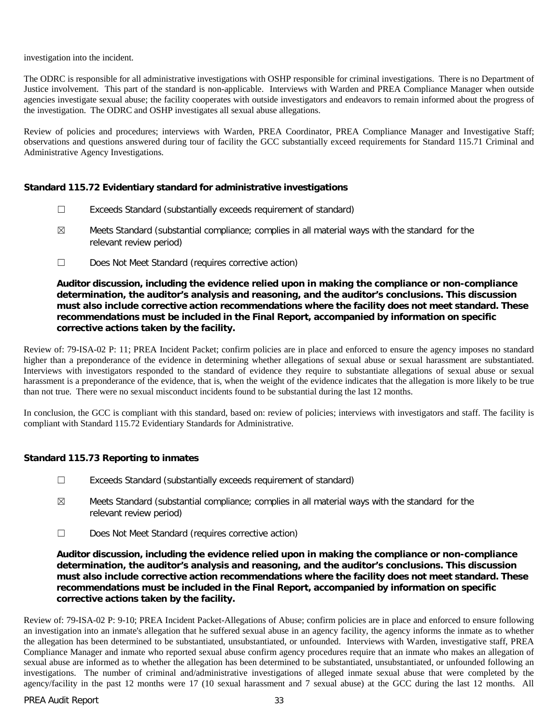investigation into the incident.

The ODRC is responsible for all administrative investigations with OSHP responsible for criminal investigations. There is no Department of Justice involvement. This part of the standard is non-applicable. Interviews with Warden and PREA Compliance Manager when outside agencies investigate sexual abuse; the facility cooperates with outside investigators and endeavors to remain informed about the progress of the investigation. The ODRC and OSHP investigates all sexual abuse allegations.

Review of policies and procedures; interviews with Warden, PREA Coordinator, PREA Compliance Manager and Investigative Staff; observations and questions answered during tour of facility the GCC substantially exceed requirements for Standard 115.71 Criminal and Administrative Agency Investigations.

#### **Standard 115.72 Evidentiary standard for administrative investigations**

- ☐ Exceeds Standard (substantially exceeds requirement of standard)
- ☒ Meets Standard (substantial compliance; complies in all material ways with the standard for the relevant review period)
- ☐ Does Not Meet Standard (requires corrective action)

**Auditor discussion, including the evidence relied upon in making the compliance or non-compliance determination, the auditor's analysis and reasoning, and the auditor's conclusions. This discussion must also include corrective action recommendations where the facility does not meet standard. These recommendations must be included in the Final Report, accompanied by information on specific corrective actions taken by the facility.**

Review of: 79-ISA-02 P: 11; PREA Incident Packet; confirm policies are in place and enforced to ensure the agency imposes no standard higher than a preponderance of the evidence in determining whether allegations of sexual abuse or sexual harassment are substantiated. Interviews with investigators responded to the standard of evidence they require to substantiate allegations of sexual abuse or sexual harassment is a preponderance of the evidence, that is, when the weight of the evidence indicates that the allegation is more likely to be true than not true. There were no sexual misconduct incidents found to be substantial during the last 12 months.

In conclusion, the GCC is compliant with this standard, based on: review of policies; interviews with investigators and staff. The facility is compliant with Standard 115.72 Evidentiary Standards for Administrative.

# **Standard 115.73 Reporting to inmates**

- ☐ Exceeds Standard (substantially exceeds requirement of standard)
- $\boxtimes$  Meets Standard (substantial compliance; complies in all material ways with the standard for the relevant review period)
- ☐ Does Not Meet Standard (requires corrective action)

**Auditor discussion, including the evidence relied upon in making the compliance or non-compliance determination, the auditor's analysis and reasoning, and the auditor's conclusions. This discussion must also include corrective action recommendations where the facility does not meet standard. These recommendations must be included in the Final Report, accompanied by information on specific corrective actions taken by the facility.**

Review of: 79-ISA-02 P: 9-10; PREA Incident Packet-Allegations of Abuse; confirm policies are in place and enforced to ensure following an investigation into an inmate's allegation that he suffered sexual abuse in an agency facility, the agency informs the inmate as to whether the allegation has been determined to be substantiated, unsubstantiated, or unfounded. Interviews with Warden, investigative staff, PREA Compliance Manager and inmate who reported sexual abuse confirm agency procedures require that an inmate who makes an allegation of sexual abuse are informed as to whether the allegation has been determined to be substantiated, unsubstantiated, or unfounded following an investigations. The number of criminal and/administrative investigations of alleged inmate sexual abuse that were completed by the agency/facility in the past 12 months were 17 (10 sexual harassment and 7 sexual abuse) at the GCC during the last 12 months. All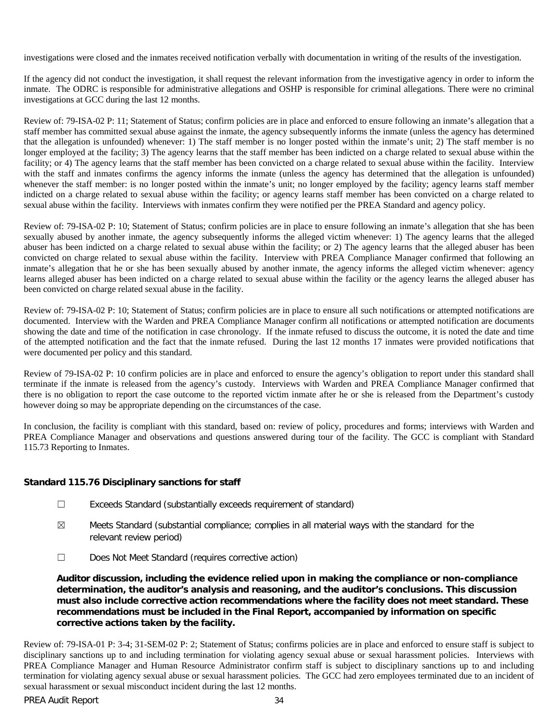investigations were closed and the inmates received notification verbally with documentation in writing of the results of the investigation.

If the agency did not conduct the investigation, it shall request the relevant information from the investigative agency in order to inform the inmate. The ODRC is responsible for administrative allegations and OSHP is responsible for criminal allegations. There were no criminal investigations at GCC during the last 12 months.

Review of: 79-ISA-02 P: 11; Statement of Status; confirm policies are in place and enforced to ensure following an inmate's allegation that a staff member has committed sexual abuse against the inmate, the agency subsequently informs the inmate (unless the agency has determined that the allegation is unfounded) whenever: 1) The staff member is no longer posted within the inmate's unit; 2) The staff member is no longer employed at the facility; 3) The agency learns that the staff member has been indicted on a charge related to sexual abuse within the facility; or 4) The agency learns that the staff member has been convicted on a charge related to sexual abuse within the facility. Interview with the staff and inmates confirms the agency informs the inmate (unless the agency has determined that the allegation is unfounded) whenever the staff member: is no longer posted within the inmate's unit; no longer employed by the facility; agency learns staff member indicted on a charge related to sexual abuse within the facility; or agency learns staff member has been convicted on a charge related to sexual abuse within the facility. Interviews with inmates confirm they were notified per the PREA Standard and agency policy.

Review of: 79-ISA-02 P: 10; Statement of Status; confirm policies are in place to ensure following an inmate's allegation that she has been sexually abused by another inmate, the agency subsequently informs the alleged victim whenever: 1) The agency learns that the alleged abuser has been indicted on a charge related to sexual abuse within the facility; or 2) The agency learns that the alleged abuser has been convicted on charge related to sexual abuse within the facility. Interview with PREA Compliance Manager confirmed that following an inmate's allegation that he or she has been sexually abused by another inmate, the agency informs the alleged victim whenever: agency learns alleged abuser has been indicted on a charge related to sexual abuse within the facility or the agency learns the alleged abuser has been convicted on charge related sexual abuse in the facility.

Review of: 79-ISA-02 P: 10; Statement of Status; confirm policies are in place to ensure all such notifications or attempted notifications are documented. Interview with the Warden and PREA Compliance Manager confirm all notifications or attempted notification are documents showing the date and time of the notification in case chronology. If the inmate refused to discuss the outcome, it is noted the date and time of the attempted notification and the fact that the inmate refused. During the last 12 months 17 inmates were provided notifications that were documented per policy and this standard.

Review of 79-ISA-02 P: 10 confirm policies are in place and enforced to ensure the agency's obligation to report under this standard shall terminate if the inmate is released from the agency's custody. Interviews with Warden and PREA Compliance Manager confirmed that there is no obligation to report the case outcome to the reported victim inmate after he or she is released from the Department's custody however doing so may be appropriate depending on the circumstances of the case.

In conclusion, the facility is compliant with this standard, based on: review of policy, procedures and forms; interviews with Warden and PREA Compliance Manager and observations and questions answered during tour of the facility. The GCC is compliant with Standard 115.73 Reporting to Inmates.

# **Standard 115.76 Disciplinary sanctions for staff**

- ☐ Exceeds Standard (substantially exceeds requirement of standard)
- $\boxtimes$  Meets Standard (substantial compliance; complies in all material ways with the standard for the relevant review period)
- ☐ Does Not Meet Standard (requires corrective action)

**Auditor discussion, including the evidence relied upon in making the compliance or non-compliance determination, the auditor's analysis and reasoning, and the auditor's conclusions. This discussion must also include corrective action recommendations where the facility does not meet standard. These recommendations must be included in the Final Report, accompanied by information on specific corrective actions taken by the facility.**

Review of: 79-ISA-01 P: 3-4; 31-SEM-02 P: 2; Statement of Status; confirms policies are in place and enforced to ensure staff is subject to disciplinary sanctions up to and including termination for violating agency sexual abuse or sexual harassment policies. Interviews with PREA Compliance Manager and Human Resource Administrator confirm staff is subject to disciplinary sanctions up to and including termination for violating agency sexual abuse or sexual harassment policies. The GCC had zero employees terminated due to an incident of sexual harassment or sexual misconduct incident during the last 12 months.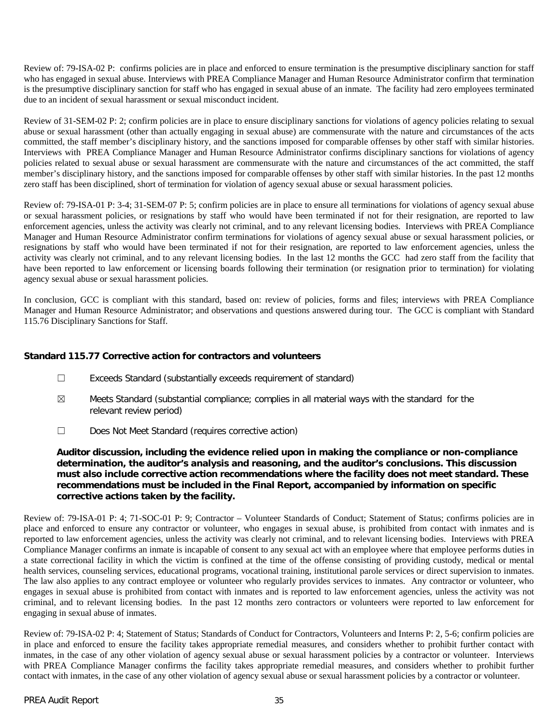Review of: 79-ISA-02 P: confirms policies are in place and enforced to ensure termination is the presumptive disciplinary sanction for staff who has engaged in sexual abuse. Interviews with PREA Compliance Manager and Human Resource Administrator confirm that termination is the presumptive disciplinary sanction for staff who has engaged in sexual abuse of an inmate. The facility had zero employees terminated due to an incident of sexual harassment or sexual misconduct incident.

Review of 31-SEM-02 P: 2; confirm policies are in place to ensure disciplinary sanctions for violations of agency policies relating to sexual abuse or sexual harassment (other than actually engaging in sexual abuse) are commensurate with the nature and circumstances of the acts committed, the staff member's disciplinary history, and the sanctions imposed for comparable offenses by other staff with similar histories. Interviews with PREA Compliance Manager and Human Resource Administrator confirms disciplinary sanctions for violations of agency policies related to sexual abuse or sexual harassment are commensurate with the nature and circumstances of the act committed, the staff member's disciplinary history, and the sanctions imposed for comparable offenses by other staff with similar histories. In the past 12 months zero staff has been disciplined, short of termination for violation of agency sexual abuse or sexual harassment policies.

Review of: 79-ISA-01 P: 3-4; 31-SEM-07 P: 5; confirm policies are in place to ensure all terminations for violations of agency sexual abuse or sexual harassment policies, or resignations by staff who would have been terminated if not for their resignation, are reported to law enforcement agencies, unless the activity was clearly not criminal, and to any relevant licensing bodies. Interviews with PREA Compliance Manager and Human Resource Administrator confirm terminations for violations of agency sexual abuse or sexual harassment policies, or resignations by staff who would have been terminated if not for their resignation, are reported to law enforcement agencies, unless the activity was clearly not criminal, and to any relevant licensing bodies. In the last 12 months the GCC had zero staff from the facility that have been reported to law enforcement or licensing boards following their termination (or resignation prior to termination) for violating agency sexual abuse or sexual harassment policies.

In conclusion, GCC is compliant with this standard, based on: review of policies, forms and files; interviews with PREA Compliance Manager and Human Resource Administrator; and observations and questions answered during tour. The GCC is compliant with Standard 115.76 Disciplinary Sanctions for Staff.

# **Standard 115.77 Corrective action for contractors and volunteers**

- ☐ Exceeds Standard (substantially exceeds requirement of standard)
- $\boxtimes$  Meets Standard (substantial compliance; complies in all material ways with the standard for the relevant review period)
- ☐ Does Not Meet Standard (requires corrective action)

# **Auditor discussion, including the evidence relied upon in making the compliance or non-compliance determination, the auditor's analysis and reasoning, and the auditor's conclusions. This discussion must also include corrective action recommendations where the facility does not meet standard. These recommendations must be included in the Final Report, accompanied by information on specific corrective actions taken by the facility.**

Review of: 79-ISA-01 P: 4; 71-SOC-01 P: 9; Contractor – Volunteer Standards of Conduct; Statement of Status; confirms policies are in place and enforced to ensure any contractor or volunteer, who engages in sexual abuse, is prohibited from contact with inmates and is reported to law enforcement agencies, unless the activity was clearly not criminal, and to relevant licensing bodies. Interviews with PREA Compliance Manager confirms an inmate is incapable of consent to any sexual act with an employee where that employee performs duties in a state correctional facility in which the victim is confined at the time of the offense consisting of providing custody, medical or mental health services, counseling services, educational programs, vocational training, institutional parole services or direct supervision to inmates. The law also applies to any contract employee or volunteer who regularly provides services to inmates. Any contractor or volunteer, who engages in sexual abuse is prohibited from contact with inmates and is reported to law enforcement agencies, unless the activity was not criminal, and to relevant licensing bodies. In the past 12 months zero contractors or volunteers were reported to law enforcement for engaging in sexual abuse of inmates.

Review of: 79-ISA-02 P: 4; Statement of Status; Standards of Conduct for Contractors, Volunteers and Interns P: 2, 5-6; confirm policies are in place and enforced to ensure the facility takes appropriate remedial measures, and considers whether to prohibit further contact with inmates, in the case of any other violation of agency sexual abuse or sexual harassment policies by a contractor or volunteer. Interviews with PREA Compliance Manager confirms the facility takes appropriate remedial measures, and considers whether to prohibit further contact with inmates, in the case of any other violation of agency sexual abuse or sexual harassment policies by a contractor or volunteer.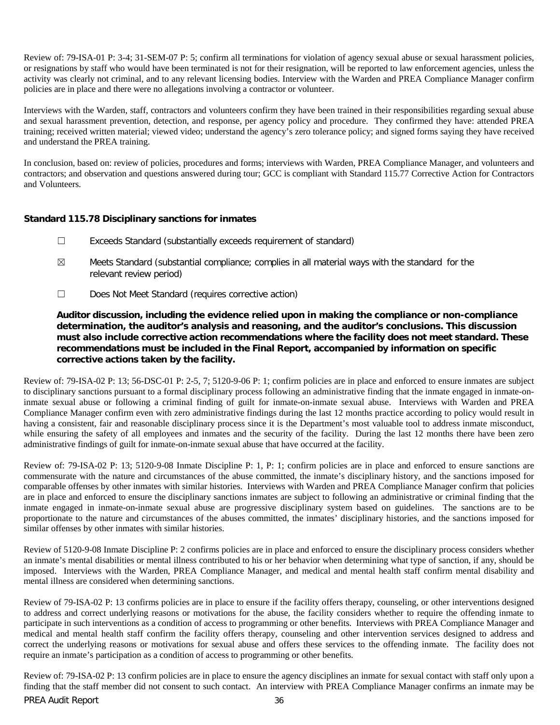Review of: 79-ISA-01 P: 3-4; 31-SEM-07 P: 5; confirm all terminations for violation of agency sexual abuse or sexual harassment policies, or resignations by staff who would have been terminated is not for their resignation, will be reported to law enforcement agencies, unless the activity was clearly not criminal, and to any relevant licensing bodies. Interview with the Warden and PREA Compliance Manager confirm policies are in place and there were no allegations involving a contractor or volunteer.

Interviews with the Warden, staff, contractors and volunteers confirm they have been trained in their responsibilities regarding sexual abuse and sexual harassment prevention, detection, and response, per agency policy and procedure. They confirmed they have: attended PREA training; received written material; viewed video; understand the agency's zero tolerance policy; and signed forms saying they have received and understand the PREA training.

In conclusion, based on: review of policies, procedures and forms; interviews with Warden, PREA Compliance Manager, and volunteers and contractors; and observation and questions answered during tour; GCC is compliant with Standard 115.77 Corrective Action for Contractors and Volunteers.

# **Standard 115.78 Disciplinary sanctions for inmates**

- ☐ Exceeds Standard (substantially exceeds requirement of standard)
- $\boxtimes$  Meets Standard (substantial compliance; complies in all material ways with the standard for the relevant review period)
- ☐ Does Not Meet Standard (requires corrective action)

**Auditor discussion, including the evidence relied upon in making the compliance or non-compliance determination, the auditor's analysis and reasoning, and the auditor's conclusions. This discussion must also include corrective action recommendations where the facility does not meet standard. These recommendations must be included in the Final Report, accompanied by information on specific corrective actions taken by the facility.**

Review of: 79-ISA-02 P: 13; 56-DSC-01 P: 2-5, 7; 5120-9-06 P: 1; confirm policies are in place and enforced to ensure inmates are subject to disciplinary sanctions pursuant to a formal disciplinary process following an administrative finding that the inmate engaged in inmate-oninmate sexual abuse or following a criminal finding of guilt for inmate-on-inmate sexual abuse. Interviews with Warden and PREA Compliance Manager confirm even with zero administrative findings during the last 12 months practice according to policy would result in having a consistent, fair and reasonable disciplinary process since it is the Department's most valuable tool to address inmate misconduct, while ensuring the safety of all employees and inmates and the security of the facility. During the last 12 months there have been zero administrative findings of guilt for inmate-on-inmate sexual abuse that have occurred at the facility.

Review of: 79-ISA-02 P: 13; 5120-9-08 Inmate Discipline P: 1, P: 1; confirm policies are in place and enforced to ensure sanctions are commensurate with the nature and circumstances of the abuse committed, the inmate's disciplinary history, and the sanctions imposed for comparable offenses by other inmates with similar histories. Interviews with Warden and PREA Compliance Manager confirm that policies are in place and enforced to ensure the disciplinary sanctions inmates are subject to following an administrative or criminal finding that the inmate engaged in inmate-on-inmate sexual abuse are progressive disciplinary system based on guidelines. The sanctions are to be proportionate to the nature and circumstances of the abuses committed, the inmates' disciplinary histories, and the sanctions imposed for similar offenses by other inmates with similar histories.

Review of 5120-9-08 Inmate Discipline P: 2 confirms policies are in place and enforced to ensure the disciplinary process considers whether an inmate's mental disabilities or mental illness contributed to his or her behavior when determining what type of sanction, if any, should be imposed. Interviews with the Warden, PREA Compliance Manager, and medical and mental health staff confirm mental disability and mental illness are considered when determining sanctions.

Review of 79-ISA-02 P: 13 confirms policies are in place to ensure if the facility offers therapy, counseling, or other interventions designed to address and correct underlying reasons or motivations for the abuse, the facility considers whether to require the offending inmate to participate in such interventions as a condition of access to programming or other benefits. Interviews with PREA Compliance Manager and medical and mental health staff confirm the facility offers therapy, counseling and other intervention services designed to address and correct the underlying reasons or motivations for sexual abuse and offers these services to the offending inmate. The facility does not require an inmate's participation as a condition of access to programming or other benefits.

PREA Audit Report 36 Review of: 79-ISA-02 P: 13 confirm policies are in place to ensure the agency disciplines an inmate for sexual contact with staff only upon a finding that the staff member did not consent to such contact. An interview with PREA Compliance Manager confirms an inmate may be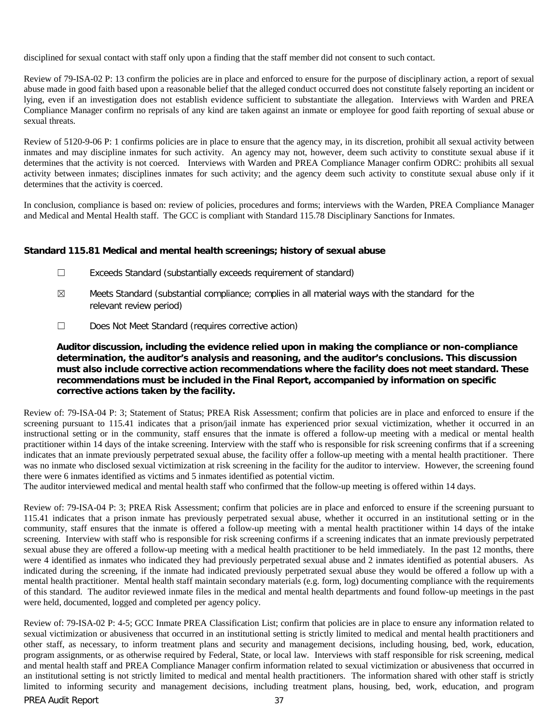disciplined for sexual contact with staff only upon a finding that the staff member did not consent to such contact.

Review of 79-ISA-02 P: 13 confirm the policies are in place and enforced to ensure for the purpose of disciplinary action, a report of sexual abuse made in good faith based upon a reasonable belief that the alleged conduct occurred does not constitute falsely reporting an incident or lying, even if an investigation does not establish evidence sufficient to substantiate the allegation. Interviews with Warden and PREA Compliance Manager confirm no reprisals of any kind are taken against an inmate or employee for good faith reporting of sexual abuse or sexual threats.

Review of 5120-9-06 P: 1 confirms policies are in place to ensure that the agency may, in its discretion, prohibit all sexual activity between inmates and may discipline inmates for such activity. An agency may not, however, deem such activity to constitute sexual abuse if it determines that the activity is not coerced. Interviews with Warden and PREA Compliance Manager confirm ODRC: prohibits all sexual activity between inmates; disciplines inmates for such activity; and the agency deem such activity to constitute sexual abuse only if it determines that the activity is coerced.

In conclusion, compliance is based on: review of policies, procedures and forms; interviews with the Warden, PREA Compliance Manager and Medical and Mental Health staff. The GCC is compliant with Standard 115.78 Disciplinary Sanctions for Inmates.

# **Standard 115.81 Medical and mental health screenings; history of sexual abuse**

- ☐ Exceeds Standard (substantially exceeds requirement of standard)
- $\boxtimes$  Meets Standard (substantial compliance; complies in all material ways with the standard for the relevant review period)
- ☐ Does Not Meet Standard (requires corrective action)

# **Auditor discussion, including the evidence relied upon in making the compliance or non-compliance determination, the auditor's analysis and reasoning, and the auditor's conclusions. This discussion must also include corrective action recommendations where the facility does not meet standard. These recommendations must be included in the Final Report, accompanied by information on specific corrective actions taken by the facility.**

Review of: 79-ISA-04 P: 3; Statement of Status; PREA Risk Assessment; confirm that policies are in place and enforced to ensure if the screening pursuant to 115.41 indicates that a prison/jail inmate has experienced prior sexual victimization, whether it occurred in an instructional setting or in the community, staff ensures that the inmate is offered a follow-up meeting with a medical or mental health practitioner within 14 days of the intake screening. Interview with the staff who is responsible for risk screening confirms that if a screening indicates that an inmate previously perpetrated sexual abuse, the facility offer a follow-up meeting with a mental health practitioner. There was no inmate who disclosed sexual victimization at risk screening in the facility for the auditor to interview. However, the screening found there were 6 inmates identified as victims and 5 inmates identified as potential victim.

The auditor interviewed medical and mental health staff who confirmed that the follow-up meeting is offered within 14 days.

Review of: 79-ISA-04 P: 3; PREA Risk Assessment; confirm that policies are in place and enforced to ensure if the screening pursuant to 115.41 indicates that a prison inmate has previously perpetrated sexual abuse, whether it occurred in an institutional setting or in the community, staff ensures that the inmate is offered a follow-up meeting with a mental health practitioner within 14 days of the intake screening. Interview with staff who is responsible for risk screening confirms if a screening indicates that an inmate previously perpetrated sexual abuse they are offered a follow-up meeting with a medical health practitioner to be held immediately. In the past 12 months, there were 4 identified as inmates who indicated they had previously perpetrated sexual abuse and 2 inmates identified as potential abusers. As indicated during the screening, if the inmate had indicated previously perpetrated sexual abuse they would be offered a follow up with a mental health practitioner. Mental health staff maintain secondary materials (e.g. form, log) documenting compliance with the requirements of this standard. The auditor reviewed inmate files in the medical and mental health departments and found follow-up meetings in the past were held, documented, logged and completed per agency policy.

PREA Audit Report 37 Review of: 79-ISA-02 P: 4-5; GCC Inmate PREA Classification List; confirm that policies are in place to ensure any information related to sexual victimization or abusiveness that occurred in an institutional setting is strictly limited to medical and mental health practitioners and other staff, as necessary, to inform treatment plans and security and management decisions, including housing, bed, work, education, program assignments, or as otherwise required by Federal, State, or local law. Interviews with staff responsible for risk screening, medical and mental health staff and PREA Compliance Manager confirm information related to sexual victimization or abusiveness that occurred in an institutional setting is not strictly limited to medical and mental health practitioners. The information shared with other staff is strictly limited to informing security and management decisions, including treatment plans, housing, bed, work, education, and program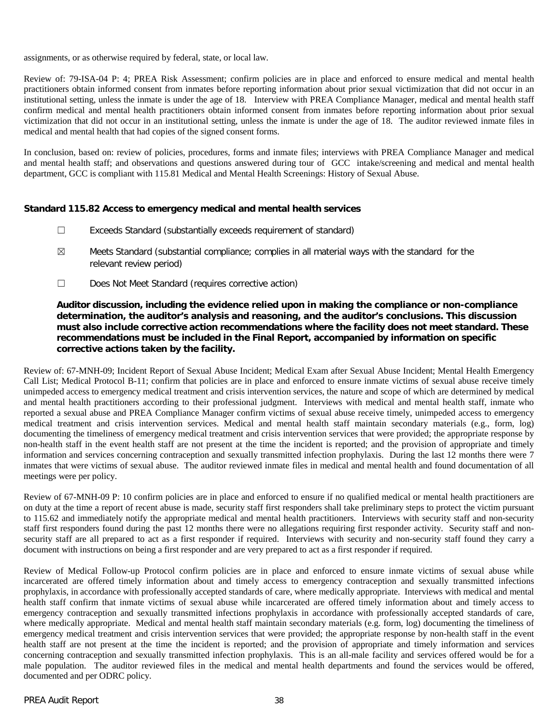assignments, or as otherwise required by federal, state, or local law.

Review of: 79-ISA-04 P: 4; PREA Risk Assessment; confirm policies are in place and enforced to ensure medical and mental health practitioners obtain informed consent from inmates before reporting information about prior sexual victimization that did not occur in an institutional setting, unless the inmate is under the age of 18. Interview with PREA Compliance Manager, medical and mental health staff confirm medical and mental health practitioners obtain informed consent from inmates before reporting information about prior sexual victimization that did not occur in an institutional setting, unless the inmate is under the age of 18. The auditor reviewed inmate files in medical and mental health that had copies of the signed consent forms.

In conclusion, based on: review of policies, procedures, forms and inmate files; interviews with PREA Compliance Manager and medical and mental health staff; and observations and questions answered during tour of GCC intake/screening and medical and mental health department, GCC is compliant with 115.81 Medical and Mental Health Screenings: History of Sexual Abuse.

# **Standard 115.82 Access to emergency medical and mental health services**

- ☐ Exceeds Standard (substantially exceeds requirement of standard)
- $\boxtimes$  Meets Standard (substantial compliance; complies in all material ways with the standard for the relevant review period)
- ☐ Does Not Meet Standard (requires corrective action)

**Auditor discussion, including the evidence relied upon in making the compliance or non-compliance determination, the auditor's analysis and reasoning, and the auditor's conclusions. This discussion must also include corrective action recommendations where the facility does not meet standard. These recommendations must be included in the Final Report, accompanied by information on specific corrective actions taken by the facility.**

Review of: 67-MNH-09; Incident Report of Sexual Abuse Incident; Medical Exam after Sexual Abuse Incident; Mental Health Emergency Call List; Medical Protocol B-11; confirm that policies are in place and enforced to ensure inmate victims of sexual abuse receive timely unimpeded access to emergency medical treatment and crisis intervention services, the nature and scope of which are determined by medical and mental health practitioners according to their professional judgment. Interviews with medical and mental health staff, inmate who reported a sexual abuse and PREA Compliance Manager confirm victims of sexual abuse receive timely, unimpeded access to emergency medical treatment and crisis intervention services. Medical and mental health staff maintain secondary materials (e.g., form, log) documenting the timeliness of emergency medical treatment and crisis intervention services that were provided; the appropriate response by non-health staff in the event health staff are not present at the time the incident is reported; and the provision of appropriate and timely information and services concerning contraception and sexually transmitted infection prophylaxis. During the last 12 months there were 7 inmates that were victims of sexual abuse. The auditor reviewed inmate files in medical and mental health and found documentation of all meetings were per policy.

Review of 67-MNH-09 P: 10 confirm policies are in place and enforced to ensure if no qualified medical or mental health practitioners are on duty at the time a report of recent abuse is made, security staff first responders shall take preliminary steps to protect the victim pursuant to 115.62 and immediately notify the appropriate medical and mental health practitioners. Interviews with security staff and non-security staff first responders found during the past 12 months there were no allegations requiring first responder activity. Security staff and nonsecurity staff are all prepared to act as a first responder if required. Interviews with security and non-security staff found they carry a document with instructions on being a first responder and are very prepared to act as a first responder if required.

Review of Medical Follow-up Protocol confirm policies are in place and enforced to ensure inmate victims of sexual abuse while incarcerated are offered timely information about and timely access to emergency contraception and sexually transmitted infections prophylaxis, in accordance with professionally accepted standards of care, where medically appropriate. Interviews with medical and mental health staff confirm that inmate victims of sexual abuse while incarcerated are offered timely information about and timely access to emergency contraception and sexually transmitted infections prophylaxis in accordance with professionally accepted standards of care, where medically appropriate. Medical and mental health staff maintain secondary materials (e.g. form, log) documenting the timeliness of emergency medical treatment and crisis intervention services that were provided; the appropriate response by non-health staff in the event health staff are not present at the time the incident is reported; and the provision of appropriate and timely information and services concerning contraception and sexually transmitted infection prophylaxis. This is an all-male facility and services offered would be for a male population. The auditor reviewed files in the medical and mental health departments and found the services would be offered, documented and per ODRC policy.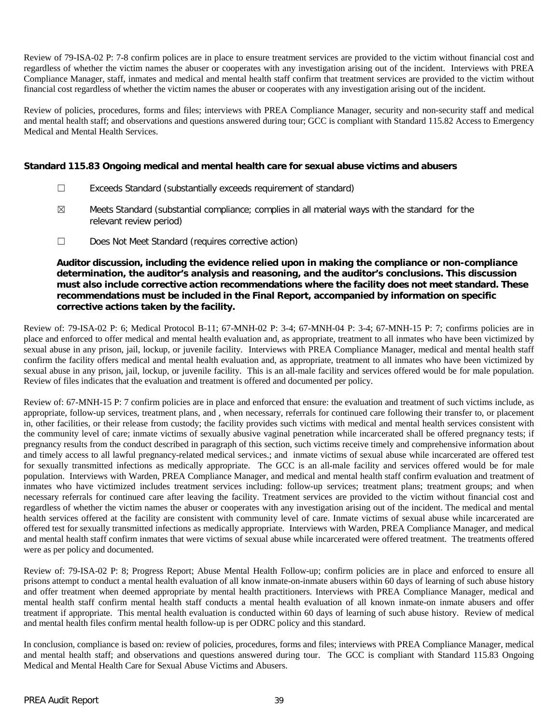Review of 79-ISA-02 P: 7-8 confirm polices are in place to ensure treatment services are provided to the victim without financial cost and regardless of whether the victim names the abuser or cooperates with any investigation arising out of the incident. Interviews with PREA Compliance Manager, staff, inmates and medical and mental health staff confirm that treatment services are provided to the victim without financial cost regardless of whether the victim names the abuser or cooperates with any investigation arising out of the incident.

Review of policies, procedures, forms and files; interviews with PREA Compliance Manager, security and non-security staff and medical and mental health staff; and observations and questions answered during tour; GCC is compliant with Standard 115.82 Access to Emergency Medical and Mental Health Services.

# **Standard 115.83 Ongoing medical and mental health care for sexual abuse victims and abusers**

- ☐ Exceeds Standard (substantially exceeds requirement of standard)
- $\boxtimes$  Meets Standard (substantial compliance; complies in all material ways with the standard for the relevant review period)
- ☐ Does Not Meet Standard (requires corrective action)

**Auditor discussion, including the evidence relied upon in making the compliance or non-compliance determination, the auditor's analysis and reasoning, and the auditor's conclusions. This discussion must also include corrective action recommendations where the facility does not meet standard. These recommendations must be included in the Final Report, accompanied by information on specific corrective actions taken by the facility.**

Review of: 79-ISA-02 P: 6; Medical Protocol B-11; 67-MNH-02 P: 3-4; 67-MNH-04 P: 3-4; 67-MNH-15 P: 7; confirms policies are in place and enforced to offer medical and mental health evaluation and, as appropriate, treatment to all inmates who have been victimized by sexual abuse in any prison, jail, lockup, or juvenile facility. Interviews with PREA Compliance Manager, medical and mental health staff confirm the facility offers medical and mental health evaluation and, as appropriate, treatment to all inmates who have been victimized by sexual abuse in any prison, jail, lockup, or juvenile facility. This is an all-male facility and services offered would be for male population. Review of files indicates that the evaluation and treatment is offered and documented per policy.

Review of: 67-MNH-15 P: 7 confirm policies are in place and enforced that ensure: the evaluation and treatment of such victims include, as appropriate, follow-up services, treatment plans, and , when necessary, referrals for continued care following their transfer to, or placement in, other facilities, or their release from custody; the facility provides such victims with medical and mental health services consistent with the community level of care; inmate victims of sexually abusive vaginal penetration while incarcerated shall be offered pregnancy tests; if pregnancy results from the conduct described in paragraph of this section, such victims receive timely and comprehensive information about and timely access to all lawful pregnancy-related medical services.; and inmate victims of sexual abuse while incarcerated are offered test for sexually transmitted infections as medically appropriate. The GCC is an all-male facility and services offered would be for male population. Interviews with Warden, PREA Compliance Manager, and medical and mental health staff confirm evaluation and treatment of inmates who have victimized includes treatment services including: follow-up services; treatment plans; treatment groups; and when necessary referrals for continued care after leaving the facility. Treatment services are provided to the victim without financial cost and regardless of whether the victim names the abuser or cooperates with any investigation arising out of the incident. The medical and mental health services offered at the facility are consistent with community level of care. Inmate victims of sexual abuse while incarcerated are offered test for sexually transmitted infections as medically appropriate. Interviews with Warden, PREA Compliance Manager, and medical and mental health staff confirm inmates that were victims of sexual abuse while incarcerated were offered treatment. The treatments offered were as per policy and documented.

Review of: 79-ISA-02 P: 8; Progress Report; Abuse Mental Health Follow-up; confirm policies are in place and enforced to ensure all prisons attempt to conduct a mental health evaluation of all know inmate-on-inmate abusers within 60 days of learning of such abuse history and offer treatment when deemed appropriate by mental health practitioners. Interviews with PREA Compliance Manager, medical and mental health staff confirm mental health staff conducts a mental health evaluation of all known inmate-on inmate abusers and offer treatment if appropriate. This mental health evaluation is conducted within 60 days of learning of such abuse history. Review of medical and mental health files confirm mental health follow-up is per ODRC policy and this standard.

In conclusion, compliance is based on: review of policies, procedures, forms and files; interviews with PREA Compliance Manager, medical and mental health staff; and observations and questions answered during tour. The GCC is compliant with Standard 115.83 Ongoing Medical and Mental Health Care for Sexual Abuse Victims and Abusers.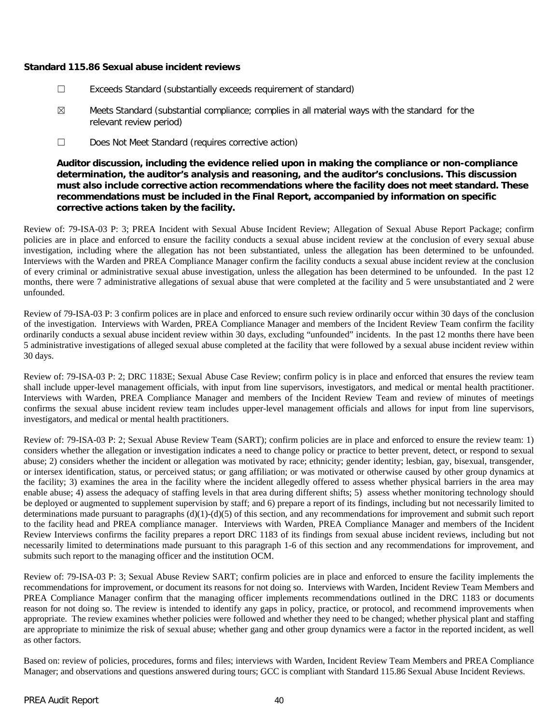#### **Standard 115.86 Sexual abuse incident reviews**

- ☐ Exceeds Standard (substantially exceeds requirement of standard)
- ☒ Meets Standard (substantial compliance; complies in all material ways with the standard for the relevant review period)
- ☐ Does Not Meet Standard (requires corrective action)

**Auditor discussion, including the evidence relied upon in making the compliance or non-compliance determination, the auditor's analysis and reasoning, and the auditor's conclusions. This discussion must also include corrective action recommendations where the facility does not meet standard. These recommendations must be included in the Final Report, accompanied by information on specific corrective actions taken by the facility.**

Review of: 79-ISA-03 P: 3; PREA Incident with Sexual Abuse Incident Review; Allegation of Sexual Abuse Report Package; confirm policies are in place and enforced to ensure the facility conducts a sexual abuse incident review at the conclusion of every sexual abuse investigation, including where the allegation has not been substantiated, unless the allegation has been determined to be unfounded. Interviews with the Warden and PREA Compliance Manager confirm the facility conducts a sexual abuse incident review at the conclusion of every criminal or administrative sexual abuse investigation, unless the allegation has been determined to be unfounded. In the past 12 months, there were 7 administrative allegations of sexual abuse that were completed at the facility and 5 were unsubstantiated and 2 were unfounded.

Review of 79-ISA-03 P: 3 confirm polices are in place and enforced to ensure such review ordinarily occur within 30 days of the conclusion of the investigation. Interviews with Warden, PREA Compliance Manager and members of the Incident Review Team confirm the facility ordinarily conducts a sexual abuse incident review within 30 days, excluding "unfounded" incidents. In the past 12 months there have been 5 administrative investigations of alleged sexual abuse completed at the facility that were followed by a sexual abuse incident review within 30 days.

Review of: 79-ISA-03 P: 2; DRC 1183E; Sexual Abuse Case Review; confirm policy is in place and enforced that ensures the review team shall include upper-level management officials, with input from line supervisors, investigators, and medical or mental health practitioner. Interviews with Warden, PREA Compliance Manager and members of the Incident Review Team and review of minutes of meetings confirms the sexual abuse incident review team includes upper-level management officials and allows for input from line supervisors, investigators, and medical or mental health practitioners.

Review of: 79-ISA-03 P: 2; Sexual Abuse Review Team (SART); confirm policies are in place and enforced to ensure the review team: 1) considers whether the allegation or investigation indicates a need to change policy or practice to better prevent, detect, or respond to sexual abuse; 2) considers whether the incident or allegation was motivated by race; ethnicity; gender identity; lesbian, gay, bisexual, transgender, or intersex identification, status, or perceived status; or gang affiliation; or was motivated or otherwise caused by other group dynamics at the facility; 3) examines the area in the facility where the incident allegedly offered to assess whether physical barriers in the area may enable abuse; 4) assess the adequacy of staffing levels in that area during different shifts; 5) assess whether monitoring technology should be deployed or augmented to supplement supervision by staff; and 6) prepare a report of its findings, including but not necessarily limited to determinations made pursuant to paragraphs (d)(1)-(d)(5) of this section, and any recommendations for improvement and submit such report to the facility head and PREA compliance manager. Interviews with Warden, PREA Compliance Manager and members of the Incident Review Interviews confirms the facility prepares a report DRC 1183 of its findings from sexual abuse incident reviews, including but not necessarily limited to determinations made pursuant to this paragraph 1-6 of this section and any recommendations for improvement, and submits such report to the managing officer and the institution OCM.

Review of: 79-ISA-03 P: 3; Sexual Abuse Review SART; confirm policies are in place and enforced to ensure the facility implements the recommendations for improvement, or document its reasons for not doing so. Interviews with Warden, Incident Review Team Members and PREA Compliance Manager confirm that the managing officer implements recommendations outlined in the DRC 1183 or documents reason for not doing so. The review is intended to identify any gaps in policy, practice, or protocol, and recommend improvements when appropriate. The review examines whether policies were followed and whether they need to be changed; whether physical plant and staffing are appropriate to minimize the risk of sexual abuse; whether gang and other group dynamics were a factor in the reported incident, as well as other factors.

Based on: review of policies, procedures, forms and files; interviews with Warden, Incident Review Team Members and PREA Compliance Manager; and observations and questions answered during tours; GCC is compliant with Standard 115.86 Sexual Abuse Incident Reviews.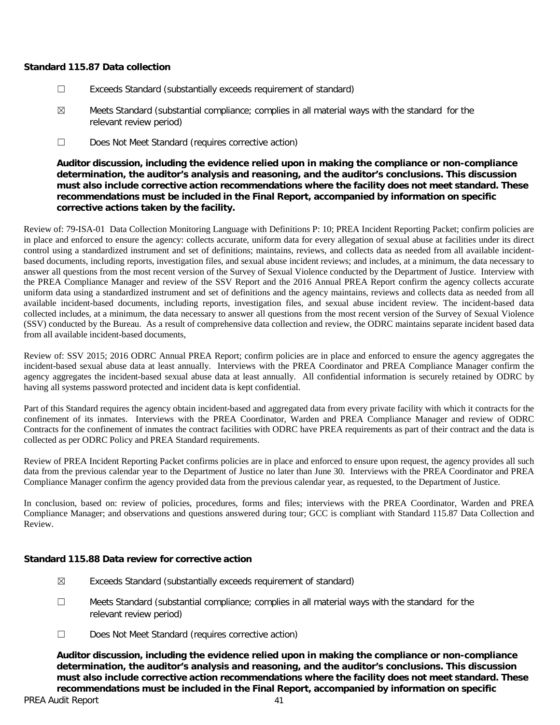## **Standard 115.87 Data collection**

- ☐ Exceeds Standard (substantially exceeds requirement of standard)
- ☒ Meets Standard (substantial compliance; complies in all material ways with the standard for the relevant review period)
- ☐ Does Not Meet Standard (requires corrective action)

**Auditor discussion, including the evidence relied upon in making the compliance or non-compliance determination, the auditor's analysis and reasoning, and the auditor's conclusions. This discussion must also include corrective action recommendations where the facility does not meet standard. These recommendations must be included in the Final Report, accompanied by information on specific corrective actions taken by the facility.**

Review of: 79-ISA-01 Data Collection Monitoring Language with Definitions P: 10; PREA Incident Reporting Packet; confirm policies are in place and enforced to ensure the agency: collects accurate, uniform data for every allegation of sexual abuse at facilities under its direct control using a standardized instrument and set of definitions; maintains, reviews, and collects data as needed from all available incidentbased documents, including reports, investigation files, and sexual abuse incident reviews; and includes, at a minimum, the data necessary to answer all questions from the most recent version of the Survey of Sexual Violence conducted by the Department of Justice. Interview with the PREA Compliance Manager and review of the SSV Report and the 2016 Annual PREA Report confirm the agency collects accurate uniform data using a standardized instrument and set of definitions and the agency maintains, reviews and collects data as needed from all available incident-based documents, including reports, investigation files, and sexual abuse incident review. The incident-based data collected includes, at a minimum, the data necessary to answer all questions from the most recent version of the Survey of Sexual Violence (SSV) conducted by the Bureau. As a result of comprehensive data collection and review, the ODRC maintains separate incident based data from all available incident-based documents,

Review of: SSV 2015; 2016 ODRC Annual PREA Report; confirm policies are in place and enforced to ensure the agency aggregates the incident-based sexual abuse data at least annually. Interviews with the PREA Coordinator and PREA Compliance Manager confirm the agency aggregates the incident-based sexual abuse data at least annually. All confidential information is securely retained by ODRC by having all systems password protected and incident data is kept confidential.

Part of this Standard requires the agency obtain incident-based and aggregated data from every private facility with which it contracts for the confinement of its inmates. Interviews with the PREA Coordinator, Warden and PREA Compliance Manager and review of ODRC Contracts for the confinement of inmates the contract facilities with ODRC have PREA requirements as part of their contract and the data is collected as per ODRC Policy and PREA Standard requirements.

Review of PREA Incident Reporting Packet confirms policies are in place and enforced to ensure upon request, the agency provides all such data from the previous calendar year to the Department of Justice no later than June 30. Interviews with the PREA Coordinator and PREA Compliance Manager confirm the agency provided data from the previous calendar year, as requested, to the Department of Justice.

In conclusion, based on: review of policies, procedures, forms and files; interviews with the PREA Coordinator, Warden and PREA Compliance Manager; and observations and questions answered during tour; GCC is compliant with Standard 115.87 Data Collection and Review.

## **Standard 115.88 Data review for corrective action**

- ☒ Exceeds Standard (substantially exceeds requirement of standard)
- ☐ Meets Standard (substantial compliance; complies in all material ways with the standard for the relevant review period)
- ☐ Does Not Meet Standard (requires corrective action)

**Auditor discussion, including the evidence relied upon in making the compliance or non-compliance determination, the auditor's analysis and reasoning, and the auditor's conclusions. This discussion must also include corrective action recommendations where the facility does not meet standard. These recommendations must be included in the Final Report, accompanied by information on specific**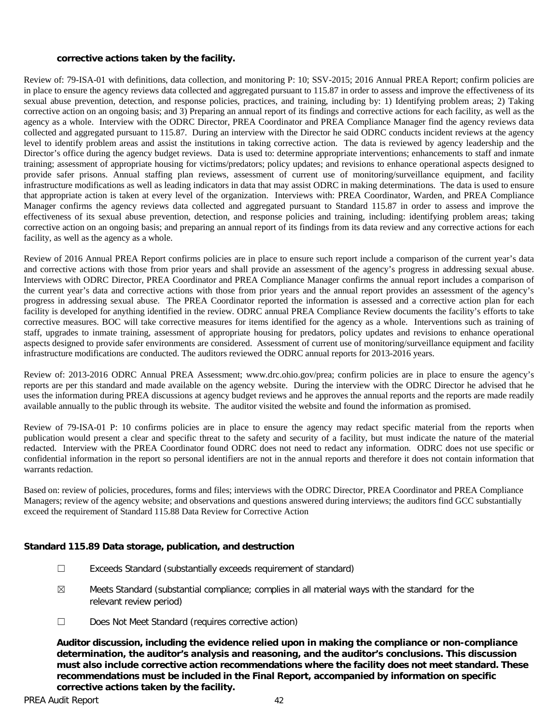#### **corrective actions taken by the facility.**

Review of: 79-ISA-01 with definitions, data collection, and monitoring P: 10; SSV-2015; 2016 Annual PREA Report; confirm policies are in place to ensure the agency reviews data collected and aggregated pursuant to 115.87 in order to assess and improve the effectiveness of its sexual abuse prevention, detection, and response policies, practices, and training, including by: 1) Identifying problem areas; 2) Taking corrective action on an ongoing basis; and 3) Preparing an annual report of its findings and corrective actions for each facility, as well as the agency as a whole. Interview with the ODRC Director, PREA Coordinator and PREA Compliance Manager find the agency reviews data collected and aggregated pursuant to 115.87. During an interview with the Director he said ODRC conducts incident reviews at the agency level to identify problem areas and assist the institutions in taking corrective action. The data is reviewed by agency leadership and the Director's office during the agency budget reviews. Data is used to: determine appropriate interventions; enhancements to staff and inmate training; assessment of appropriate housing for victims/predators; policy updates; and revisions to enhance operational aspects designed to provide safer prisons. Annual staffing plan reviews, assessment of current use of monitoring/surveillance equipment, and facility infrastructure modifications as well as leading indicators in data that may assist ODRC in making determinations. The data is used to ensure that appropriate action is taken at every level of the organization. Interviews with: PREA Coordinator, Warden, and PREA Compliance Manager confirms the agency reviews data collected and aggregated pursuant to Standard 115.87 in order to assess and improve the effectiveness of its sexual abuse prevention, detection, and response policies and training, including: identifying problem areas; taking corrective action on an ongoing basis; and preparing an annual report of its findings from its data review and any corrective actions for each facility, as well as the agency as a whole.

Review of 2016 Annual PREA Report confirms policies are in place to ensure such report include a comparison of the current year's data and corrective actions with those from prior years and shall provide an assessment of the agency's progress in addressing sexual abuse. Interviews with ODRC Director, PREA Coordinator and PREA Compliance Manager confirms the annual report includes a comparison of the current year's data and corrective actions with those from prior years and the annual report provides an assessment of the agency's progress in addressing sexual abuse. The PREA Coordinator reported the information is assessed and a corrective action plan for each facility is developed for anything identified in the review. ODRC annual PREA Compliance Review documents the facility's efforts to take corrective measures. BOC will take corrective measures for items identified for the agency as a whole. Interventions such as training of staff, upgrades to inmate training, assessment of appropriate housing for predators, policy updates and revisions to enhance operational aspects designed to provide safer environments are considered. Assessment of current use of monitoring/surveillance equipment and facility infrastructure modifications are conducted. The auditors reviewed the ODRC annual reports for 2013-2016 years.

Review of: 2013-2016 ODRC Annual PREA Assessment; www.drc.ohio.gov/prea; confirm policies are in place to ensure the agency's reports are per this standard and made available on the agency website. During the interview with the ODRC Director he advised that he uses the information during PREA discussions at agency budget reviews and he approves the annual reports and the reports are made readily available annually to the public through its website. The auditor visited the website and found the information as promised.

Review of 79-ISA-01 P: 10 confirms policies are in place to ensure the agency may redact specific material from the reports when publication would present a clear and specific threat to the safety and security of a facility, but must indicate the nature of the material redacted. Interview with the PREA Coordinator found ODRC does not need to redact any information. ODRC does not use specific or confidential information in the report so personal identifiers are not in the annual reports and therefore it does not contain information that warrants redaction.

Based on: review of policies, procedures, forms and files; interviews with the ODRC Director, PREA Coordinator and PREA Compliance Managers; review of the agency website; and observations and questions answered during interviews; the auditors find GCC substantially exceed the requirement of Standard 115.88 Data Review for Corrective Action

#### **Standard 115.89 Data storage, publication, and destruction**

- ☐ Exceeds Standard (substantially exceeds requirement of standard)
- $\boxtimes$  Meets Standard (substantial compliance; complies in all material ways with the standard for the relevant review period)
- ☐ Does Not Meet Standard (requires corrective action)

**Auditor discussion, including the evidence relied upon in making the compliance or non-compliance determination, the auditor's analysis and reasoning, and the auditor's conclusions. This discussion must also include corrective action recommendations where the facility does not meet standard. These recommendations must be included in the Final Report, accompanied by information on specific corrective actions taken by the facility.**